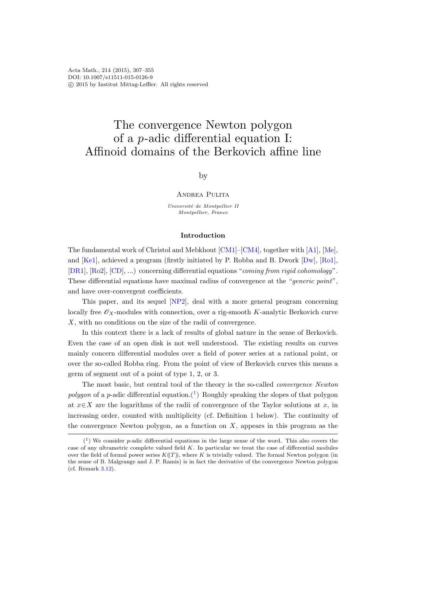# The convergence Newton polygon of a p-adic differential equation I: Affinoid domains of the Berkovich affine line

## by

## ANDREA PULITA

Université de Montpellier II Montpellier, France

#### Introduction

The fundamental work of Christol and Mebkhout [\[CM1\]](#page-47-0)–[\[CM4\]](#page-47-1), together with [\[A1\]](#page-46-0), [\[Me\]](#page-48-0), and [\[Ke1\]](#page-47-2), achieved a program (firstly initiated by P. Robba and B. Dwork [\[Dw\]](#page-47-3), [\[Ro1\]](#page-48-1), [\[DR1\]](#page-47-4), [\[Ro2\]](#page-48-2), [\[CD\]](#page-46-1), ...) concerning differential equations "coming from rigid cohomology". These differential equations have maximal radius of convergence at the "generic point", and have over-convergent coefficients.

This paper, and its sequel [\[NP2\]](#page-48-3), deal with a more general program concerning locally free  $\mathscr{O}_X$ -modules with connection, over a rig-smooth K-analytic Berkovich curve X, with no conditions on the size of the radii of convergence.

In this context there is a lack of results of global nature in the sense of Berkovich. Even the case of an open disk is not well understood. The existing results on curves mainly concern differential modules over a field of power series at a rational point, or over the so-called Robba ring. From the point of view of Berkovich curves this means a germ of segment out of a point of type 1, 2, or 3.

The most basic, but central tool of the theory is the so-called convergence Newton polygon of a p-adic differential equation.<sup>(1</sup>) Roughly speaking the slopes of that polygon at  $x \in X$  are the logarithms of the radii of convergence of the Taylor solutions at x, in increasing order, counted with multiplicity (cf. Definition [1](#page-2-0) below). The continuity of the convergence Newton polygon, as a function on  $X$ , appears in this program as the

<span id="page-0-0"></span> $(1)$  We consider *p*-adic differential equations in the large sense of the word. This also covers the case of any ultrametric complete valued field K. In particular we treat the case of differential modules over the field of formal power series  $K(\Gamma)$ , where K is trivially valued. The formal Newton polygon (in the sense of B. Malgrange and J. P. Ramis) is in fact the derivative of the convergence Newton polygon (cf. Remark [3.12\)](#page-25-0).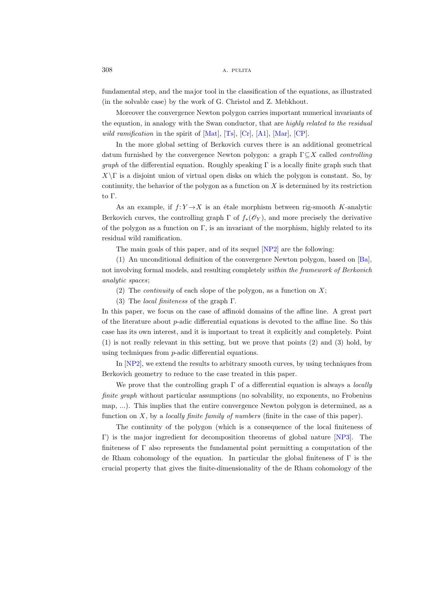fundamental step, and the major tool in the classification of the equations, as illustrated (in the solvable case) by the work of G. Christol and Z. Mebkhout.

Moreover the convergence Newton polygon carries important numerical invariants of the equation, in analogy with the Swan conductor, that are highly related to the residual wild ramification in the spirit of  $[Mat]$ ,  $[Ts]$ ,  $[Cr]$ ,  $[A1]$ ,  $[Mar]$ ,  $[CP]$ .

In the more global setting of Berkovich curves there is an additional geometrical datum furnished by the convergence Newton polygon: a graph  $\Gamma \subseteq X$  called *controlling graph* of the differential equation. Roughly speaking  $\Gamma$  is a locally finite graph such that  $X\Gamma$  is a disjoint union of virtual open disks on which the polygon is constant. So, by continuity, the behavior of the polygon as a function on  $X$  is determined by its restriction to Γ.

As an example, if  $f: Y \rightarrow X$  is an étale morphism between rig-smooth K-analytic Berkovich curves, the controlling graph  $\Gamma$  of  $f_*(\mathscr{O}_Y)$ , and more precisely the derivative of the polygon as a function on  $\Gamma$ , is an invariant of the morphism, highly related to its residual wild ramification.

The main goals of this paper, and of its sequel [\[NP2\]](#page-48-3) are the following:

(1) An unconditional definition of the convergence Newton polygon, based on [\[Ba\]](#page-46-3), not involving formal models, and resulting completely within the framework of Berkovich analytic spaces;

- (2) The *continuity* of each slope of the polygon, as a function on  $X$ ;
- (3) The *local finiteness* of the graph  $\Gamma$ .

In this paper, we focus on the case of affinoid domains of the affine line. A great part of the literature about p-adic differential equations is devoted to the affine line. So this case has its own interest, and it is important to treat it explicitly and completely. Point (1) is not really relevant in this setting, but we prove that points (2) and (3) hold, by using techniques from p-adic differential equations.

In [\[NP2\]](#page-48-3), we extend the results to arbitrary smooth curves, by using techniques from Berkovich geometry to reduce to the case treated in this paper.

We prove that the controlling graph  $\Gamma$  of a differential equation is always a *locally* finite graph without particular assumptions (no solvability, no exponents, no Frobenius map, ...). This implies that the entire convergence Newton polygon is determined, as a function on  $X$ , by a *locally finite family of numbers* (finite in the case of this paper).

The continuity of the polygon (which is a consequence of the local finiteness of Γ) is the major ingredient for decomposition theorems of global nature [\[NP3\]](#page-48-5). The finiteness of  $\Gamma$  also represents the fundamental point permitting a computation of the de Rham cohomology of the equation. In particular the global finiteness of  $\Gamma$  is the crucial property that gives the finite-dimensionality of the de Rham cohomology of the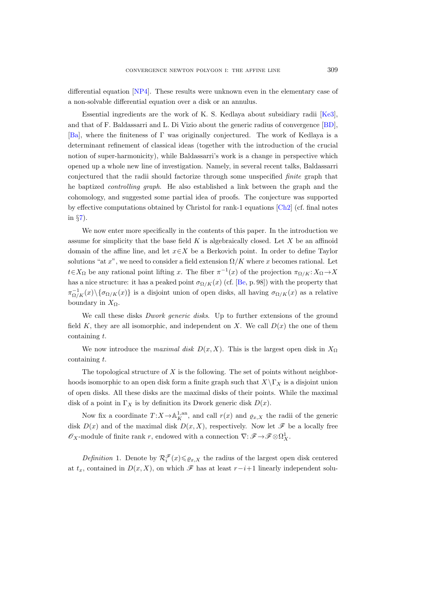differential equation [\[NP4\]](#page-48-6). These results were unknown even in the elementary case of a non-solvable differential equation over a disk or an annulus.

Essential ingredients are the work of K. S. Kedlaya about subsidiary radii [\[Ke3\]](#page-47-8), and that of F. Baldassarri and L. Di Vizio about the generic radius of convergence [\[BD\]](#page-46-4), [\[Ba\]](#page-46-3), where the finiteness of Γ was originally conjectured. The work of Kedlaya is a determinant refinement of classical ideas (together with the introduction of the crucial notion of super-harmonicity), while Baldassarri's work is a change in perspective which opened up a whole new line of investigation. Namely, in several recent talks, Baldassarri conjectured that the radii should factorize through some unspecified finite graph that he baptized controlling graph. He also established a link between the graph and the cohomology, and suggested some partial idea of proofs. The conjecture was supported by effective computations obtained by Christol for rank-1 equations [\[Ch2\]](#page-46-5) (cf. final notes in §[7\)](#page-45-0).

We now enter more specifically in the contents of this paper. In the introduction we assume for simplicity that the base field  $K$  is algebraically closed. Let  $X$  be an affinoid domain of the affine line, and let  $x \in X$  be a Berkovich point. In order to define Taylor solutions "at x", we need to consider a field extension  $\Omega/K$  where x becomes rational. Let  $t \in X_{\Omega}$  be any rational point lifting x. The fiber  $\pi^{-1}(x)$  of the projection  $\pi_{\Omega/K}: X_{\Omega} \to X$ has a nice structure: it has a peaked point  $\sigma_{\Omega/K}(x)$  (cf. [\[Be,](#page-46-6) p. 98]) with the property that  $\pi^{-1}_{\Omega/K}(x)\setminus{\{\sigma_{\Omega/K}(x)\}}$  is a disjoint union of open disks, all having  $\sigma_{\Omega/K}(x)$  as a relative boundary in  $X_{\Omega}$ .

We call these disks *Dwork generic disks*. Up to further extensions of the ground field K, they are all isomorphic, and independent on X. We call  $D(x)$  the one of them containing t.

We now introduce the *maximal disk D(x, X)*. This is the largest open disk in  $X_{\Omega}$ containing t.

The topological structure of  $X$  is the following. The set of points without neighborhoods isomorphic to an open disk form a finite graph such that  $X\setminus \Gamma_X$  is a disjoint union of open disks. All these disks are the maximal disks of their points. While the maximal disk of a point in  $\Gamma_X$  is by definition its Dwork generic disk  $D(x)$ .

Now fix a coordinate  $T: X \to \mathbb{A}^{1, an}_K$ , and call  $r(x)$  and  $\varrho_{x,X}$  the radii of the generic disk  $D(x)$  and of the maximal disk  $D(x, X)$ , respectively. Now let  $\mathscr F$  be a locally free  $\mathscr{O}_X$ -module of finite rank r, endowed with a connection  $\nabla: \mathscr{F} \to \mathscr{F} \otimes \Omega^1_X$ .

<span id="page-2-0"></span>Definition 1. Denote by  $\mathcal{R}_i^{\mathscr{F}}(x) \leq \varrho_{x,X}$  the radius of the largest open disk centered at  $t_x$ , contained in  $D(x, X)$ , on which  $\mathscr F$  has at least  $r-i+1$  linearly independent solu-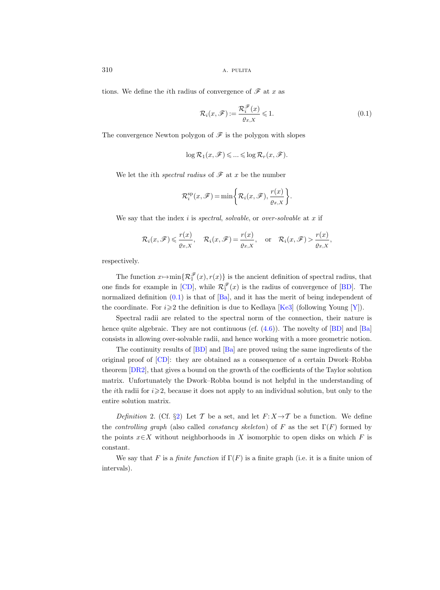tions. We define the *i*th radius of convergence of  $\mathscr F$  at x as

<span id="page-3-0"></span>
$$
\mathcal{R}_i(x,\mathscr{F}) := \frac{\mathcal{R}_i^{\mathscr{F}}(x)}{\varrho_{x,X}} \leq 1.
$$
\n(0.1)

The convergence Newton polygon of  $\mathscr F$  is the polygon with slopes

$$
\log \mathcal{R}_1(x, \mathscr{F}) \leqslant \ldots \leqslant \log \mathcal{R}_r(x, \mathscr{F}).
$$

We let the *i*th *spectral radius* of  $\mathscr F$  at x be the number

$$
\mathcal{R}_i^{\text{sp}}(x,\mathscr{F}) = \min\biggl\{\mathcal{R}_i(x,\mathscr{F}),\frac{r(x)}{\varrho_{x,X}}\biggr\}.
$$

We say that the index  $i$  is spectral, solvable, or over-solvable at  $x$  if

$$
\mathcal{R}_i(x,\mathscr{F}) \leq \frac{r(x)}{\varrho_{x,X}}, \quad \mathcal{R}_i(x,\mathscr{F}) = \frac{r(x)}{\varrho_{x,X}}, \quad \text{or} \quad \mathcal{R}_i(x,\mathscr{F}) > \frac{r(x)}{\varrho_{x,X}},
$$

respectively.

The function  $x \mapsto \min\{\mathcal{R}_1^{\mathscr{F}}(x), r(x)\}\$  is the ancient definition of spectral radius, that one finds for example in [\[CD\]](#page-46-1), while  $\mathcal{R}_1^{\mathcal{F}}(x)$  is the radius of convergence of [\[BD\]](#page-46-4). The normalized definition  $(0.1)$  is that of  $[Ba]$ , and it has the merit of being independent of the coordinate. For  $i \geq 2$  the definition is due to Kedlaya [\[Ke3\]](#page-47-8) (following Young [\[Y\]](#page-48-7)).

Spectral radii are related to the spectral norm of the connection, their nature is hence quite algebraic. They are not continuous (cf.  $(4.6)$ ). The novelty of [\[BD\]](#page-46-4) and [\[Ba\]](#page-46-3) consists in allowing over-solvable radii, and hence working with a more geometric notion.

The continuity results of [\[BD\]](#page-46-4) and [\[Ba\]](#page-46-3) are proved using the same ingredients of the original proof of [\[CD\]](#page-46-1): they are obtained as a consequence of a certain Dwork–Robba theorem [\[DR2\]](#page-47-9), that gives a bound on the growth of the coefficients of the Taylor solution matrix. Unfortunately the Dwork–Robba bound is not helpful in the understanding of the *i*th radii for  $i \geqslant 2$ , because it does not apply to an individual solution, but only to the entire solution matrix.

Definition 2. (Cf. §[2\)](#page-12-0) Let T be a set, and let  $F: X \rightarrow T$  be a function. We define the controlling graph (also called constancy skeleton) of F as the set  $\Gamma(F)$  formed by the points  $x \in X$  without neighborhoods in X isomorphic to open disks on which F is constant.

We say that F is a finite function if  $\Gamma(F)$  is a finite graph (i.e. it is a finite union of intervals).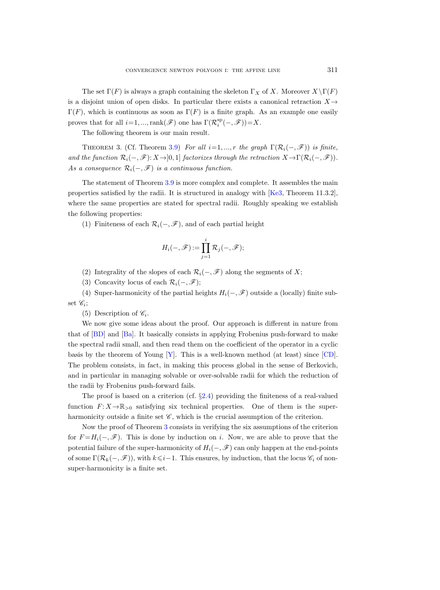The set  $\Gamma(F)$  is always a graph containing the skeleton  $\Gamma_X$  of X. Moreover  $X\backslash \Gamma(F)$ is a disjoint union of open disks. In particular there exists a canonical retraction  $X \rightarrow$  $\Gamma(F)$ , which is continuous as soon as  $\Gamma(F)$  is a finite graph. As an example one easily proves that for all  $i=1, ..., rank(\mathscr{F})$  one has  $\Gamma(\mathcal{R}_i^{\text{sp}}(-, \mathscr{F})) = X$ .

The following theorem is our main result.

<span id="page-4-0"></span>THEOREM 3. (Cf. Theorem [3.9\)](#page-23-0) For all  $i=1, ..., r$  the graph  $\Gamma(\mathcal{R}_i(-, \mathcal{F}))$  is finite, and the function  $\mathcal{R}_i(-, \mathscr{F})$ :  $X \rightarrow [0, 1]$  factorizes through the retraction  $X \rightarrow \Gamma(\mathcal{R}_i(-, \mathscr{F}))$ . As a consequence  $\mathcal{R}_i(-, \mathcal{F})$  is a continuous function.

The statement of Theorem [3.9](#page-23-0) is more complex and complete. It assembles the main properties satisfied by the radii. It is structured in analogy with [\[Ke3,](#page-47-8) Theorem 11.3.2], where the same properties are stated for spectral radii. Roughly speaking we establish the following properties:

(1) Finiteness of each  $\mathcal{R}_i(-, \mathscr{F})$ , and of each partial height

$$
H_i(-, \mathscr{F}) := \prod_{j=1}^i \mathcal{R}_j(-, \mathscr{F});
$$

- (2) Integrality of the slopes of each  $\mathcal{R}_i(-, \mathscr{F})$  along the segments of X;
- (3) Concavity locus of each  $\mathcal{R}_i(-, \mathscr{F})$ ;

(4) Super-harmonicity of the partial heights  $H_i(-, \mathscr{F})$  outside a (locally) finite subset  $\mathscr{C}_i$ ;

(5) Description of  $\mathscr{C}_i$ .

We now give some ideas about the proof. Our approach is different in nature from that of [\[BD\]](#page-46-4) and [\[Ba\]](#page-46-3). It basically consists in applying Frobenius push-forward to make the spectral radii small, and then read them on the coefficient of the operator in a cyclic basis by the theorem of Young [\[Y\]](#page-48-7). This is a well-known method (at least) since [\[CD\]](#page-46-1). The problem consists, in fact, in making this process global in the sense of Berkovich, and in particular in managing solvable or over-solvable radii for which the reduction of the radii by Frobenius push-forward fails.

The proof is based on a criterion (cf. §[2.4\)](#page-15-0) providing the finiteness of a real-valued function  $F: X \to \mathbb{R}_{\geq 0}$  satisfying six technical properties. One of them is the superharmonicity outside a finite set  $\mathscr{C}$ , which is the crucial assumption of the criterion.

Now the proof of Theorem [3](#page-4-0) consists in verifying the six assumptions of the criterion for  $F = H_i(-, \mathcal{F})$ . This is done by induction on i. Now, we are able to prove that the potential failure of the super-harmonicity of  $H_i(-, \mathscr{F})$  can only happen at the end-points of some  $\Gamma(\mathcal{R}_k(-, \mathscr{F}))$ , with  $k \leq i-1$ . This ensures, by induction, that the locus  $\mathscr{C}_i$  of nonsuper-harmonicity is a finite set.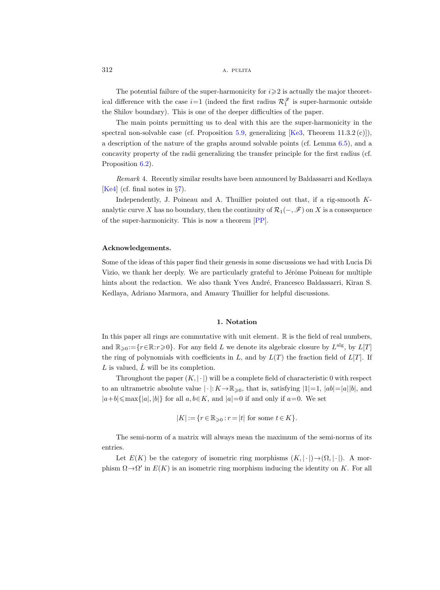The potential failure of the super-harmonicity for  $i \geqslant 2$  is actually the major theoretical difference with the case  $i=1$  (indeed the first radius  $\mathcal{R}_1^{\mathscr{F}}$  is super-harmonic outside the Shilov boundary). This is one of the deeper difficulties of the paper.

The main points permitting us to deal with this are the super-harmonicity in the spectral non-solvable case (cf. Proposition [5.9,](#page-40-0) generalizing  $[Ke3,$  Theorem 11.3.2 (c)]), a description of the nature of the graphs around solvable points (cf. Lemma [6.5\)](#page-43-0), and a concavity property of the radii generalizing the transfer principle for the first radius (cf. Proposition  $6.2$ ).

Remark 4. Recently similar results have been announced by Baldassarri and Kedlaya [\[Ke4\]](#page-47-10) (cf. final notes in §[7\)](#page-45-0).

Independently, J. Poineau and A. Thuillier pointed out that, if a rig-smooth Kanalytic curve X has no boundary, then the continuity of  $\mathcal{R}_1(-, \mathscr{F})$  on X is a consequence of the super-harmonicity. This is now a theorem [\[PP\]](#page-48-8).

## Acknowledgements.

Some of the ideas of this paper find their genesis in some discussions we had with Lucia Di Vizio, we thank her deeply. We are particularly grateful to Jérôme Poineau for multiple hints about the redaction. We also thank Yves André, Francesco Baldassarri, Kiran S. Kedlaya, Adriano Marmora, and Amaury Thuillier for helpful discussions.

#### 1. Notation

In this paper all rings are commutative with unit element.  $\mathbb R$  is the field of real numbers, and  $\mathbb{R}_{\geqslant 0} := \{r \in \mathbb{R} : r \geqslant 0\}$ . For any field L we denote its algebraic closure by  $L^{\text{alg}}$ , by  $L[T]$ the ring of polynomials with coefficients in L, and by  $L(T)$  the fraction field of  $L[T]$ . If L is valued,  $\hat{L}$  will be its completion.

Throughout the paper  $(K, |\cdot|)$  will be a complete field of characteristic 0 with respect to an ultrametric absolute value  $|\cdot|: K \to \mathbb{R}_{\geqslant 0}$ , that is, satisfying  $|1|=1$ ,  $|ab|=|a||b|$ , and  $|a+b| \le \max\{|a|, |b|\}$  for all  $a, b \in K$ , and  $|a|=0$  if and only if  $a=0$ . We set

$$
|K| := \{r \in \mathbb{R}_{\geqslant 0} : r = |t| \text{ for some } t \in K\}.
$$

The semi-norm of a matrix will always mean the maximum of the semi-norms of its entries.

Let  $E(K)$  be the category of isometric ring morphisms  $(K, |\cdot|) \rightarrow (\Omega, |\cdot|)$ . A morphism  $\Omega \rightarrow \Omega'$  in  $E(K)$  is an isometric ring morphism inducing the identity on K. For all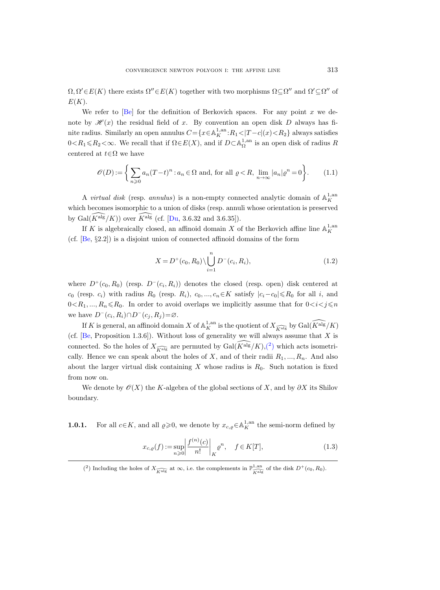$\Omega, \Omega' \in E(K)$  there exists  $\Omega'' \in E(K)$  together with two morphisms  $\Omega \subseteq \Omega''$  and  $\Omega' \subseteq \Omega''$  of  $E(K)$ .

We refer to  $[Be]$  for the definition of Berkovich spaces. For any point x we denote by  $\mathcal{H}(x)$  the residual field of x. By convention an open disk D always has finite radius. Similarly an open annulus  $C = \{x \in \mathbb{A}^{1, \text{an}}_K : R_1 < |T - c|(x) < R_2\}$  always satisfies  $0 < R_1 \le R_2 < \infty$ . We recall that if  $\Omega \in E(X)$ , and if  $D \subset \mathbb{A}_{\Omega}^{1,an}$  is an open disk of radius R centered at  $t \in \Omega$  we have

$$
\mathcal{O}(D) := \left\{ \sum_{n\geq 0} a_n (T-t)^n : a_n \in \Omega \text{ and, for all } \varrho < R, \lim_{n\to\infty} |a_n| \varrho^n = 0 \right\}.
$$
\n(1.1)

A *virtual disk* (resp. *annulus*) is a non-empty connected analytic domain of  $\mathbb{A}_K^{1,\text{an}}$ which becomes isomorphic to a union of disks (resp. annuli whose orientation is preserved by Gal $(K^{alg}/K)$ ) over  $\widehat{K}^{alg}$  (cf. [\[Du,](#page-47-11) 3.6.32 and 3.6.35]).

If K is algebraically closed, an affinoid domain X of the Berkovich affine line  $\mathbb{A}^{1,\mathrm{an}}_K$ (cf. [\[Be,](#page-46-6) §2.2]) is a disjoint union of connected affinoid domains of the form

<span id="page-6-2"></span>
$$
X = D^{+}(c_0, R_0) \setminus \bigcup_{i=1}^{n} D^{-}(c_i, R_i), \qquad (1.2)
$$

where  $D^+(c_0, R_0)$  (resp.  $D^-(c_i, R_i)$ ) denotes the closed (resp. open) disk centered at  $c_0$  (resp.  $c_i$ ) with radius  $R_0$  (resp.  $R_i$ ),  $c_0, ..., c_n \in K$  satisfy  $|c_i-c_0| \le R_0$  for all i, and  $0\leq R_1, ..., R_n\leq R_0$ . In order to avoid overlaps we implicitly assume that for  $0\leq i < j \leq n$ we have  $D^-(c_i, R_i) \cap D^-(c_j, R_j) = \varnothing$ .

If K is general, an affinoid domain X of  $\mathbb{A}^{1,\mathrm{an}}_K$  is the quotient of  $X_{\widehat{K\mathrm{alg}}}$  by  $\mathrm{Gal}(\widehat{K^\mathrm{alg}}/K)$ (cf. [\[Be,](#page-46-6) Proposition 1.3.6]). Without loss of generality we will always assume that  $X$  is connected. So the holes of  $X_{\widehat{K}^{\mathrm{alg}}}$  are permuted by  $\text{Gal}(\widehat{K}^{\mathrm{alg}}/K),$ <sup>(2)</sup> which acts isometrically. Hence we can speak about the holes of X, and of their radii  $R_1, ..., R_n$ . And also about the larger virtual disk containing  $X$  whose radius is  $R_0$ . Such notation is fixed from now on.

We denote by  $\mathcal{O}(X)$  the K-algebra of the global sections of X, and by  $\partial X$  its Shilov boundary.

<span id="page-6-1"></span>**1.0.1.** For all  $c \in K$ , and all  $\varrho \ge 0$ , we denote by  $x_{c,\varrho} \in A_K^{1,\text{an}}$  the semi-norm defined by

$$
x_{c,\varrho}(f) := \sup_{n \ge 0} \left| \frac{f^{(n)}(c)}{n!} \right|_K \varrho^n, \quad f \in K[T],
$$
\n(1.3)

<span id="page-6-0"></span><sup>(2)</sup> Including the holes of  $X_{\widehat{K\text{alg}}}$  at  $\infty$ , i.e. the complements in  $\mathbb{P}^{1,\text{an}}_{\widehat{K\text{alg}}}$  of the disk  $D^+(c_0, R_0)$ .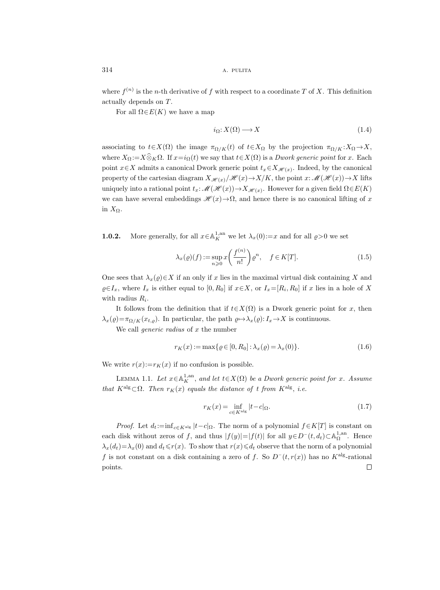where  $f^{(n)}$  is the *n*-th derivative of f with respect to a coordinate T of X. This definition actually depends on T.

For all  $\Omega \in E(K)$  we have a map

$$
i_{\Omega}: X(\Omega) \longrightarrow X \tag{1.4}
$$

associating to  $t \in X(\Omega)$  the image  $\pi_{\Omega/K}(t)$  of  $t \in X_{\Omega}$  by the projection  $\pi_{\Omega/K}: X_{\Omega} \to X$ , where  $X_{\Omega} := X \widehat{\otimes}_K \Omega$ . If  $x=i_{\Omega}(t)$  we say that  $t \in X(\Omega)$  is a *Dwork generic point* for x. Each point  $x \in X$  admits a canonical Dwork generic point  $t_x \in X_{\mathscr{H}(x)}$ . Indeed, by the canonical property of the cartesian diagram  $X_{\mathscr{H}(x)}/\mathscr{H}(x) \to X/K$ , the point  $x:\mathscr{M}(\mathscr{H}(x)) \to X$  lifts uniquely into a rational point  $t_x: \mathscr{M}(\mathscr{H}(x)) \to X_{\mathscr{H}(x)}$ . However for a given field  $\Omega \in E(K)$ we can have several embeddings  $\mathscr{H}(x) \to \Omega$ , and hence there is no canonical lifting of x in  $X_{\Omega}$ .

<span id="page-7-1"></span>**1.0.2.** More generally, for all  $x \in A_K^{1,an}$  we let  $\lambda_x(0) := x$  and for all  $\varrho > 0$  we set

$$
\lambda_x(\varrho)(f) := \sup_{n \ge 0} x \left( \frac{f^{(n)}}{n!} \right) \varrho^n, \quad f \in K[T]. \tag{1.5}
$$

One sees that  $\lambda_x(\varrho) \in X$  if an only if x lies in the maximal virtual disk containing X and  $\varrho \in I_x$ , where  $I_x$  is either equal to  $[0, R_0]$  if  $x \in X$ , or  $I_x = [R_i, R_0]$  if x lies in a hole of X with radius  $R_i$ .

It follows from the definition that if  $t \in X(\Omega)$  is a Dwork generic point for x, then  $\lambda_x(\varrho) = \pi_{\Omega/K}(x_{t,\varrho})$ . In particular, the path  $\varrho \mapsto \lambda_x(\varrho) : I_x \to X$  is continuous.

We call *generic radius* of  $x$  the number

<span id="page-7-2"></span>
$$
r_K(x) := \max\{ \varrho \in [0, R_0] : \lambda_x(\varrho) = \lambda_x(0) \}. \tag{1.6}
$$

We write  $r(x):=r_K(x)$  if no confusion is possible.

<span id="page-7-0"></span>LEMMA 1.1. Let  $x \in \mathbb{A}^{1,\mathrm{an}}_K$ , and let  $t \in X(\Omega)$  be a Dwork generic point for x. Assume that  $K^{\text{alg}} \subset \Omega$ . Then  $r_K(x)$  equals the distance of t from  $K^{\text{alg}}$ , i.e.

$$
r_K(x) = \inf_{c \in K^{\text{alg}}} |t - c|_{\Omega}.
$$
\n(1.7)

*Proof.* Let  $d_t := inf_{c \in K^{\text{alg}}} |t - c|_{\Omega}$ . The norm of a polynomial  $f \in K[T]$  is constant on each disk without zeros of f, and thus  $|f(y)| = |f(t)|$  for all  $y \in D^{-}(t, d_t) \subset \mathbb{A}_{\Omega}^{1, \text{an}}$ . Hence  $\lambda_x(d_t) = \lambda_x(0)$  and  $d_t \leq r(x)$ . To show that  $r(x) \leq d_t$  observe that the norm of a polynomial f is not constant on a disk containing a zero of f. So  $D^-(t, r(x))$  has no K<sup>alg</sup>-rational  $\Box$ points.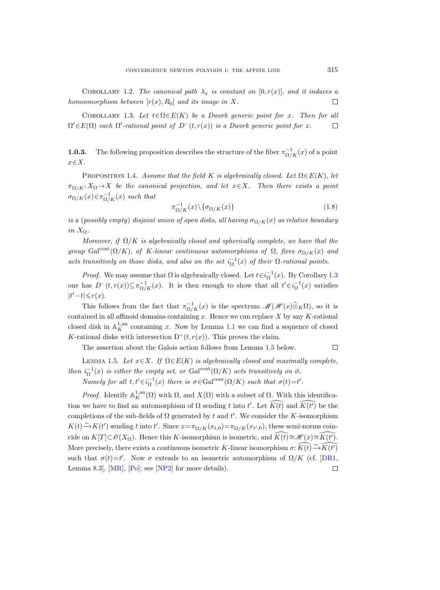COROLLARY 1.2. The canonical path  $\lambda_x$  is constant on [0, r(x)], and it induces a homeomorphism between  $[r(x), R_0]$  and its image in X.  $\Box$ 

<span id="page-8-0"></span>COROLLARY 1.3. Let  $t \in \Omega \in E(K)$  be a Dwork generic point for x. Then for all  $\Omega' \in E(\Omega)$  each  $\Omega'$ -rational point of  $D^-(t, r(x))$  is a Dwork generic point for x.  $\Box$ 

**1.0.3.** The following proposition describes the structure of the fiber  $\pi_{\Omega/K}^{-1}(x)$  of a point  $x \in X$ .

<span id="page-8-2"></span>PROPOSITION 1.4. Assume that the field K is algebraically closed. Let  $\Omega \in E(K)$ , let  $\pi_{\Omega/K}: X_{\Omega} \to X$  be the canonical projection, and let  $x \in X$ . Then there exists a point  $\sigma_{\Omega/K}(x) \in \pi_{\Omega/K}^{-1}(x)$  such that

$$
\pi_{\Omega/K}^{-1}(x)\backslash\{\sigma_{\Omega/K}(x)\}\tag{1.8}
$$

is a (possibly empty) disjoint union of open disks, all having  $\sigma_{Q/K}(x)$  as relative boundary in  $X_{\Omega}$ .

Moreover, if  $\Omega/K$  is algebraically closed and spherically complete, we have that the group Gal<sup>cont</sup>( $\Omega/K$ ), of K-linear continuous automorphisms of  $\Omega$ , fixes  $\sigma_{\Omega/K}(x)$  and acts transitively on those disks, and also on the set  $i_{\Omega}^{-1}(x)$  of their  $\Omega$ -rational points.

*Proof.* We may assume that  $\Omega$  is algebraically closed. Let  $t \in i_{\Omega}^{-1}(x)$ . By Corollary [1.3](#page-8-0) one has  $D^-(t, r(x)) \subseteq \pi_{\Omega/K}^{-1}(x)$ . It is then enough to show that all  $t' \in i_{\Omega}^{-1}(x)$  satisfies  $|t'-t| \leqslant r(x)$ .

This follows from the fact that  $\pi_{\Omega/K}^{-1}(x)$  is the spectrum  $\mathscr{M}(\mathscr{H}(x)\widehat{\otimes}_K\Omega)$ , so it is contained in all affinoid domains containing x. Hence we can replace  $X$  by any K-rational closed disk in  $\mathbb{A}_K^{1,\mathrm{an}}$  containing x. Now by Lemma [1.1](#page-7-0) we can find a sequence of closed K-rational disks with intersection  $D^+(t, r(x))$ . This proves the claim.

The assertion about the Galois action follows from Lemma [1.5](#page-8-1) below.

<span id="page-8-1"></span>LEMMA 1.5. Let  $x \in X$ . If  $\Omega \in E(K)$  is algebraically closed and maximally complete, then  $i_{\Omega}^{-1}(x)$  is either the empty set, or Gal<sup>cont</sup> $(\Omega/K)$  acts transitively on it.

Namely for all  $t, t' \in i_{\Omega}^{-1}(x)$  there is  $\sigma \in \text{Gal}^{\text{cont}}(\Omega/K)$  such that  $\sigma(t) = t'.$ 

*Proof.* Identify  $\mathbb{A}_K^{1,\mathrm{an}}(\Omega)$  with  $\Omega$ , and  $X(\Omega)$  with a subset of  $\Omega$ . With this identification we have to find an automorphism of  $\Omega$  sending t into t'. Let  $\widehat{K(t)}$  and  $\widehat{K(t')}$  be the completions of the sub-fields of  $\Omega$  generated by t and t'. We consider the K-isomorphism  $K(t) \to K(t')$  sending t into t'. Since  $x = \pi_{\Omega/K}(x_{t,0}) = \pi_{\Omega/K}(x_{t',0})$ , these semi-norms coincide on  $K[T] \subset \mathscr{O}(X_{\Omega})$ . Hence this K-isomorphism is isometric, and  $\widehat{K(t)} \cong \mathscr{H}(x) \cong \widehat{K(t')}$ . More precisely, there exists a continuous isometric K-linear isomorphism  $\sigma: \widehat{K(t)} \to \widehat{K(t')}$ such that  $\sigma(t)=t'$ . Now  $\sigma$  extends to an isometric automorphism of  $\Omega/K$  (cf. [\[DR1,](#page-47-4) Lemma 8.3,  $[MR]$ ,  $[Po]$ ; see  $[NP2]$  for more details).  $\Box$ 

 $\Box$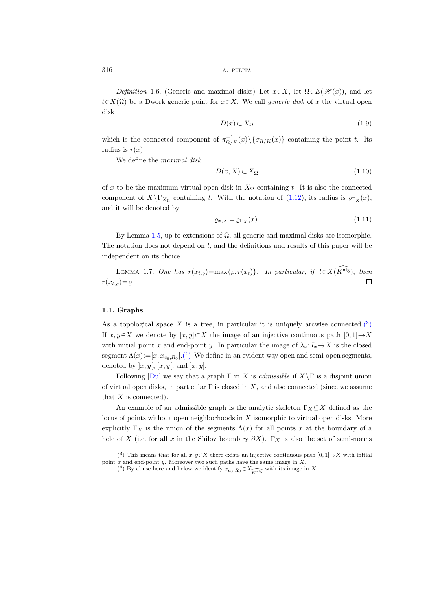$316$  A. PULITA

Definition 1.6. (Generic and maximal disks) Let  $x \in X$ , let  $\Omega \in E(\mathcal{H}(x))$ , and let  $t\in X(\Omega)$  be a Dwork generic point for  $x\in X$ . We call *generic disk* of x the virtual open disk

$$
D(x) \subset X_{\Omega} \tag{1.9}
$$

which is the connected component of  $\pi^{-1}_{\Omega/K}(x)\setminus{\sigma_{\Omega/K}(x)}$  containing the point t. Its radius is  $r(x)$ .

We define the maximal disk

$$
D(x, X) \subset X_{\Omega} \tag{1.10}
$$

of x to be the maximum virtual open disk in  $X_{\Omega}$  containing t. It is also the connected component of  $X \backslash \Gamma_{X_{\Omega}}$  containing t. With the notation of [\(1.12\)](#page-10-0), its radius is  $\varrho_{\Gamma_X}(x)$ , and it will be denoted by

$$
\varrho_{x,X} = \varrho_{\Gamma_X}(x). \tag{1.11}
$$

By Lemma [1.5,](#page-8-1) up to extensions of  $\Omega$ , all generic and maximal disks are isomorphic. The notation does not depend on  $t$ , and the definitions and results of this paper will be independent on its choice.

LEMMA 1.7. One has  $r(x_{t,\rho})=\max\{\varrho, r(x_t)\}\$ . In particular, if  $t\in X(\widehat{K^{\mathrm{alg}}})$ , then  $r(x_{t,\rho})=\varrho$ .  $\Box$ 

## 1.1. Graphs

As a topological space X is a tree, in particular it is uniquely arcwise connected.<sup>(3)</sup> If  $x, y \in X$  we denote by  $[x, y] \subset X$  the image of an injective continuous path  $[0, 1] \to X$ with initial point x and end-point y. In particular the image of  $\lambda_x: I_x \to X$  is the closed segment  $\Lambda(x) := [x, x_{c_0, R_0}] \cdot {4 \choose 1}$  We define in an evident way open and semi-open segments, denoted by  $[x, y[, [x, y], \text{ and } ]x, y].$ 

Following [\[Du\]](#page-47-11) we say that a graph  $\Gamma$  in X is admissible if  $X\setminus\Gamma$  is a disjoint union of virtual open disks, in particular  $\Gamma$  is closed in X, and also connected (since we assume that  $X$  is connected).

An example of an admissible graph is the analytic skeleton  $\Gamma_X \subseteq X$  defined as the locus of points without open neighborhoods in X isomorphic to virtual open disks. More explicitly  $\Gamma_X$  is the union of the segments  $\Lambda(x)$  for all points x at the boundary of a hole of X (i.e. for all x in the Shilov boundary  $\partial X$ ).  $\Gamma_X$  is also the set of semi-norms

<sup>(&</sup>lt;sup>3</sup>) This means that for all  $x, y \in X$  there exists an injective continuous path  $[0, 1] \rightarrow X$  with initial point x and end-point y. Moreover two such paths have the same image in  $X$ .

<span id="page-9-1"></span><span id="page-9-0"></span><sup>(&</sup>lt;sup>4</sup>) By abuse here and below we identify  $x_{c_0,R_0} \in X_{\widehat{K\text{alg}}}$  with its image in X.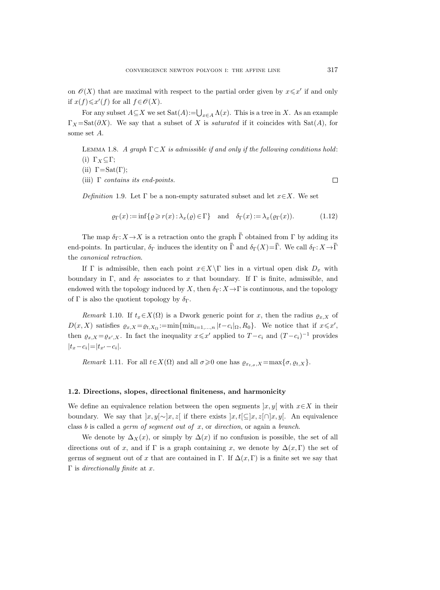on  $\mathcal{O}(X)$  that are maximal with respect to the partial order given by  $x \leq x'$  if and only if  $x(f)$  ≤  $x'(f)$  for all  $f \in \mathcal{O}(X)$ .

For any subset  $A \subseteq X$  we set  $\text{Sat}(A) := \bigcup_{x \in A} \Lambda(x)$ . This is a tree in X. As an example  $\Gamma_X = \text{Sat}(\partial X)$ . We say that a subset of X is *saturated* if it coincides with Sat $(A)$ , for some set A.

LEMMA 1.8. A graph  $\Gamma \subset X$  is admissible if and only if the following conditions hold: (i)  $\Gamma_X \subseteq \Gamma$ ;

(ii)  $\Gamma = \text{Sat}(\Gamma);$ 

(iii)  $\Gamma$  contains its end-points.

 $\Box$ 

<span id="page-10-1"></span>Definition 1.9. Let  $\Gamma$  be a non-empty saturated subset and let  $x \in X$ . We set

<span id="page-10-0"></span> $\rho_{\Gamma}(x) := \inf \{ \rho \geq r(x) : \lambda_x(\rho) \in \Gamma \}$  and  $\delta_{\Gamma}(x) := \lambda_x(\rho_{\Gamma}(x)).$  (1.12)

The map  $\delta_{\Gamma}: X \to X$  is a retraction onto the graph  $\overline{\Gamma}$  obtained from  $\Gamma$  by adding its end-points. In particular,  $\delta_{\Gamma}$  induces the identity on  $\overline{\Gamma}$  and  $\delta_{\Gamma}(X)=\overline{\Gamma}$ . We call  $\delta_{\Gamma}:X\to\overline{\Gamma}$ the canonical retraction.

If Γ is admissible, then each point  $x \in X \backslash \Gamma$  lies in a virtual open disk  $D_x$  with boundary in Γ, and  $\delta_{\Gamma}$  associates to x that boundary. If Γ is finite, admissible, and endowed with the topology induced by X, then  $\delta_{\Gamma}: X \to \Gamma$  is continuous, and the topology of Γ is also the quotient topology by  $\delta_{\Gamma}$ .

<span id="page-10-3"></span>Remark 1.10. If  $t_x \in X(\Omega)$  is a Dwork generic point for x, then the radius  $\varrho_{x,X}$  of  $D(x, X)$  satisfies  $\varrho_{x,X} = \varrho_{t,X_{\Omega}} := \min \{ \min_{i=1,\dots,n} |t-c_i|_{\Omega}, R_0 \}.$  We notice that if  $x \leq x'$ , then  $\varrho_{x,X} = \varrho_{x',X}$ . In fact the inequality  $x \leq x'$  applied to  $T - c_i$  and  $(T - c_i)^{-1}$  provides  $|t_x-c_i|=|t_{x'}-c_i|.$ 

Remark 1.11. For all  $t \in X(\Omega)$  and all  $\sigma \geq 0$  one has  $\varrho_{x_t,\sigma,X} = \max{\lbrace \sigma, \varrho_{t,X} \rbrace}$ .

## <span id="page-10-2"></span>1.2. Directions, slopes, directional finiteness, and harmonicity

We define an equivalence relation between the open segments  $|x, y|$  with  $x \in X$  in their boundary. We say that  $|x, y[\sim]x, z[$  if there exists  $|x, t[\subseteq ]x, z[\cap ]x, y[$ . An equivalence class b is called a *germ of segment out of*  $x$ , or *direction*, or again a *branch*.

We denote by  $\Delta_X(x)$ , or simply by  $\Delta(x)$  if no confusion is possible, the set of all directions out of x, and if Γ is a graph containing x, we denote by  $\Delta(x,\Gamma)$  the set of germs of segment out of x that are contained in Γ. If  $\Delta(x, \Gamma)$  is a finite set we say that  $Γ$  is *directionally finite* at  $x$ .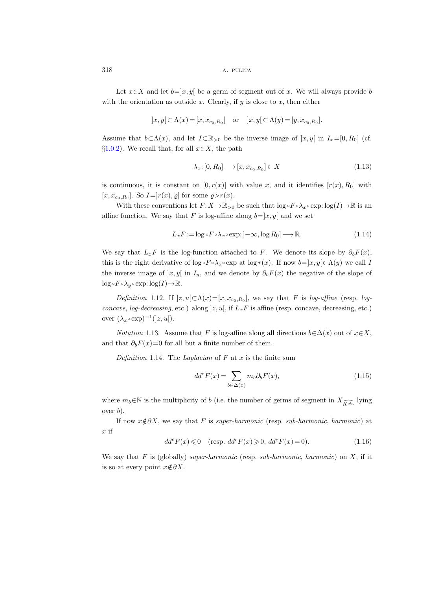Let  $x \in X$  and let  $b=]x, y[$  be a germ of segment out of x. We will always provide b with the orientation as outside  $x$ . Clearly, if  $y$  is close to  $x$ , then either

$$
]x,y[ \subset \Lambda(x) = [x,x_{c_0,R_0}] \quad \text{or} \quad ]x,y[ \subset \Lambda(y) = [y,x_{c_0,R_0}].
$$

Assume that  $b \subset \Lambda(x)$ , and let  $I \subset \mathbb{R}_{>0}$  be the inverse image of  $[x, y]$  in  $I_x=[0, R_0]$  (cf. §[1.0.2\)](#page-7-1). We recall that, for all  $x \in X$ , the path

<span id="page-11-5"></span>
$$
\lambda_x: [0, R_0] \longrightarrow [x, x_{c_0, R_0}] \subset X \tag{1.13}
$$

is continuous, it is constant on  $[0, r(x)]$  with value x, and it identifies  $[r(x), R_0]$  with  $[x, x_{c_0,R_0}]$ . So  $I =$  $r(x)$ ,  $\varrho$ [ for some  $\varrho > r(x)$ .

With these conventions let  $F: X \to \mathbb{R}_{>0}$  be such that  $\log \circ F \circ \lambda_x \circ \exp : \log(I) \to \mathbb{R}$  is an affine function. We say that F is log-affine along  $b=|x, y|$  and we set

$$
L_x F := \log \circ F \circ \lambda_x \circ \exp : ]-\infty, \log R_0] \longrightarrow \mathbb{R}.
$$
 (1.14)

We say that  $L_xF$  is the log-function attached to F. We denote its slope by  $\partial_bF(x)$ , this is the right derivative of log  $\overline{F} \circ \lambda_x \circ \exp$  at log  $r(x)$ . If now  $b=]x, y[\subset \Lambda(y)$  we call I the inverse image of  $[x, y]$  in  $I_y$ , and we denote by  $\partial_b F(x)$  the negative of the slope of  $\log \circ F \circ \lambda_y \circ \exp : \log(I) \to \mathbb{R}$ .

<span id="page-11-3"></span>Definition 1.12. If  $]z, u[\subset \Lambda(x) = [x, x_{c_0, R_0}]$ , we say that F is log-affine (resp. logconcave, log-decreasing, etc.) along  $]z, u[$ , if  $L_xF$  is affine (resp. concave, decreasing, etc.) over  $(\lambda_x \circ \exp)^{-1}(|z, u|)$ .

<span id="page-11-0"></span>*Notation* 1.13. Assume that F is log-affine along all directions  $b \in \Delta(x)$  out of  $x \in X$ , and that  $\partial_b F(x)=0$  for all but a finite number of them.

<span id="page-11-1"></span>Definition 1.14. The Laplacian of  $F$  at  $x$  is the finite sum

$$
dd^c F(x) = \sum_{b \in \Delta(x)} m_b \partial_b F(x), \qquad (1.15)
$$

where  $m_b \in \mathbb{N}$  is the multiplicity of b (i.e. the number of germs of segment in  $X_{\widehat{k}_{\text{alg}}}$  lying over  $b$ ).

If now  $x \notin \partial X$ , we say that F is super-harmonic (resp. sub-harmonic, harmonic) at x if

<span id="page-11-2"></span>
$$
ddc F(x) \leq 0 \quad (\text{resp. } ddc F(x) \geq 0, ddc F(x) = 0). \tag{1.16}
$$

<span id="page-11-4"></span>We say that F is (globally) super-harmonic (resp. sub-harmonic, harmonic) on X, if it is so at every point  $x \notin \partial X$ .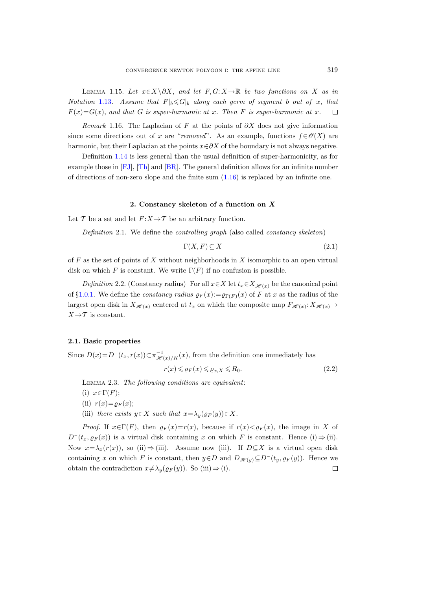LEMMA 1.15. Let  $x \in X \ \partial X$ , and let  $F, G: X \to \mathbb{R}$  be two functions on X as in Notation [1.13](#page-11-0). Assume that  $F|_b \leq G|_b$  along each germ of segment b out of x, that  $F(x)=G(x)$ , and that G is super-harmonic at x. Then F is super-harmonic at x.  $\Box$ 

Remark 1.16. The Laplacian of F at the points of  $\partial X$  does not give information since some directions out of x are "removed". As an example, functions  $f \in \mathcal{O}(X)$  are harmonic, but their Laplacian at the points  $x \in \partial X$  of the boundary is not always negative.

Definition [1.14](#page-11-1) is less general than the usual definition of super-harmonicity, as for example those in [\[FJ\]](#page-47-13), [\[Th\]](#page-48-10) and [\[BR\]](#page-46-7). The general definition allows for an infinite number of directions of non-zero slope and the finite sum  $(1.16)$  is replaced by an infinite one.

## 2. Constancy skeleton of a function on X

<span id="page-12-3"></span><span id="page-12-0"></span>Let T be a set and let  $F: X \to T$  be an arbitrary function.

Definition 2.1. We define the controlling graph (also called constancy skeleton)

$$
\Gamma(X, F) \subseteq X \tag{2.1}
$$

of  $F$  as the set of points of  $X$  without neighborhoods in  $X$  isomorphic to an open virtual disk on which F is constant. We write  $\Gamma(F)$  if no confusion is possible.

Definition 2.2. (Constancy radius) For all  $x \in X$  let  $t_x \in X_{\mathcal{H}(x)}$  be the canonical point of §[1.0.1.](#page-6-1) We define the *constancy radius*  $\rho_F(x) := \rho_{\Gamma(F)}(x)$  of F at x as the radius of the largest open disk in  $X_{\mathscr{H}(x)}$  centered at  $t_x$  on which the composite map  $F_{\mathscr{H}(x)}$ :  $X_{\mathscr{H}(x)}$   $\rightarrow$  $X \rightarrow \mathcal{T}$  is constant.

#### 2.1. Basic properties

Since  $D(x) = D^{-}(t_x, r(x)) \subset \pi_{\mathscr{H}(x)/K}^{-1}(x)$ , from the definition one immediately has

<span id="page-12-2"></span>
$$
r(x) \leqslant \varrho_F(x) \leqslant \varrho_{x,X} \leqslant R_0. \tag{2.2}
$$

<span id="page-12-1"></span>Lemma 2.3. The following conditions are equivalent:

(i)  $x \in \Gamma(F)$ ;

(ii)  $r(x)=\varrho_F(x);$ 

(iii) there exists  $y \in X$  such that  $x = \lambda_y(\varrho_F(y)) \in X$ .

*Proof.* If  $x \in \Gamma(F)$ , then  $\varrho_F(x) = r(x)$ , because if  $r(x) < \varrho_F(x)$ , the image in X of  $D^{-}(t_{x}, \varrho_{F}(x))$  is a virtual disk containing x on which F is constant. Hence (i) ⇒ (ii). Now  $x=\lambda_x(r(x))$ , so (ii)  $\Rightarrow$  (iii). Assume now (iii). If  $D\subseteq X$  is a virtual open disk containing x on which F is constant, then  $y \in D$  and  $D_{\mathscr{H}(y)} \subseteq D^-(t_y, \varrho_F(y))$ . Hence we obtain the contradiction  $x \neq \lambda_y(\varrho_F(y))$ . So (iii)  $\Rightarrow$  (i).  $\Box$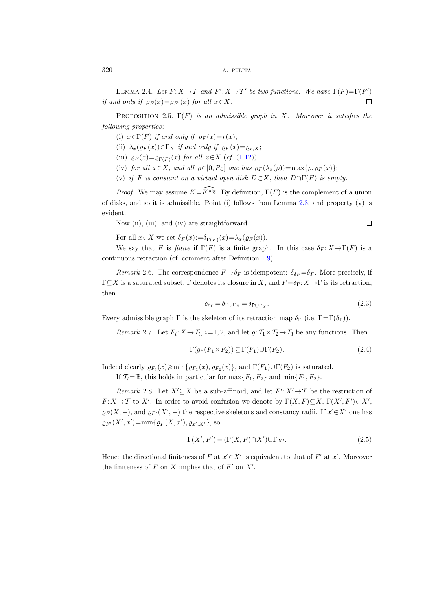LEMMA 2.4. Let  $F: X \to T$  and  $F': X \to T'$  be two functions. We have  $\Gamma(F) = \Gamma(F')$ if and only if  $\varrho_F(x) = \varrho_{F'}(x)$  for all  $x \in X$ .  $\Box$ 

<span id="page-13-2"></span>PROPOSITION 2.5.  $\Gamma(F)$  is an admissible graph in X. Moreover it satisfies the following properties:

- (i)  $x \in \Gamma(F)$  if and only if  $\rho_F(x) = r(x);$
- (ii)  $\lambda_x(\varrho_F(x)) \in \Gamma_X$  if and only if  $\varrho_F(x) = \varrho_{x,X};$
- (iii)  $\varrho_F(x) = \varrho_{\Gamma(F)}(x)$  for all  $x \in X$  (cf. [\(1.12\)](#page-10-0));
- (iv) for all  $x \in X$ , and all  $\varrho \in [0, R_0]$  one has  $\varrho_F(\lambda_x(\varrho)) = \max{\varrho, \varrho_F(x)};$
- (v) if F is constant on a virtual open disk  $D\subset X$ , then  $D\cap\Gamma(F)$  is empty.

*Proof.* We may assume  $K=\widehat{K^{alg}}$ . By definition,  $\Gamma(F)$  is the complement of a union of disks, and so it is admissible. Point (i) follows from Lemma  $2.3$ , and property (v) is evident.

Now (ii), (iii), and (iv) are straightforward.

 $\Box$ 

For all  $x \in X$  we set  $\delta_F(x) := \delta_{\Gamma(F)}(x) = \lambda_x(\varrho_F(x)).$ 

We say that F is finite if  $\Gamma(F)$  is a finite graph. In this case  $\delta_F : X \to \Gamma(F)$  is a continuous retraction (cf. comment after Definition [1.9\)](#page-10-1).

Remark 2.6. The correspondence  $F \mapsto \delta_F$  is idempotent:  $\delta_{\delta_F} = \delta_F$ . More precisely, if  $\Gamma \subseteq X$  is a saturated subset,  $\overline{\Gamma}$  denotes its closure in X, and  $F = \delta_{\Gamma}: X \to \overline{\Gamma}$  is its retraction, then ont after Definition 1.<br>
ence  $F \mapsto \delta_F$  is idem<br>
otes its closure in X,<br>  $\delta_{\delta_{\Gamma}} = \delta_{\Gamma \cup \Gamma_X} = \delta_{\bar{\Gamma} \cup \Gamma_X}$ 

$$
\delta_{\delta_{\Gamma}} = \delta_{\Gamma \cup \Gamma_X} = \delta_{\bar{\Gamma} \cup \Gamma_X}.
$$
\n(2.3)

<span id="page-13-0"></span>Every admissible graph  $\Gamma$  is the skeleton of its retraction map  $\delta_{\Gamma}$  (i.e.  $\Gamma = \Gamma(\delta_{\Gamma})$ ).

*Remark* 2.7. Let  $F_i: X \to T_i$ ,  $i=1, 2$ , and let  $g: T_1 \times T_2 \to T_3$  be any functions. Then

$$
\Gamma(g\circ(F_1\times F_2))\subseteq \Gamma(F_1)\cup\Gamma(F_2). \tag{2.4}
$$

Indeed clearly  $\varrho_{F_3}(x) \ge \min\{\varrho_{F_1}(x), \varrho_{F_2}(x)\}\$ , and  $\Gamma(F_1) \cup \Gamma(F_2)$  is saturated.

If  $\mathcal{T}_i=\mathbb{R}$ , this holds in particular for  $\max\{F_1, F_2\}$  and  $\min\{F_1, F_2\}$ .

<span id="page-13-3"></span>Remark 2.8. Let  $X' \subseteq X$  be a sub-affinoid, and let  $F' : X' \rightarrow \mathcal{T}$  be the restriction of  $F: X \to T$  to X'. In order to avoid confusion we denote by  $\Gamma(X, F) \subseteq X$ ,  $\Gamma(X', F') \subset X'$ ,  $\varrho_F(X, -)$ , and  $\varrho_{F'}(X', -)$  the respective skeletons and constancy radii. If  $x' \in X'$  one has  $\rho_{F'}(X',x') = \min\{\rho_F(X,x'),\rho_{x',X'}\},\text{ so}$ 

$$
\Gamma(X', F') = (\Gamma(X, F) \cap X') \cup \Gamma_{X'}.
$$
\n(2.5)

<span id="page-13-1"></span>Hence the directional finiteness of F at  $x' \in X'$  is equivalent to that of F' at x'. Moreover the finiteness of  $F$  on  $X$  implies that of  $F'$  on  $X'$ .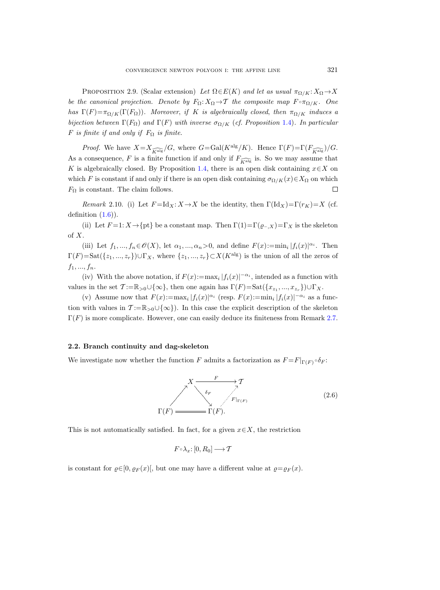PROPOSITION 2.9. (Scalar extension) Let  $\Omega \in E(K)$  and let as usual  $\pi_{\Omega/K}: X_{\Omega} \to X$ be the canonical projection. Denote by  $F_{\Omega}: X_{\Omega} \to T$  the composite map  $F \circ \pi_{\Omega/K}$ . One has  $\Gamma(F)=\pi_{\Omega/K}(\Gamma(F_{\Omega}))$ . Moreover, if K is algebraically closed, then  $\pi_{\Omega/K}$  induces a bijection between  $\Gamma(F_{\Omega})$  and  $\Gamma(F)$  with inverse  $\sigma_{\Omega/K}$  (cf. Proposition [1.4\)](#page-8-2). In particular F is finite if and only if  $F_{\Omega}$  is finite.

*Proof.* We have  $X=X_{\widehat{K\text{alg}}}/G$ , where  $G=\text{Gal}(K^{\text{alg}}/K)$ . Hence  $\Gamma(F)=\Gamma(F_{\widehat{K\text{alg}}} )/G$ . As a consequence, F is a finite function if and only if  $F_{\widehat{K}^{\text{alg}}}$  is. So we may assume that K is algebraically closed. By Proposition [1.4,](#page-8-2) there is an open disk containing  $x \in X$  on which F is constant if and only if there is an open disk containing  $\sigma_{\Omega/K}(x) \in X_{\Omega}$  on which  $F_{\Omega}$  is constant. The claim follows.  $\Box$ 

Remark 2.10. (i) Let  $F = Id_X: X \to X$  be the identity, then  $\Gamma(\mathrm{Id}_X) = \Gamma(r_K) = X$  (cf. definition  $(1.6)$ .

(ii) Let  $F=1: X \rightarrow \{pt\}$  be a constant map. Then  $\Gamma(1)=\Gamma(\varrho_{-,X})=\Gamma_X$  is the skeleton of X.

(iii) Let  $f_1, ..., f_n \in \mathcal{O}(X)$ , let  $\alpha_1, ..., \alpha_n > 0$ , and define  $F(x) := \min_i |f_i(x)|^{\alpha_i}$ . Then  $\Gamma(F)=\text{Sat}(\{z_1,...,z_r\})\cup \Gamma_X$ , where  $\{z_1,...,z_r\}\subset X(K^{\text{alg}})$  is the union of all the zeros of  $f_1, ..., f_n.$ 

(iv) With the above notation, if  $F(x) := \max_i |f_i(x)|^{-\alpha_i}$ , intended as a function with values in the set  $\mathcal{T} := \mathbb{R}_{>0} \cup \{\infty\}$ , then one again has  $\Gamma(F) = \text{Sat}(\{x_{z_1}, ..., x_{z_r}\}) \cup \Gamma_X$ .

(v) Assume now that  $F(x) := \max_i |f_i(x)|^{\alpha_i}$  (resp.  $F(x) := \min_i |f_i(x)|^{-\alpha_i}$  as a function with values in  $\mathcal{T} := \mathbb{R}_{>0} \cup \{\infty\}$ . In this case the explicit description of the skeleton  $\Gamma(F)$  is more complicate. However, one can easily deduce its finiteness from Remark [2.7.](#page-13-0)

## <span id="page-14-0"></span>2.2. Branch continuity and dag-skeleton

We investigate now whether the function F admits a factorization as  $F = F|_{\Gamma(F)} \circ \delta_F$ :



This is not automatically satisfied. In fact, for a given  $x \in X$ , the restriction

$$
F\!\circ\!\lambda_x\!\colon\! [0,R_0]\longrightarrow \mathcal{T}
$$

is constant for  $\varrho \in [0, \varrho_F(x)],$  but one may have a different value at  $\varrho = \varrho_F(x)$ .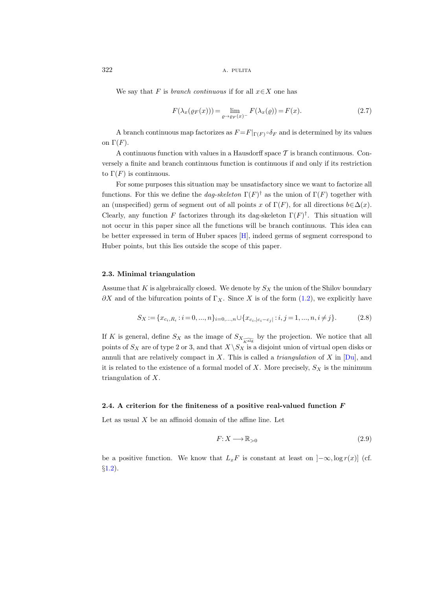We say that F is *branch continuous* if for all  $x \in X$  one has

$$
F(\lambda_x(\varrho_F(x))) = \lim_{\varrho \to \varrho_F(x)^-} F(\lambda_x(\varrho)) = F(x). \tag{2.7}
$$

A branch continuous map factorizes as  $F = F|_{\Gamma(F)} \circ \delta_F$  and is determined by its values on  $\Gamma(F)$ .

A continuous function with values in a Hausdorff space  $\mathcal T$  is branch continuous. Conversely a finite and branch continuous function is continuous if and only if its restriction to  $\Gamma(F)$  is continuous.

For some purposes this situation may be unsatisfactory since we want to factorize all functions. For this we define the *dag-skeleton*  $\Gamma(F)^{\dagger}$  as the union of  $\Gamma(F)$  together with an (unspecified) germ of segment out of all points x of  $\Gamma(F)$ , for all directions  $b \in \Delta(x)$ . Clearly, any function F factorizes through its dag-skeleton  $\Gamma(F)^{\dagger}$ . This situation will not occur in this paper since all the functions will be branch continuous. This idea can be better expressed in term of Huber spaces [\[H\]](#page-47-14), indeed germs of segment correspond to Huber points, but this lies outside the scope of this paper.

## 2.3. Minimal triangulation

Assume that K is algebraically closed. We denote by  $S_X$  the union of the Shilov boundary  $\partial X$  and of the bifurcation points of  $\Gamma_X$ . Since X is of the form [\(1.2\)](#page-6-2), we explicitly have

<span id="page-15-1"></span>
$$
S_X := \{x_{c_i, R_i} : i = 0, ..., n\}_{i=0, ..., n} \cup \{x_{c_i, |c_i - c_j|} : i, j = 1, ..., n, i \neq j\}.
$$
 (2.8)

If K is general, define  $S_X$  as the image of  $S_{X_{\widehat{K\text{alg}}}}$  by the projection. We notice that all points of  $S_X$  are of type 2 or 3, and that  $X\backslash S_X$  is a disjoint union of virtual open disks or annuli that are relatively compact in X. This is called a *triangulation* of X in  $[Du]$ , and it is related to the existence of a formal model of  $X$ . More precisely,  $S_X$  is the minimum triangulation of X.

## <span id="page-15-0"></span>2.4. A criterion for the finiteness of a positive real-valued function  $F$

Let as usual  $X$  be an affinoid domain of the affine line. Let

$$
F: X \longrightarrow \mathbb{R}_{>0} \tag{2.9}
$$

be a positive function. We know that  $L_xF$  is constant at least on  $]-\infty, \log r(x)]$  (cf. §[1.2\)](#page-10-2).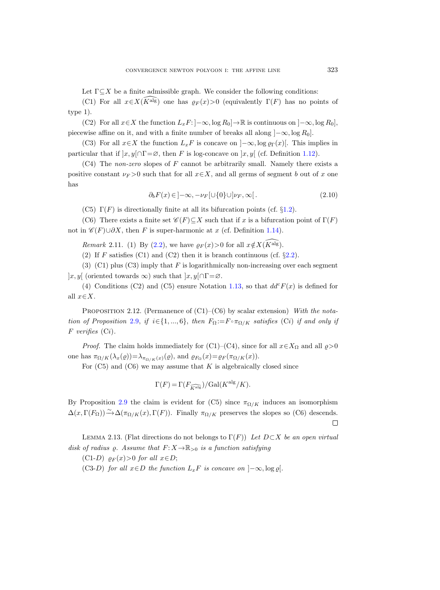Let  $\Gamma \subseteq X$  be a finite admissible graph. We consider the following conditions:

(C1) For all  $x \in X(\widehat{K}^{\text{alg}})$  one has  $\rho_F(x) > 0$  (equivalently  $\Gamma(F)$  has no points of type 1).

(C2) For all  $x \in X$  the function  $L_x F: ]-\infty$ , log  $R_0] \to \mathbb{R}$  is continuous on  $] -\infty$ , log  $R_0]$ , piecewise affine on it, and with a finite number of breaks all along  $]-\infty, \log R_0]$ .

(C3) For all  $x \in X$  the function  $L_xF$  is concave on  $]-\infty$ , log  $\rho_{\Gamma}(x)$ . This implies in particular that if  $|x, y| \cap \Gamma = \emptyset$ , then F is log-concave on  $|x, y|$  (cf. Definition [1.12\)](#page-11-3).

 $(C4)$  The non-zero slopes of F cannot be arbitrarily small. Namely there exists a positive constant  $\nu_F > 0$  such that for all  $x \in X$ , and all germs of segment b out of x one has

$$
\partial_b F(x) \in ]-\infty, -\nu_F[\cup\{0\} \cup ]\nu_F, \infty[.
$$
\n(2.10)

(C5)  $\Gamma(F)$  is directionally finite at all its bifurcation points (cf. §[1.2\)](#page-10-2).

(C6) There exists a finite set  $\mathscr{C}(F) \subset X$  such that if x is a bifurcation point of  $\Gamma(F)$ not in  $\mathscr{C}(F) \cup \partial X$ , then F is super-harmonic at x (cf. Definition [1.14\)](#page-11-1).

Remark 2.11. (1) By [\(2.2\)](#page-12-2), we have  $\rho_F(x) > 0$  for all  $x \notin X(\overline{K}^{\text{alg}})$ .

(2) If F satisfies (C1) and (C2) then it is branch continuous (cf.  $\S 2.2$ ).

(3) (C1) plus (C3) imply that  $F$  is logarithmically non-increasing over each segment  $[x, y]$  (oriented towards  $\infty$ ) such that  $[x, y] \cap \Gamma = \varnothing$ .

(4) Conditions (C2) and (C5) ensure Notation [1.13,](#page-11-0) so that  $dd^c F(x)$  is defined for all  $x \in X$ .

<span id="page-16-0"></span>PROPOSITION 2.12. (Permanence of  $(C1)$ – $(C6)$  by scalar extension) With the nota-tion of Proposition [2.9,](#page-13-1) if  $i \in \{1, ..., 6\}$ , then  $F_{\Omega} := F \circ \pi_{\Omega/K}$  satisfies (Ci) if and only if  $F$  verifies  $(Ci)$ .

*Proof.* The claim holds immediately for (C1)–(C4), since for all  $x \in X_\Omega$  and all  $\varrho > 0$ one has  $\pi_{\Omega/K}(\lambda_x(\varrho)) = \lambda_{\pi_{\Omega/K}(x)}(\varrho)$ , and  $\varrho_{F_\Omega}(x) = \varrho_F(\pi_{\Omega/K}(x))$ .

For  $(C5)$  and  $(C6)$  we may assume that K is algebraically closed since

$$
\Gamma(F) = \Gamma(F_{\widehat{K^{\mathrm{alg}}}}) / \mathrm{Gal}(K^{\mathrm{alg}}/K).
$$

By Proposition [2.9](#page-13-1) the claim is evident for (C5) since  $\pi_{\Omega/K}$  induces an isomorphism  $\Delta(x, \Gamma(F_{\Omega})) \xrightarrow{\sim} \Delta(\pi_{\Omega/K}(x), \Gamma(F)).$  Finally  $\pi_{\Omega/K}$  preserves the slopes so (C6) descends.  $\Box$ 

<span id="page-16-1"></span>LEMMA 2.13. (Flat directions do not belongs to  $\Gamma(F)$ ) Let  $D\subset X$  be an open virtual disk of radius  $\varrho$ . Assume that  $F: X \to \mathbb{R}_{>0}$  is a function satisfying

(C1-D)  $\rho_F(x) > 0$  for all  $x \in D$ ;

(C3-D) for all  $x \in D$  the function  $L_xF$  is concave on  $]-\infty, \log \varrho$ .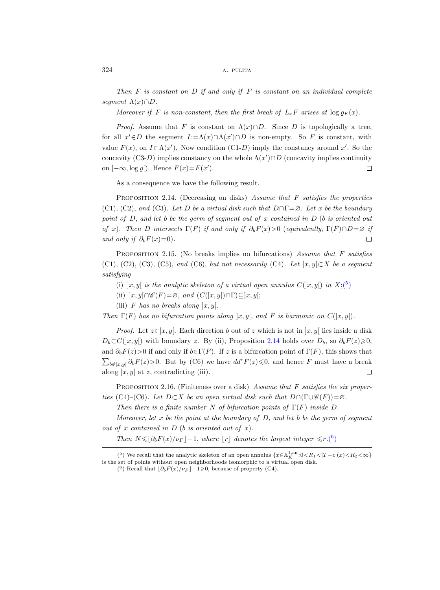Then  $F$  is constant on  $D$  if and only if  $F$  is constant on an individual complete segment  $\Lambda(x)\cap D$ .

Moreover if F is non-constant, then the first break of  $L_xF$  arises at  $\log \rho_F(x)$ .

*Proof.* Assume that F is constant on  $\Lambda(x)\cap D$ . Since D is topologically a tree, for all  $x' \in D$  the segment  $I := \Lambda(x) \cap \Lambda(x') \cap D$  is non-empty. So F is constant, with value  $F(x)$ , on  $I \subset \Lambda(x')$ . Now condition (C1-D) imply the constancy around x'. So the concavity (C3-D) implies constancy on the whole  $\Lambda(x') \cap D$  (concavity implies continuity on  $]-\infty, \log \varrho[$ ). Hence  $F(x)=F(x')$ .  $\Box$ 

As a consequence we have the following result.

<span id="page-17-1"></span>PROPOSITION 2.14. (Decreasing on disks) Assume that F satisfies the properties (C1), (C2), and (C3). Let D be a virtual disk such that  $D \cap \Gamma = \emptyset$ . Let x be the boundary point of  $D$ , and let b be the germ of segment out of x contained in  $D$  (b is oriented out of x). Then D intersects  $\Gamma(F)$  if and only if  $\partial_b F(x) > 0$  (equivalently,  $\Gamma(F) \cap D = \emptyset$  if and only if  $\partial_b F(x)=0$ .  $\Box$ 

<span id="page-17-3"></span>PROPOSITION 2.15. (No breaks implies no bifurcations) Assume that  $F$  satisfies (C1), (C2), (C3), (C5), and (C6), but not necessarily (C4). Let  $\vert x,y\vert \subset X$  be a segment satisfying

(i)  $\vert x,y \vert$  is the analytic skeleton of a virtual open annulus  $C(\vert x,y \vert)$  in  $X;$ <sup>(5</sup>)

(ii)  $[x, y] \cap \mathscr{C}(F) = \varnothing$ , and  $(C(|x, y]) \cap \Gamma) \subseteq [x, y]$ ;

(iii) F has no breaks along  $x, y$ .

Then  $\Gamma(F)$  has no bifurcation points along  $x, y$ , and F is harmonic on  $C(x, y)$ .

*Proof.* Let  $z \in ]x, y]$ . Each direction b out of z which is not in  $[x, y]$  lies inside a disk  $D_b \subset C(|x,y|)$  with boundary z. By (ii), Proposition [2.14](#page-17-1) holds over  $D_b$ , so  $\partial_b F(z) \geqslant 0$ , and  $\partial_b F(z) > 0$  if and only if  $b \in \Gamma(F)$ . If z is a bifurcation point of  $\Gamma(F)$ , this shows that  $\sum_{b \notin [x,y]} \partial_b F(z) > 0$ . But by (C6) we have  $dd^c F(z) \leq 0$ , and hence F must have a break along  $x, y$  at z, contradicting (iii).  $\Box$ 

<span id="page-17-4"></span>PROPOSITION 2.16. (Finiteness over a disk) Assume that F satisfies the six properties (C1)–(C6). Let  $D\subset X$  be an open virtual disk such that  $D\cap(\Gamma\cup\mathscr{C}(F))=\varnothing$ .

Then there is a finite number N of bifurcation points of  $\Gamma(F)$  inside D.

Moreover, let  $x$  be the point at the boundary of  $D$ , and let  $b$  be the germ of segment out of x contained in  $D$  (b is oriented out of x).

Then  $N \leq \lfloor \partial_b F(x)/\nu_F \rfloor - 1$  $N \leq \lfloor \partial_b F(x)/\nu_F \rfloor - 1$  $N \leq \lfloor \partial_b F(x)/\nu_F \rfloor - 1$ , where  $\lfloor r \rfloor$  denotes the largest integer  $\leq r.(6)$ 

<sup>(&</sup>lt;sup>5</sup>) We recall that the analytic skeleton of an open annulus  $\{x \in \mathbb{A}^{1,an}_K : 0 < R_1 < |T-c|(x) < R_2 < \infty\}$ is the set of points without open neighborhoods isomorphic to a virtual open disk.

<span id="page-17-2"></span><span id="page-17-0"></span><sup>(6)</sup> Recall that  $\lfloor \partial_b F(x)/\nu_F \rfloor - 1 \ge 0$ , because of property (C4).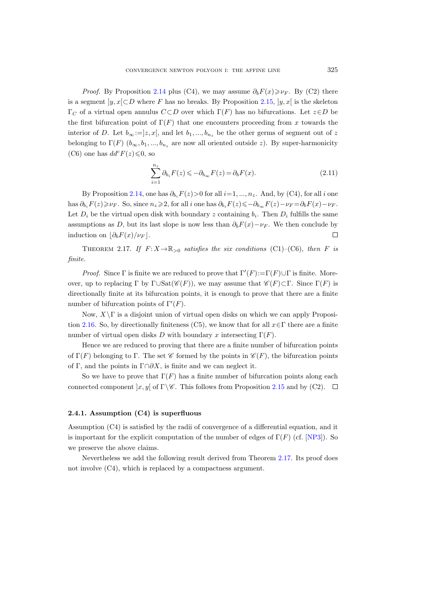*Proof.* By Proposition [2.14](#page-17-1) plus (C4), we may assume  $\partial_b F(x) \geq \nu_F$ . By (C2) there is a segment  $|y, x| \subset D$  where F has no breaks. By Proposition [2.15,](#page-17-3)  $|y, x|$  is the skeleton  $\Gamma_C$  of a virtual open annulus  $C \subset D$  over which  $\Gamma(F)$  has no bifurcations. Let  $z \in D$  be the first bifurcation point of  $\Gamma(F)$  that one encounters proceeding from x towards the interior of D. Let  $b_{\infty}:=]z, x[$ , and let  $b_1, ..., b_{n_z}$  be the other germs of segment out of z belonging to  $\Gamma(F)$  ( $b_{\infty}, b_1, ..., b_{n_z}$  are now all oriented outside z). By super-harmonicity (C6) one has  $dd^c F(z) \leq 0$ , so

$$
\sum_{i=1}^{n_z} \partial_{b_i} F(z) \leqslant -\partial_{b_{\infty}} F(z) = \partial_b F(x). \tag{2.11}
$$

By Proposition [2.14,](#page-17-1) one has  $\partial_{b_i} F(z) > 0$  for all  $i=1, ..., n_z$ . And, by (C4), for all i one has  $\partial_{b_i}F(z)\geqslant \nu_F$ . So, since  $n_z\geqslant 2$ , for all i one has  $\partial_{b_i}F(z)\leqslant-\partial_{b_\infty}F(z)-\nu_F=\partial_bF(x)-\nu_F$ . Let  $D_i$  be the virtual open disk with boundary z containing  $b_i$ . Then  $D_i$  fulfills the same assumptions as D, but its last slope is now less than  $\partial_b F(x)-\nu_F$ . We then conclude by induction on  $\partial_b F(x)/\nu_F$ .  $\Box$ 

<span id="page-18-0"></span>THEOREM 2.17. If  $F: X \to \mathbb{R}_{>0}$  satisfies the six conditions (C1)–(C6), then F is finite.

*Proof.* Since  $\Gamma$  is finite we are reduced to prove that  $\Gamma'(F) := \Gamma(F) \cup \Gamma$  is finite. Moreover, up to replacing Γ by Γ∪Sat( $\mathscr{C}(F)$ ), we may assume that  $\mathscr{C}(F) \subset \Gamma$ . Since Γ(F) is directionally finite at its bifurcation points, it is enough to prove that there are a finite number of bifurcation points of  $\Gamma'(F)$ .

Now,  $X\Gamma$  is a disjoint union of virtual open disks on which we can apply Proposi-tion [2.16.](#page-17-4) So, by directionally finiteness (C5), we know that for all  $x \in \Gamma$  there are a finite number of virtual open disks D with boundary x intersecting  $\Gamma(F)$ .

Hence we are reduced to proving that there are a finite number of bifurcation points of  $\Gamma(F)$  belonging to Γ. The set C formed by the points in  $\mathscr{C}(F)$ , the bifurcation points of Γ, and the points in  $\Gamma \cap \partial X$ , is finite and we can neglect it.

So we have to prove that  $\Gamma(F)$  has a finite number of bifurcation points along each connected component  $\vert x, y \vert$  of  $\Gamma \backslash \mathscr{C}$ . This follows from Proposition [2.15](#page-17-3) and by (C2).  $\Box$ 

#### 2.4.1. Assumption (C4) is superfluous

Assumption (C4) is satisfied by the radii of convergence of a differential equation, and it is important for the explicit computation of the number of edges of  $\Gamma(F)$  (cf. [\[NP3\]](#page-48-5)). So we preserve the above claims.

Nevertheless we add the following result derived from Theorem [2.17.](#page-18-0) Its proof does not involve (C4), which is replaced by a compactness argument.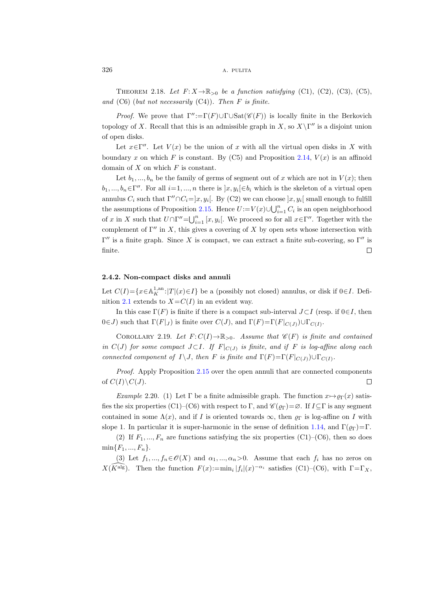$326$  A. PULITA

THEOREM 2.18. Let  $F: X \to \mathbb{R}_{>0}$  be a function satisfying (C1), (C2), (C3), (C5), and  $(C6)$  (but not necessarily  $(C4)$ ). Then F is finite.

*Proof.* We prove that  $\Gamma'' := \Gamma(F) \cup \Gamma \cup \text{Sat}(\mathscr{C}(F))$  is locally finite in the Berkovich topology of X. Recall that this is an admissible graph in X, so  $X\backslash \Gamma''$  is a disjoint union of open disks.

Let  $x \in \Gamma''$ . Let  $V(x)$  be the union of x with all the virtual open disks in X with boundary x on which F is constant. By  $(C5)$  and Proposition [2.14,](#page-17-1)  $V(x)$  is an affinoid domain of  $X$  on which  $F$  is constant.

Let  $b_1, ..., b_n$  be the family of germs of segment out of x which are not in  $V(x)$ ; then  $b_1, ..., b_n \in \Gamma''$ . For all  $i=1, ..., n$  there is  $]x, y_i[ \in b_i$  which is the skeleton of a virtual open annulus  $C_i$  such that  $\Gamma'' \cap C_i = ]x, y_i[$ . By (C2) we can choose  $]x, y_i[$  small enough to fulfill the assumptions of Proposition [2.15.](#page-17-3) Hence  $U := V(x) \cup \bigcup_{i=1}^{n} C_i$  is an open neighborhood of x in X such that  $U \cap \Gamma'' = \bigcup_{i=1}^n [x, y_i]$ . We proceed so for all  $x \in \Gamma''$ . Together with the complement of  $\Gamma''$  in X, this gives a covering of X by open sets whose intersection with  $Γ''$  is a finite graph. Since X is compact, we can extract a finite sub-covering, so  $Γ''$  is finite.  $\Box$ 

## 2.4.2. Non-compact disks and annuli

Let  $C(I) = \{x \in A_K^{1,an}: |T|(x) \in I\}$  be a (possibly not closed) annulus, or disk if  $0 \in I$ . Defi-nition [2.1](#page-12-3) extends to  $X = C(I)$  in an evident way.

In this case  $\Gamma(F)$  is finite if there is a compact sub-interval  $J\subset I$  (resp. if  $0\in I$ , then  $0 \in J$ ) such that  $\Gamma(F|_J)$  is finite over  $C(J)$ , and  $\Gamma(F)=\Gamma(F|_{C(J)}) \cup \Gamma_{C(I)}$ .

COROLLARY 2.19. Let  $F: C(I) \to \mathbb{R}_{>0}$ . Assume that  $\mathscr{C}(F)$  is finite and contained in  $C(J)$  for some compact  $J\subset I$ . If  $F|_{C(J)}$  is finite, and if  $F$  is log-affine along each connected component of  $I \setminus J$ , then F is finite and  $\Gamma(F) = \Gamma(F|_{C(J)}) \cup \Gamma_{C(I)}$ .

Proof. Apply Proposition [2.15](#page-17-3) over the open annuli that are connected components of  $C(I)\backslash C(J)$ .  $\Box$ 

<span id="page-19-0"></span>Example 2.20. (1) Let Γ be a finite admissible graph. The function  $x \mapsto \varrho_{\Gamma}(x)$  satisfies the six properties (C1)–(C6) with respect to Γ, and  $\mathscr{C}(\rho_{\Gamma})=\emptyset$ . If  $I\subseteq\Gamma$  is any segment contained in some  $\Lambda(x)$ , and if I is oriented towards  $\infty$ , then  $\rho_{\Gamma}$  is log-affine on I with slope 1. In particular it is super-harmonic in the sense of definition [1.14,](#page-11-1) and  $\Gamma(\rho_{\Gamma})=\Gamma$ .

(2) If  $F_1, ..., F_n$  are functions satisfying the six properties (C1)–(C6), then so does  $min{F_1, ..., F_n}.$ 

(3) Let  $f_1, ..., f_n \in \mathcal{O}(X)$  and  $\alpha_1, ..., \alpha_n > 0$ . Assume that each  $f_i$  has no zeros on  $X(\widehat{K}^{\text{alg}})$ . Then the function  $F(x) := \min_i |f_i|(x)^{-\alpha_i}$  satisfies (C1)–(C6), with  $\Gamma = \Gamma_X$ ,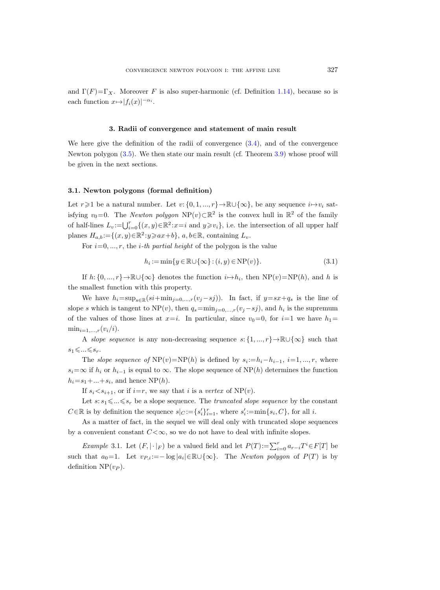and  $\Gamma(F)=\Gamma_X$ . Moreover F is also super-harmonic (cf. Definition [1.14\)](#page-11-1), because so is each function  $x \mapsto |f_i(x)|^{-\alpha_i}$ .

## 3. Radii of convergence and statement of main result

We here give the definition of the radii of convergence [\(3.4\)](#page-22-0), and of the convergence Newton polygon [\(3.5\)](#page-22-1). We then state our main result (cf. Theorem [3.9\)](#page-23-0) whose proof will be given in the next sections.

## 3.1. Newton polygons (formal definition)

Let  $r \geq 1$  be a natural number. Let  $v: \{0, 1, ..., r\} \to \mathbb{R} \cup \{\infty\}$ , be any sequence  $i \to v_i$  satisfying  $v_0=0$ . The *Newton polygon*  $NP(v) \subset \mathbb{R}^2$  is the convex hull in  $\mathbb{R}^2$  of the family of half-lines  $L_v:=\bigcup_{i=0}^r \{(x,y)\in\mathbb{R}^2 : x=i \text{ and } y\geq v_i\}$ , i.e. the intersection of all upper half planes  $H_{a,b} := \{(x, y) \in \mathbb{R}^2 : y \geqslant ax + b\}, a, b \in \mathbb{R}, \text{ containing } L_v.$ 

For  $i=0, ..., r$ , the *i*-th partial height of the polygon is the value

$$
h_i := \min\{y \in \mathbb{R} \cup \{\infty\} : (i, y) \in \mathcal{NP}(v)\}.
$$
\n(3.1)

If  $h: \{0, ..., r\} \to \mathbb{R} \cup \{\infty\}$  denotes the function  $i \to h_i$ , then  $NP(v) = NP(h)$ , and h is the smallest function with this property.

We have  $h_i=\sup_{s\in\mathbb{R}}(si+\min_{j=0,\ldots,r}(v_j-sj)).$  In fact, if  $y=sx+q_s$  is the line of slope s which is tangent to NP(v), then  $q_s = \min_{j=0,\dots,r} (v_j - s_j)$ , and  $h_i$  is the supremum of the values of those lines at  $x=i$ . In particular, since  $v_0=0$ , for  $i=1$  we have  $h_1=$  $\min_{i=1,\ldots,r}(v_i/i).$ 

A slope sequence is any non-decreasing sequence  $s: \{1, ..., r\} \rightarrow \mathbb{R} \cup \{\infty\}$  such that  $s_1\leqslant\ldots\leqslant s_r.$ 

The slope sequence of  $NP(v) = NP(h)$  is defined by  $s_i := h_i - h_{i-1}, i = 1, ..., r$ , where  $s_i=\infty$  if  $h_i$  or  $h_{i-1}$  is equal to  $\infty$ . The slope sequence of NP(h) determines the function  $h_i = s_1 + \ldots + s_i$ , and hence  $NP(h)$ .

If  $s_i < s_{i+1}$ , or if  $i=r$ , we say that i is a vertex of NP(v).

Let  $s: s_1 \leq \ldots \leq s_r$  be a slope sequence. The *truncated slope sequence* by the constant  $C \in \mathbb{R}$  is by definition the sequence  $s|_C := \{s'_i\}_{i=1}^r$ , where  $s'_i := \min\{s_i, C\}$ , for all i.

As a matter of fact, in the sequel we will deal only with truncated slope sequences by a convenient constant  $C<\infty$ , so we do not have to deal with infinite slopes.

Example 3.1. Let  $(F, |\cdot|_F)$  be a valued field and let  $P(T) := \sum_{i=0}^r a_{r-i}T^i \in F[T]$  be such that  $a_0=1$ . Let  $v_{P,i} := -\log |a_i| \in \mathbb{R} \cup \{\infty\}$ . The *Newton polygon* of  $P(T)$  is by definition  $NP(v_P)$ .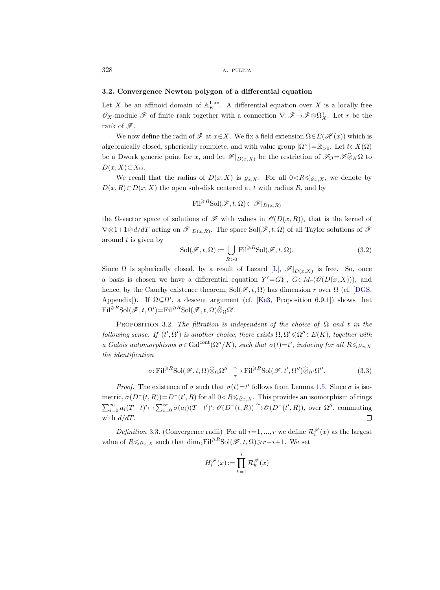#### 3.2. Convergence Newton polygon of a differential equation

Let X be an affinoid domain of  $\mathbb{A}_K^{1,\mathrm{an}}$ . A differential equation over X is a locally free  $\mathscr{O}_X$ -module  $\mathscr{F}$  of finite rank together with a connection  $\nabla: \mathscr{F} \to \mathscr{F} \otimes \Omega^1_X$ . Let r be the rank of  $\mathscr{F}$ .

We now define the radii of  $\mathscr F$  at  $x \in X$ . We fix a field extension  $\Omega \in E(\mathscr H(x))$  which is algebraically closed, spherically complete, and with value group  $|\Omega^{\times}| = \mathbb{R}_{>0}$ . Let  $t \in X(\Omega)$ be a Dwork generic point for x, and let  $\mathscr{F}|_{D(x,X)}$  be the restriction of  $\mathscr{F}_{\Omega} = \mathscr{F} \widehat{\otimes}_K \Omega$  to  $D(x, X) \subset X_{\Omega}$ .

We recall that the radius of  $D(x, X)$  is  $\varrho_{x,X}$ . For all  $0 < R \leq \varrho_{x,X}$ , we denote by  $D(x, R) \subset D(x, X)$  the open sub-disk centered at t with radius R, and by

$$
\mathrm{Fil}^{\geq R}\mathrm{Sol}(\mathscr{F},t,\Omega)\subset \mathscr{F}|_{D(x,R)}
$$

the  $\Omega$ -vector space of solutions of  $\mathscr F$  with values in  $\mathscr O(D(x,R))$ , that is the kernel of  $\nabla \otimes 1+1\otimes d/dT$  acting on  $\mathscr{F}|_{D(x,R)}$ . The space  $Sol(\mathscr{F}, t, \Omega)$  of all Taylor solutions of  $\mathscr{F}$ around  $t$  is given by

<span id="page-21-2"></span>
$$
\text{Sol}(\mathcal{F}, t, \Omega) := \bigcup_{R > 0} \text{Fil}^{\geq R} \text{Sol}(\mathcal{F}, t, \Omega). \tag{3.2}
$$

Since  $\Omega$  is spherically closed, by a result of Lazard [\[L\]](#page-47-15),  $\mathscr{F}|_{D(x,X)}$  is free. So, once a basis is chosen we have a differential equation  $Y' = GY$ ,  $G \in M_r(\mathcal{O}(D(x,X)))$ , and hence, by the Cauchy existence theorem, Sol $(\mathscr{F}, t, \Omega)$  has dimension r over  $\Omega$  (cf. [\[DGS,](#page-47-16) Appendix]). If  $\Omega \subseteq \Omega'$ , a descent argument (cf. [\[Ke3,](#page-47-8) Proposition 6.9.1]) shows that  $\text{Fil}^{\geq R}\text{Sol}(\mathscr{F}, t, \Omega') = \text{Fil}^{\geq R}\text{Sol}(\mathscr{F}, t, \Omega)\widehat{\otimes}_{\Omega}\Omega'.$ 

<span id="page-21-0"></span>PROPOSITION 3.2. The filtration is independent of the choice of  $\Omega$  and t in the following sense. If  $(t', \Omega')$  is another choice, there exists  $\Omega, \Omega' \leq \Omega'' \in E(K)$ , together with a Galois automorphisms  $\sigma \in \text{Gal}^{\text{cont}}(\Omega''/K)$ , such that  $\sigma(t) = t'$ , inducing for all  $R \leq \varrho_{x,X}$ the identification

$$
\sigma: \mathrm{Fil}^{\geq R} \mathrm{Sol}(\mathscr{F}, t, \Omega) \widehat{\otimes}_{\Omega} \Omega'' \xrightarrow[\sigma]{\sim} \mathrm{Fil}^{\geq R} \mathrm{Sol}(\mathscr{F}, t', \Omega'') \widehat{\otimes}_{\Omega'} \Omega''.
$$
 (3.3)

*Proof.* The existence of  $\sigma$  such that  $\sigma(t) = t'$  follows from Lemma [1.5.](#page-8-1) Since  $\sigma$  is isometric,  $\sigma(D^-(t,R))=D^-(t',R)$  for all  $0< R \le \varrho_{x,X}$ . This provides an isomorphism of rings  $\sum_{i=0}^{\infty} a_i (T-t)^i \mapsto \sum_{i=0}^{\infty} \sigma(a_i) (T-t')^i : \mathscr{O}(D^-(t,R)) \xrightarrow{\sim} \mathscr{O}(D^-(t',R)),$  over  $\Omega''$ , commuting with  $d/dT$ .  $\Box$ 

<span id="page-21-1"></span>Definition 3.3. (Convergence radii) For all  $i=1, ..., r$  we define  $\mathcal{R}^{\mathscr{F}}_i(x)$  as the largest value of  $R \leq \varrho_{x,X}$  such that  $\dim_{\Omega} \mathrm{Fil}^{\geq R} \mathrm{Sol}(\mathscr{F}, t, \Omega) \geq r-i+1$ . We set

$$
H_i^{\mathscr{F}}(x) := \prod_{k=1}^i \mathcal{R}_k^{\mathscr{F}}(x)
$$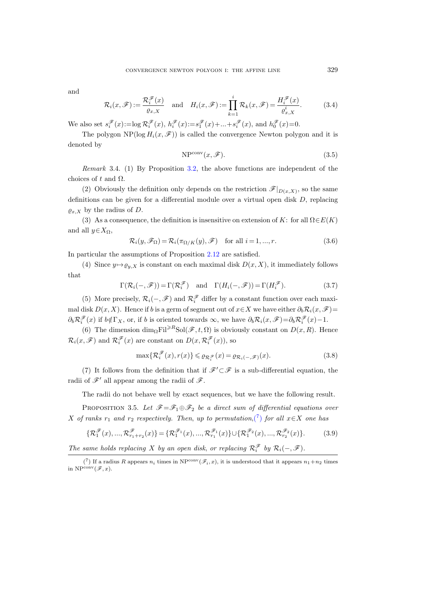and

<span id="page-22-0"></span>
$$
\mathcal{R}_i(x,\mathscr{F}) := \frac{\mathcal{R}_i^{\mathscr{F}}(x)}{\varrho_{x,X}} \quad \text{and} \quad H_i(x,\mathscr{F}) := \prod_{k=1}^i \mathcal{R}_k(x,\mathscr{F}) = \frac{H_i^{\mathscr{F}}(x)}{\varrho_{x,X}^i}.
$$
 (3.4)

We also set  $s_i^{\mathscr{F}}(x) := \log \mathcal{R}_i^{\mathscr{F}}(x), h_i^{\mathscr{F}}(x) := s_1^{\mathscr{F}}(x) + ... + s_i^{\mathscr{F}}(x), \text{ and } h_0^{\mathscr{F}}(x) = 0.$ 

The polygon NP( $log H_i(x, \mathscr{F})$ ) is called the convergence Newton polygon and it is denoted by

<span id="page-22-1"></span>
$$
NPconv(x, \mathscr{F}).
$$
\n(3.5)

<span id="page-22-4"></span>Remark 3.4. (1) By Proposition [3.2,](#page-21-0) the above functions are independent of the choices of t and  $\Omega$ .

(2) Obviously the definition only depends on the restriction  $\mathscr{F}|_{D(x,X)}$ , so the same definitions can be given for a differential module over a virtual open disk  $D$ , replacing  $\rho_{x,X}$  by the radius of D.

(3) As a consequence, the definition is insensitive on extension of K: for all  $\Omega \in E(K)$ and all  $y \in X_{\Omega}$ ,

$$
\mathcal{R}_i(y,\mathscr{F}_\Omega) = \mathcal{R}_i(\pi_{\Omega/K}(y),\mathscr{F}) \quad \text{for all } i=1,...,r.
$$
 (3.6)

In particular the assumptions of Proposition [2.12](#page-16-0) are satisfied.

(4) Since  $y \mapsto \varrho_{y,X}$  is constant on each maximal disk  $D(x, X)$ , it immediately follows that

$$
\Gamma(\mathcal{R}_i(-, \mathscr{F})) = \Gamma(\mathcal{R}_i^{\mathscr{F}}) \quad \text{and} \quad \Gamma(H_i(-, \mathscr{F})) = \Gamma(H_i^{\mathscr{F}}). \tag{3.7}
$$

(5) More precisely,  $\mathcal{R}_i(-, \mathcal{F})$  and  $\mathcal{R}_i^{\mathcal{F}}$  differ by a constant function over each maximal disk  $D(x, X)$ . Hence if b is a germ of segment out of  $x \in X$  we have either  $\partial_b \mathcal{R}_i(x, \mathcal{F})=$  $\partial_b \mathcal{R}_i^{\mathscr{F}}(x)$  if  $b \notin \Gamma_X$ , or, if b is oriented towards  $\infty$ , we have  $\partial_b \mathcal{R}_i(x, \mathscr{F}) = \partial_b \mathcal{R}_i^{\mathscr{F}}(x) - 1$ .

(6) The dimension  $\dim_{\Omega} \mathrm{Fil}^{\geq R} \mathrm{Sol}(\mathscr{F}, t, \Omega)$  is obviously constant on  $D(x, R)$ . Hence  $\mathcal{R}_i(x,\mathscr{F})$  and  $\mathcal{R}_i^{\mathscr{F}}(x)$  are constant on  $D(x,\mathcal{R}_i^{\mathscr{F}}(x))$ , so

<span id="page-22-3"></span>
$$
\max\{\mathcal{R}_i^{\mathcal{F}}(x), r(x)\} \leq \varrho_{\mathcal{R}_i^{\mathcal{F}}}(x) = \varrho_{\mathcal{R}_i(-,\mathcal{F})}(x). \tag{3.8}
$$

(7) It follows from the definition that if  $\mathscr{F}'\subset\mathscr{F}$  is a sub-differential equation, the radii of  $\mathscr{F}'$  all appear among the radii of  $\mathscr{F}$ .

The radii do not behave well by exact sequences, but we have the following result.

<span id="page-22-5"></span>PROPOSITION 3.5. Let  $\mathscr{F} = \mathscr{F}_1 \oplus \mathscr{F}_2$  be a direct sum of differential equations over X of ranks  $r_1$  and  $r_2$  respectively. Then, up to permutation,  $\binom{7}{1}$  for all  $x \in X$  one has

$$
\{\mathcal{R}_1^{\mathscr{F}}(x), ..., \mathcal{R}_{r_1+r_2}^{\mathscr{F}}(x)\} = \{\mathcal{R}_1^{\mathscr{F}_1}(x), ..., \mathcal{R}_{r_1}^{\mathscr{F}_1}(x)\} \cup \{\mathcal{R}_1^{\mathscr{F}_2}(x), ..., \mathcal{R}_{r_2}^{\mathscr{F}_2}(x)\}.
$$
(3.9)

The same holds replacing X by an open disk, or replacing  $\mathcal{R}_i^{\mathscr{F}}$  by  $\mathcal{R}_i(-, \mathscr{F})$ .

<span id="page-22-2"></span><sup>(&</sup>lt;sup>7</sup>) If a radius R appears  $n_i$  times in NP<sup>conv</sup>( $\mathscr{F}_i$ , x), it is understood that it appears  $n_1+n_2$  times in  $NP^{conv}(\mathscr{F},x)$ .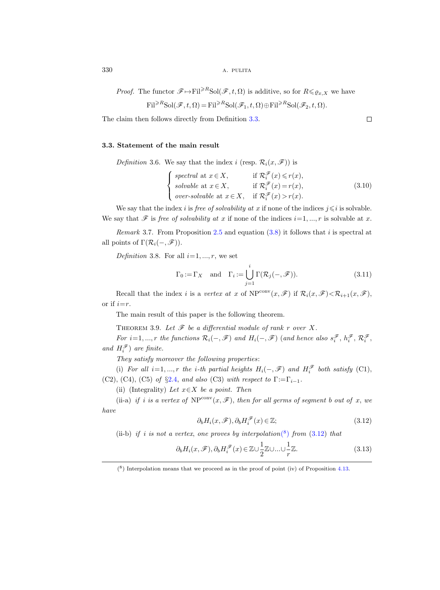*Proof.* The functor  $\mathscr{F} \mapsto \mathrm{Fil}^{\geq R} \mathrm{Sol}(\mathscr{F}, t, \Omega)$  is additive, so for  $R \leq \varrho_{x,X}$  we have

$$
\mathrm{Fil}^{\geq R} \mathrm{Sol}(\mathscr{F}, t, \Omega) = \mathrm{Fil}^{\geq R} \mathrm{Sol}(\mathscr{F}_1, t, \Omega) \oplus \mathrm{Fil}^{\geq R} \mathrm{Sol}(\mathscr{F}_2, t, \Omega).
$$

The claim then follows directly from Definition [3.3.](#page-21-1)

#### <span id="page-23-4"></span>3.3. Statement of the main result

*Definition* 3.6. We say that the index i (resp.  $\mathcal{R}_i(x, \mathcal{F})$ ) is

$$
\begin{cases}\n\text{ spectral at } x \in X, & \text{if } \mathcal{R}_i^{\mathscr{F}}(x) \le r(x), \\
\text{solvable at } x \in X, & \text{if } \mathcal{R}_i^{\mathscr{F}}(x) = r(x), \\
\text{over-solvable at } x \in X, & \text{if } \mathcal{R}_i^{\mathscr{F}}(x) > r(x).\n\end{cases} \tag{3.10}
$$

We say that the index *i* is *free of solvability at x* if none of the indices  $j \leq i$  is solvable. We say that  $\mathscr F$  is free of solvability at x if none of the indices  $i=1, ..., r$  is solvable at x.

<span id="page-23-3"></span>Remark 3.7. From Proposition [2.5](#page-13-2) and equation  $(3.8)$  it follows that i is spectral at all points of  $\Gamma(\mathcal{R}_i(-, \mathscr{F}))$ .

<span id="page-23-5"></span>Definition 3.8. For all  $i=1, ..., r$ , we set

$$
\Gamma_0 := \Gamma_X \quad \text{and} \quad \Gamma_i := \bigcup_{j=1}^i \Gamma(\mathcal{R}_j(-, \mathscr{F})). \tag{3.11}
$$

Recall that the index i is a vertex at x of  $NP^{conv}(x, \mathscr{F})$  if  $\mathcal{R}_i(x, \mathscr{F}) < \mathcal{R}_{i+1}(x, \mathscr{F})$ , or if  $i=r$ .

The main result of this paper is the following theorem.

<span id="page-23-0"></span>THEOREM 3.9. Let  $\mathscr F$  be a differential module of rank r over X.

For  $i=1,...,r$  the functions  $\mathcal{R}_i(-, \mathscr{F})$  and  $H_i(-, \mathscr{F})$  (and hence also  $s_i^{\mathscr{F}}, h_i^{\mathscr{F}}, \mathcal{R}_i^{\mathscr{F}},$ and  $H_i^{\mathscr{F}}$ ) are finite.

They satisfy moreover the following properties:

(i) For all  $i=1,...,r$  the *i*-th partial heights  $H_i(-, \mathscr{F})$  and  $H_i^{\mathscr{F}}$  both satisfy (C1), (C2), (C4), (C5) of §[2.4,](#page-15-0) and also (C3) with respect to  $\Gamma := \Gamma_{i-1}$ .

(ii) (Integrality) Let  $x \in X$  be a point. Then

(ii-a) if i is a vertex of  $NP^{conv}(x, \mathscr{F})$ , then for all germs of segment b out of x, we have

<span id="page-23-2"></span>
$$
\partial_b H_i(x, \mathcal{F}), \partial_b H_i^{\mathcal{F}}(x) \in \mathbb{Z};\tag{3.12}
$$

[\(](#page-23-1)ii-b) if i is not a vertex, one proves by interpolation( $\binom{8}{1}$  from [\(3.12\)](#page-23-2) that

$$
\partial_b H_i(x, \mathcal{F}), \partial_b H_i^{\mathcal{F}}(x) \in \mathbb{Z} \cup \frac{1}{2} \mathbb{Z} \cup ... \cup \frac{1}{r} \mathbb{Z}.
$$
\n(3.13)

 $\Box$ 

<span id="page-23-1"></span> $(8)$  Interpolation means that we proceed as in the proof of point (iv) of Proposition [4.13.](#page-32-0)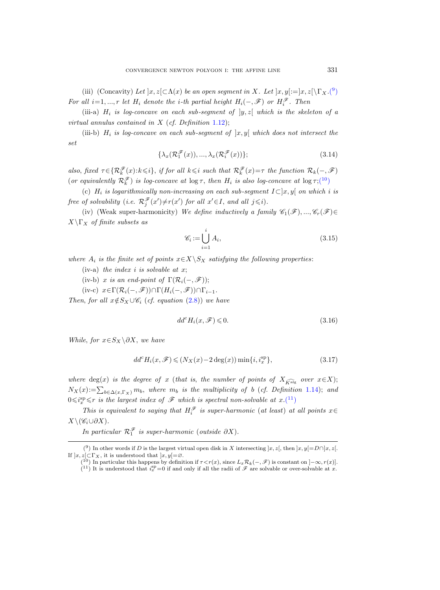[\(](#page-24-0)iii) (Concavity) Let  $]x, z[ \subset \Lambda(x)$  be an open segment in X. Let  $]x, y[ :=]x, z[ \setminus \Gamma_X. (9)$ For all  $i=1,...,r$  let  $H_i$  denote the i-th partial height  $H_i(-, \mathscr{F})$  or  $H_i^{\mathscr{F}}$ . Then

(iii-a)  $H_i$  is log-concave on each sub-segment of  $|y, z|$  which is the skeleton of a virtual annulus contained in  $X$  (cf. Definition [1.12\)](#page-11-3);

(iii-b)  $H_i$  is log-concave on each sub-segment of  $\vert x,y \vert$  which does not intersect the set

$$
\{\lambda_x(\mathcal{R}_1^{\mathcal{F}}(x)), \ldots, \lambda_x(\mathcal{R}_i^{\mathcal{F}}(x))\};\tag{3.14}
$$

also, fixed  $\tau \in \{ \mathcal{R}_k^{\mathscr{F}}(x): k \leq i \}$ , if for all  $k \leq i$  such that  $\mathcal{R}_k^{\mathscr{F}}(x) = \tau$  the function  $\mathcal{R}_k(-, \mathscr{F})$ (or equivalently  $\mathcal{R}_k^{\mathscr{F}}$ ) is log-concave at  $\log \tau$ , then  $H_i$  is also log-concave at  $\log \tau$ [;\(](#page-24-1)10)

(c)  $H_i$  is logarithmically non-increasing on each sub-segment  $I\subset [x, y]$  on which i is free of solvability (i.e.  $\mathcal{R}_j^{\mathscr{F}}(x') \neq r(x')$  for all  $x' \in I$ , and all  $j \leq i$ ).

(iv) (Weak super-harmonicity) We define inductively a family  $\mathscr{C}_1(\mathscr{F}), ..., \mathscr{C}_r(\mathscr{F}) \in$  $X\Gamma_X$  of finite subsets as

$$
\mathscr{C}_i := \bigcup_{i=1}^i A_i,\tag{3.15}
$$

where  $A_i$  is the finite set of points  $x \in X \backslash S_X$  satisfying the following properties:

(iv-a) the index i is solvable at  $x$ ;

- (iv-b) x is an end-point of  $\Gamma(\mathcal{R}_i(-, \mathcal{F}))$ ;
- (iv-c)  $x \in \Gamma(\mathcal{R}_i(-, \mathscr{F})) \cap \Gamma(H_i(-, \mathscr{F})) \cap \Gamma_{i-1}.$

Then, for all  $x \notin S_X \cup \mathscr{C}_i$  (cf. equation [\(2.8\)](#page-15-1)) we have

<span id="page-24-3"></span>
$$
dd^c H_i(x, \mathcal{F}) \leq 0. \tag{3.16}
$$

While, for  $x \in S_X \backslash \partial X$ , we have

<span id="page-24-4"></span>
$$
dd^{c}H_{i}(x,\mathscr{F}) \leqslant (N_{X}(x) - 2 \deg(x)) \min\{i, i_{x}^{\mathrm{sp}}\},\tag{3.17}
$$

where deg(x) is the degree of x (that is, the number of points of  $X_{\widehat{k\circ a|g}}$  over  $x\in X$ );  $N_X(x) := \sum_{b \in \Delta(x,\Gamma_X)} m_b$ , where  $m_b$  is the multiplicity of b (cf. Definition [1.14\)](#page-11-1); and  $0 \leqslant i_x^{\text{sp}} \leqslant r$  is the largest index of  $\mathscr F$  which is spectral non-solvable at  $x.(11)$  $x.(11)$  $x.(11)$ 

This is equivalent to saying that  $H_i^{\mathscr{F}}$  is super-harmonic (at least) at all points  $x \in$  $X\backslash (\mathscr{C}_i\cup\partial X).$ 

<span id="page-24-0"></span>In particular  $\mathcal{R}_1^{\mathscr{F}}$  is super-harmonic (outside  $\partial X$ ).

<sup>(&</sup>lt;sup>9</sup>) In other words if D is the largest virtual open disk in X intersecting  $x, z$ , then  $x, y$ [=D∩]x, z[. If  $]x, z[ \subset \Gamma_X$ , it is understood that  $]x, y[ = \emptyset$ .

<span id="page-24-2"></span><span id="page-24-1"></span><sup>(&</sup>lt;sup>10</sup>) In particular this happens by definition if  $\tau < r(x)$ , since  $L_x \mathcal{R}_k(-, \mathcal{F})$  is constant on  $]-\infty, r(x)]$ .  $(11)$  It is understood that  $i_x^{\text{sp}}=0$  if and only if all the radii of  $\mathscr F$  are solvable or over-solvable at x.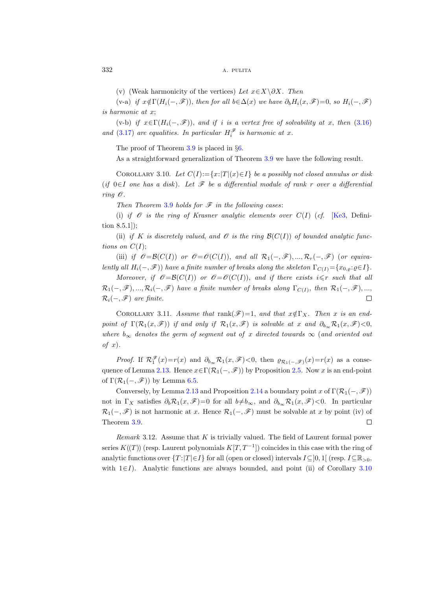(v) (Weak harmonicity of the vertices) Let  $x \in X \setminus \partial X$ . Then

(v-a) if  $x \notin \Gamma(H_i(-, \mathscr{F}))$ , then for all  $b \in \Delta(x)$  we have  $\partial_b H_i(x, \mathscr{F})=0$ , so  $H_i(-, \mathscr{F})$ is harmonic at x;

(v-b) if  $x \in \Gamma(H_i(-, \mathscr{F}))$ , and if i is a vertex free of solvability at x, then [\(3.16\)](#page-24-3) and [\(3.17\)](#page-24-4) are equalities. In particular  $H_i^{\mathscr{F}}$  is harmonic at x.

The proof of Theorem [3.9](#page-23-0) is placed in §[6.](#page-40-1)

As a straightforward generalization of Theorem [3.9](#page-23-0) we have the following result.

<span id="page-25-1"></span>COROLLARY 3.10. Let  $C(I):={x:|T|(x)\in I}$  be a possibly not closed annulus or disk (if  $0 \in I$  one has a disk). Let  $\mathscr F$  be a differential module of rank r over a differential ring  $\mathscr O$ .

Then Theorem [3.9](#page-23-0) holds for  $\mathscr F$  in the following cases:

(i) if  $\mathcal O$  is the ring of Krasner analytic elements over  $C(I)$  (cf. [\[Ke3,](#page-47-8) Definition 8.5.1]);

(ii) if K is discretely valued, and  $\mathscr O$  is the ring  $\mathcal B(C(I))$  of bounded analytic functions on  $C(I);$ 

(iii) if  $\mathscr{O}=\mathcal{B}(C(I))$  or  $\mathscr{O}=\mathcal{O}(C(I))$ , and all  $\mathcal{R}_1(-,\mathscr{F}),...,\mathcal{R}_r(-,\mathscr{F})$  (or equivalently all  $H_i(-, \mathscr{F})$ ) have a finite number of breaks along the skeleton  $\Gamma_{C(I)} = \{x_{0,o}: \rho \in I\}$ .

Moreover, if  $\mathscr{O} = \mathcal{B}(C(I))$  or  $\mathscr{O} = \mathcal{O}(C(I))$ , and if there exists  $i \leq r$  such that all  $\mathcal{R}_1(-,\mathscr{F}),...,\mathcal{R}_i(-,\mathscr{F})$  have a finite number of breaks along  $\Gamma_{C(I)},$  then  $\mathcal{R}_1(-,\mathscr{F}),... ,$  $\mathcal{R}_i(-, \mathscr{F})$  are finite.  $\Box$ 

COROLLARY 3.11. Assume that rank $(\mathscr{F})=1$ , and that  $x \notin \Gamma_X$ . Then x is an endpoint of  $\Gamma(\mathcal{R}_1(x,\mathscr{F}))$  if and only if  $\mathcal{R}_1(x,\mathscr{F})$  is solvable at x and  $\partial_{b_\infty}\mathcal{R}_1(x,\mathscr{F})<0$ , where  $b_{\infty}$  denotes the germ of segment out of x directed towards  $\infty$  (and oriented out of  $x$ ).

*Proof.* If  $\mathcal{R}_1^{\mathscr{F}}(x) = r(x)$  and  $\partial_{b_\infty} \mathcal{R}_1(x, \mathscr{F}) < 0$ , then  $\varrho_{\mathcal{R}_1(-,\mathscr{F})}(x) = r(x)$  as a conse-quence of Lemma [2.13.](#page-16-1) Hence  $x \in \Gamma(\mathcal{R}_1(-, \mathcal{F}))$  by Proposition [2.5.](#page-13-2) Now x is an end-point of  $\Gamma(\mathcal{R}_1(-, \mathscr{F}))$  by Lemma [6.5.](#page-43-0)

Conversely, by Lemma [2.13](#page-16-1) and Proposition [2.14](#page-17-1) a boundary point x of  $\Gamma(\mathcal{R}_1(-, \mathscr{F}))$ not in  $\Gamma_X$  satisfies  $\partial_b \mathcal{R}_1(x,\mathcal{F})=0$  for all  $b\neq b_\infty$ , and  $\partial_{b_\infty} \mathcal{R}_1(x,\mathcal{F})<0$ . In particular  $\mathcal{R}_1(-, \mathscr{F})$  is not harmonic at x. Hence  $\mathcal{R}_1(-, \mathscr{F})$  must be solvable at x by point (iv) of Theorem [3.9.](#page-23-0)  $\Box$ 

<span id="page-25-0"></span>Remark 3.12. Assume that  $K$  is trivially valued. The field of Laurent formal power series  $K((T))$  (resp. Laurent polynomials  $K[T, T^{-1}]$ ) coincides in this case with the ring of analytic functions over  $\{T : |T| \in I\}$  for all (open or closed) intervals  $I \subseteq ]0,1[$  (resp.  $I \subseteq \mathbb{R}_{>0}$ , with  $1 \in I$ ). Analytic functions are always bounded, and point (ii) of Corollary [3.10](#page-25-1)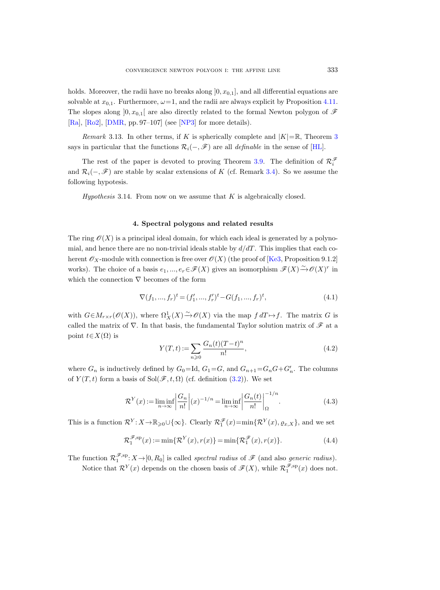holds. Moreover, the radii have no breaks along  $[0, x_{0,1}]$ , and all differential equations are solvable at  $x_{0,1}$ . Furthermore,  $\omega = 1$ , and the radii are always explicit by Proposition [4.11.](#page-32-1) The slopes along  $]0, x_{0,1}[$  are also directly related to the formal Newton polygon of  $\mathscr F$ [\[Ra\]](#page-48-11), [\[Ro2\]](#page-48-2), [\[DMR,](#page-47-17) pp. 97–107] (see [\[NP3\]](#page-48-5) for more details).

Remark [3](#page-4-0).13. In other terms, if K is spherically complete and  $|K| = \mathbb{R}$ , Theorem 3 says in particular that the functions  $\mathcal{R}_i(-, \mathcal{F})$  are all *definable* in the sense of [\[HL\]](#page-47-18).

The rest of the paper is devoted to proving Theorem [3.9.](#page-23-0) The definition of  $\mathcal{R}^{\mathscr{F}}_i$ and  $\mathcal{R}_i(-, \mathscr{F})$  are stable by scalar extensions of K (cf. Remark [3.4\)](#page-22-4). So we assume the following hypotesis.

*Hypothesis* 3.14. From now on we assume that  $K$  is algebraically closed.

#### 4. Spectral polygons and related results

The ring  $\mathcal{O}(X)$  is a principal ideal domain, for which each ideal is generated by a polynomial, and hence there are no non-trivial ideals stable by  $d/dT$ . This implies that each coherent  $\mathscr{O}_X$ -module with connection is free over  $\mathscr{O}(X)$  (the proof of [\[Ke3,](#page-47-8) Proposition 9.1.2] works). The choice of a basis  $e_1, ..., e_r \in \mathscr{F}(X)$  gives an isomorphism  $\mathscr{F}(X) \xrightarrow{\sim} \mathscr{O}(X)^r$  in which the connection  $\nabla$  becomes of the form

$$
\nabla (f_1, ..., f_r)^t = (f'_1, ..., f'_r)^t - G(f_1, ..., f_r)^t,
$$
\n(4.1)

with  $G \in M_{r \times r}(\mathscr{O}(X))$ , where  $\Omega_X^1(X) \to \mathscr{O}(X)$  via the map  $f dT \mapsto f$ . The matrix G is called the matrix of  $\nabla$ . In that basis, the fundamental Taylor solution matrix of  ${\mathscr{F}}$  at a point  $t \in X(\Omega)$  is

$$
Y(T,t) := \sum_{n \geq 0} \frac{G_n(t)(T-t)^n}{n!},
$$
\n(4.2)

where  $G_n$  is inductively defined by  $G_0 = \text{Id}$ ,  $G_1 = G$ , and  $G_{n+1} = G_n G + G'_n$ . The columns of  $Y(T, t)$  form a basis of Sol $(\mathscr{F}, t, \Omega)$  (cf. definition [\(3.2\)](#page-21-2)). We set

<span id="page-26-0"></span>
$$
\mathcal{R}^Y(x) := \liminf_{n \to \infty} \left| \frac{G_n}{n!} \right| (x)^{-1/n} = \liminf_{n \to \infty} \left| \frac{G_n(t)}{n!} \right|_{{\Omega}}^{-1/n}.
$$
\n(4.3)

This is a function  $\mathcal{R}^Y: X \to \mathbb{R}_{\geqslant 0} \cup \{\infty\}$ . Clearly  $\mathcal{R}_1^{\mathscr{F}}(x) = \min\{\mathcal{R}^Y(x), \varrho_{x,X}\}\$ , and we set

<span id="page-26-1"></span>
$$
\mathcal{R}_1^{\mathcal{F},sp}(x) := \min\{\mathcal{R}^Y(x), r(x)\} = \min\{\mathcal{R}_1^{\mathcal{F}}(x), r(x)\}.
$$
\n(4.4)

The function  $\mathcal{R}_1^{\mathscr{F},sp}$ :  $X \to [0, R_0]$  is called spectral radius of  $\mathscr{F}$  (and also *generic radius*). Notice that  $\mathcal{R}^{Y}(x)$  depends on the chosen basis of  $\mathscr{F}(X)$ , while  $\mathcal{R}_{1}^{\mathscr{F},sp}(x)$  does not.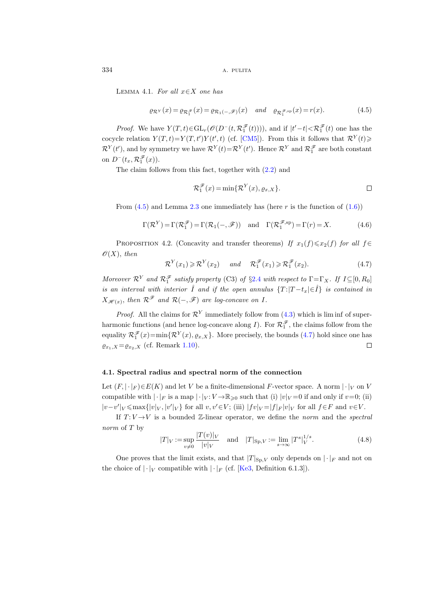LEMMA 4.1. For all  $x \in X$  one has

<span id="page-27-1"></span>
$$
\varrho_{\mathcal{R}^Y}(x) = \varrho_{\mathcal{R}_1^{\mathscr{F}}}(x) = \varrho_{\mathcal{R}_1(-,\mathscr{F})}(x) \quad \text{and} \quad \varrho_{\mathcal{R}_1^{\mathscr{F},\mathrm{sp}}}(x) = r(x). \tag{4.5}
$$

*Proof.* We have  $Y(T,t) \in GL_r(\mathcal{O}(D^-(t,\mathcal{R}_1^{\mathcal{F}}(t))))$ , and if  $|t'-t| < \mathcal{R}_1^{\mathcal{F}}(t)$  one has the cocycle relation  $Y(T,t)=Y(T,t')Y(t',t)$  (cf. [\[CM5\]](#page-47-19)). From this it follows that  $\mathcal{R}^{Y}(t)$  $\mathcal{R}^Y(t')$ , and by symmetry we have  $\mathcal{R}^Y(t) = \mathcal{R}^Y(t')$ . Hence  $\mathcal{R}^Y$  and  $\mathcal{R}^{\mathscr{F}}_1$  are both constant on  $D^-(t_x, \mathcal{R}_1^{\mathscr{F}}(x))$ .

The claim follows from this fact, together with [\(2.2\)](#page-12-2) and

$$
\mathcal{R}_1^{\mathcal{F}}(x) = \min\{\mathcal{R}^Y(x), \varrho_{x,X}\}.
$$

From  $(4.5)$  and Lemma [2.3](#page-12-1) one immediately has (here r is the function of  $(1.6)$ )

<span id="page-27-0"></span>
$$
\Gamma(\mathcal{R}^Y) = \Gamma(\mathcal{R}_1^{\mathcal{F}}) = \Gamma(\mathcal{R}_1(-, \mathcal{F})) \text{ and } \Gamma(\mathcal{R}_1^{\mathcal{F},sp}) = \Gamma(r) = X. \tag{4.6}
$$

<span id="page-27-3"></span>PROPOSITION 4.2. (Concavity and transfer theorems) If  $x_1(f) \le x_2(f)$  for all  $f \in$  $\mathscr{O}(X)$ , then

<span id="page-27-2"></span>
$$
\mathcal{R}^{Y}(x_1) \geq \mathcal{R}^{Y}(x_2) \quad \text{and} \quad \mathcal{R}_1^{\mathcal{F}}(x_1) \geq \mathcal{R}_1^{\mathcal{F}}(x_2). \tag{4.7}
$$

Moreover  $\mathcal{R}^Y$  and  $\mathcal{R}_1^{\mathscr{F}}$  satisfy property (C3) of §[2.4](#page-15-0) with respect to  $\Gamma = \Gamma_X$ . If  $I \subseteq [0, R_0]$ is an interval with interior  $\mathring{I}$  and if the open annulus  $\{T : |T - t_x| \in \mathring{I}\}$  is contained in  $X_{\mathscr{H}(x)},$  then  $\mathcal{R}^{\mathscr{F}}$  and  $\mathcal{R}(-,\mathscr{F})$  are log-concave on I.

*Proof.* All the claims for  $\mathcal{R}^{Y}$  immediately follow from [\(4.3\)](#page-26-0) which is lim inf of superharmonic functions (and hence log-concave along I). For  $\mathcal{R}_1^{\mathcal{F}}$ , the claims follow from the equality  $\mathcal{R}_1^{\mathscr{F}}(x) = \min\{\mathcal{R}^Y(x), \varrho_{x,X}\}\.$  More precisely, the bounds [\(4.7\)](#page-27-2) hold since one has  $\varrho_{x_1,X} = \varrho_{x_2,X}$  (cf. Remark [1.10\)](#page-10-3).  $\Box$ 

## 4.1. Spectral radius and spectral norm of the connection

Let  $(F, |\cdot|_F) \in E(K)$  and let V be a finite-dimensional F-vector space. A norm  $|\cdot|_V$  on V compatible with  $|\cdot|_F$  is a map  $|\cdot|_V : V \to \mathbb{R}_{\geq 0}$  such that (i)  $|v|_V = 0$  if and only if  $v=0$ ; (ii)  $|v-v'|_V$  ≤ max $\{|v|_V, |v'|_V\}$  for all  $v, v' \in V$ ; (iii)  $|fv|_V = |f|_F |v|_V$  for all  $f \in F$  and  $v \in V$ .

If  $T: V \rightarrow V$  is a bounded Z-linear operator, we define the norm and the spectral norm of T by

$$
|T|_V := \sup_{v \neq 0} \frac{|T(v)|_V}{|v|_V} \quad \text{and} \quad |T|_{\text{Sp},V} := \lim_{s \to \infty} |T^s|_V^{1/s}.
$$
 (4.8)

One proves that the limit exists, and that  $|T|_{\text{Sp},V}$  only depends on  $|\cdot|_F$  and not on the choice of  $|\cdot|_V$  compatible with  $|\cdot|_F$  (cf. [\[Ke3,](#page-47-8) Definition 6.1.3]).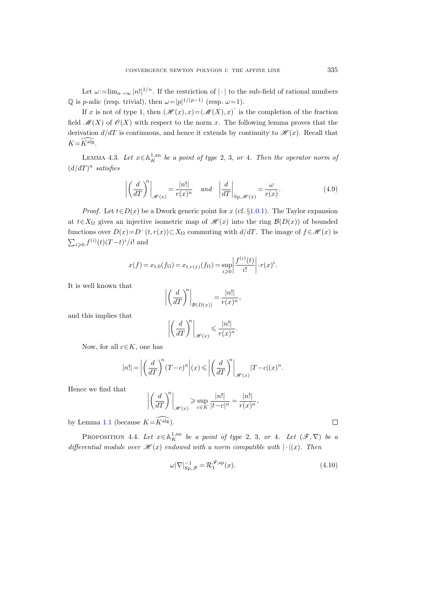Let  $\omega := \lim_{n \to \infty} |n!|^{1/n}$ . If the restriction of  $|\cdot|$  to the sub-field of rational numbers  $\mathbb Q$  is *p*-adic (resp. trivial), then  $\omega = |p|^{1/(p-1)}$  (resp.  $\omega = 1$ ).

If x is not of type 1, then  $(\mathscr{H}(x), x) = (\mathscr{M}(X), x)$  is the completion of the fraction field  $\mathcal{M}(X)$  of  $\mathcal{O}(X)$  with respect to the norm x. The following lemma proves that the derivation  $d/dT$  is continuous, and hence it extends by continuity to  $\mathcal{H}(x)$ . Recall that  $K=\widehat{K}$ alg.

<span id="page-28-0"></span>LEMMA 4.3. Let  $x \in \mathbb{A}^{1,\text{an}}_K$  be a point of type 2, 3, or 4. Then the operator norm of  $(d/dT)^n$  satisfies

$$
\left| \left( \frac{d}{dT} \right)^n \right|_{\mathscr{H}(x)} = \frac{|n!|}{r(x)^n} \quad \text{and} \quad \left| \frac{d}{dT} \right|_{\text{Sp}, \mathscr{H}(x)} = \frac{\omega}{r(x)}.
$$
\n(4.9)

*Proof.* Let  $t \in D(x)$  be a Dwork generic point for x (cf. §[1.0.1\)](#page-6-1). The Taylor expansion at  $t \in X_{\Omega}$  gives an injective isometric map of  $\mathscr{H}(x)$  into the ring  $\mathcal{B}(D(x))$  of bounded functions over  $D(x)=D^{-}(t, r(x))\subset X_{\Omega}$  commuting with  $d/dT$ . The image of  $f\in\mathscr{H}(x)$  is  $\sum_{i\geqslant 0} f^{(i)}(t) (T-t)^i / i!$  and

$$
x(f) = x_{t,0}(f_{\Omega}) = x_{t,r(x)}(f_{\Omega}) = \sup_{i \ge 0} \left| \frac{f^{(i)}(t)}{i!} \right| \cdot r(x)^{i}.
$$

It is well known that

$$
\left| \left( \frac{d}{dT} \right)^n \right|_{\mathcal{B}(D(x))} = \frac{|n!|}{r(x)^n},
$$

and this implies that

$$
\left| \left( \frac{d}{dT} \right)^n \right|_{\mathscr{H}(x)} \leqslant \frac{|n!|}{r(x)^n}.
$$

Now, for all  $c \in K$ , one has

$$
|n!| = \left| \left( \frac{d}{dT} \right)^n (T - c)^n \right| (x) \leqslant \left| \left( \frac{d}{dT} \right)^n \right|_{\mathscr{H}(x)} |T - c|(x)^n.
$$

Hence we find that

$$
\left| \left( \frac{d}{dT} \right)^n \right|_{\mathscr{H}(x)} \ge \sup_{c \in K} \frac{|n!|}{|t-c|^n} = \frac{|n!|}{r(x)^n},
$$

by Lemma [1.1](#page-7-0) (because  $K=\widehat{K^{alg}}$ ).

<span id="page-28-1"></span>PROPOSITION 4.4. Let  $x \in \mathbb{A}^{1,\text{an}}_K$  be a point of type 2, 3, or 4. Let  $(\mathscr{F}, \nabla)$  be a differential module over  $\mathcal{H}(x)$  endowed with a norm compatible with  $|\cdot|(x)$ . Then

<span id="page-28-2"></span>
$$
\omega |\nabla|_{\text{Sp},\mathcal{F}}^{-1} = \mathcal{R}_1^{\mathcal{F},\text{sp}}(x). \tag{4.10}
$$

 $\Box$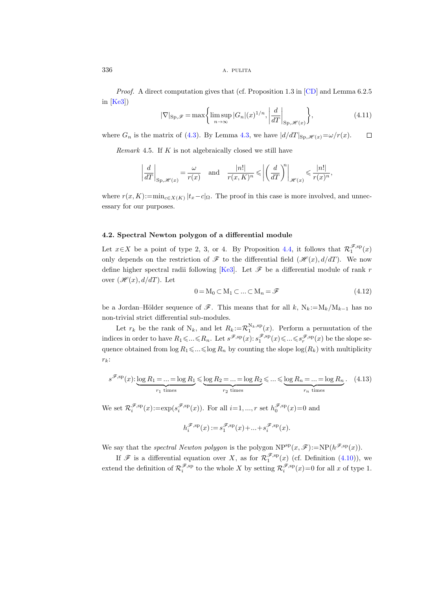$336$  A. PULITA

Proof. A direct computation gives that (cf. Proposition 1.3 in [\[CD\]](#page-46-1) and Lemma 6.2.5 in  $[Ke3]$ 

$$
|\nabla|_{\text{Sp},\mathscr{F}} = \max\left\{ \limsup_{n \to \infty} |G_n|(x)^{1/n}, \left| \frac{d}{dT} \right|_{\text{Sp},\mathscr{H}(x)} \right\},\tag{4.11}
$$

where  $G_n$  is the matrix of [\(4.3\)](#page-26-0). By Lemma [4.3,](#page-28-0) we have  $\frac{d}{dT}|_{\text{Sp}\,\mathscr{H}(x)}=\omega/r(x)$ .  $\Box$ 

Remark 4.5. If  $K$  is not algebraically closed we still have

$$
\left| \frac{d}{dT} \right|_{\text{Sp}, \mathscr{H}(x)} = \frac{\omega}{r(x)} \quad \text{and} \quad \frac{|n!|}{r(x, K)^n} \leqslant \left| \left( \frac{d}{dT} \right)^n \right|_{\mathscr{H}(x)} \leqslant \frac{|n!|}{r(x)^n},
$$

where  $r(x, K) := \min_{c \in X(K)} |t_x - c|_{\Omega}$ . The proof in this case is more involved, and unnecessary for our purposes.

## 4.2. Spectral Newton polygon of a differential module

Let  $x \in X$  be a point of type 2, 3, or 4. By Proposition [4.4,](#page-28-1) it follows that  $\mathcal{R}_1^{\mathscr{F},sp}(x)$ only depends on the restriction of  $\mathscr F$  to the differential field  $(\mathscr H(x), d/dT)$ . We now define higher spectral radii following [\[Ke3\]](#page-47-8). Let  $\mathscr F$  be a differential module of rank r over  $(\mathcal{H}(x), d/dT)$ . Let

$$
0 = M_0 \subset M_1 \subset \dots \subset M_n = \mathcal{F}
$$
\n
$$
(4.12)
$$

be a Jordan–Hölder sequence of  $\mathscr{F}$ . This means that for all k,  $N_k := M_k/M_{k-1}$  has no non-trivial strict differential sub-modules.

Let  $r_k$  be the rank of  $N_k$ , and let  $R_k := \mathcal{R}_1^{N_k,sp}(x)$ . Perform a permutation of the indices in order to have  $R_1 \leqslant ... \leqslant R_n$ . Let  $s^{\mathscr{F},sp}(x)$ :  $s_1^{\mathscr{F},sp}(x) \leqslant ... \leqslant s_r^{\mathscr{F},sp}(x)$  be the slope sequence obtained from  $\log R_1 \leq \dots \leq \log R_n$  by counting the slope  $\log(R_k)$  with multiplicity  $r_k$ :

$$
s^{\mathscr{F},sp}(x): \underbrace{\log R_1 = \dots = \log R_1}_{r_1 \text{ times}} \leq \underbrace{\log R_2 = \dots = \log R_2}_{r_2 \text{ times}} \leq \dots \leq \underbrace{\log R_n = \dots = \log R_n}_{r_n \text{ times}}.
$$
 (4.13)

We set  $\mathcal{R}_i^{\mathscr{F},sp}(x) := \exp(s_i^{\mathscr{F},sp}(x))$ . For all  $i=1,\dots,r$  set  $h_0^{\mathscr{F},sp}(x)=0$  and

$$
h_i^{\mathcal{F},\mathrm{sp}}(x) := s_1^{\mathcal{F},\mathrm{sp}}(x) + \dots + s_i^{\mathcal{F},\mathrm{sp}}(x).
$$

We say that the *spectral Newton polygon* is the polygon  $NP^{sp}(x, \mathscr{F}) := NP(h^{\mathscr{F},sp}(x)).$ 

<span id="page-29-0"></span>If  $\mathscr F$  is a differential equation over X, as for  $\mathcal{R}_1^{\mathscr F,\mathrm{sp}}(x)$  (cf. Definition [\(4.10\)](#page-28-2)), we extend the definition of  $\mathcal{R}_i^{\mathscr{F},sp}$  to the whole X by setting  $\mathcal{R}_i^{\mathscr{F},sp}(x)=0$  for all x of type 1.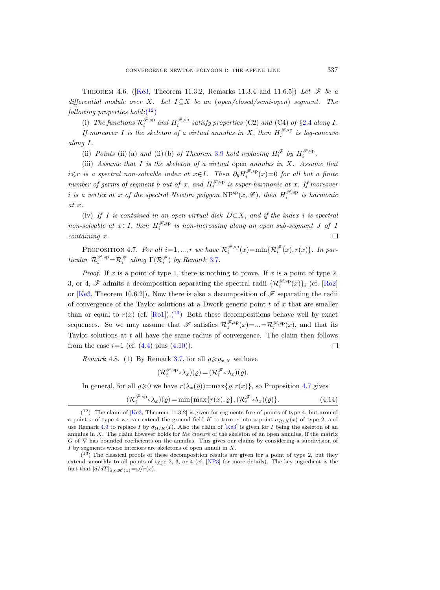THEOREM4.6. ([\[Ke3,](#page-47-8) Theorem 11.3.2, Remarks 11.3.4 and 11.6.5]) Let  $\mathscr F$  be a differential module over X. Let  $I \subseteq X$  be an (open/closed/semi-open) segment. The  $following$  properties  $hold:(^{12})$  $hold:(^{12})$  $hold:(^{12})$ 

(i) The functions  $\mathcal{R}_i^{\mathscr{F},sp}$  and  $H_i^{\mathscr{F},sp}$  satisfy properties (C2) and (C4) of §[2.4](#page-15-0) along I. If moreover I is the skeleton of a virtual annulus in X, then  $H_i^{\mathscr{F},sp}$  is log-concave along I.

(ii) Points (ii) (a) and (ii) (b) of Theorem [3.9](#page-23-0) hold replacing  $H_i^{\mathscr{F}}$  by  $H_i^{\mathscr{F},sp}$ .

(iii) Assume that  $I$  is the skeleton of a virtual open annulus in  $X$ . Assume that  $i \leq r$  is a spectral non-solvable index at  $x \in I$ . Then  $\partial_b H_i^{\mathscr{F},sp}(x) = 0$  for all but a finite number of germs of segment b out of x, and  $H_i^{\mathscr{F},sp}$  is super-harmonic at x. If moreover i is a vertex at x of the spectral Newton polygon  $NP^{sp}(x, \mathscr{F})$ , then  $H_i^{\mathscr{F},sp}$  is harmonic at x.

(iv) If I is contained in an open virtual disk  $D\subset X$ , and if the index i is spectral non-solvable at  $x \in I$ , then  $H_i^{\mathscr{F},sp}$  is non-increasing along an open sub-segment J of I containing x.  $\Box$ 

<span id="page-30-2"></span>PROPOSITION 4.7. For all  $i=1,...,r$  we have  $\mathcal{R}_i^{\mathscr{F},sp}(x) = \min\{\mathcal{R}_i^{\mathscr{F}}(x), r(x)\}\.$  In particular  $\mathcal{R}_i^{\mathscr{F},sp} = \mathcal{R}_i^{\mathscr{F}}$  along  $\Gamma(\mathcal{R}_i^{\mathscr{F}})$  by Remark [3.7](#page-23-3).

*Proof.* If x is a point of type 1, there is nothing to prove. If x is a point of type 2, 3, or 4,  $\mathscr F$  admits a decomposition separating the spectral radii  $\{\mathcal{R}_i^{\mathscr F,\mathrm{sp}}(x)\}_i$  (cf. [\[Ro2\]](#page-48-2) or [\[Ke3,](#page-47-8) Theorem 10.6.2]). Now there is also a decomposition of  $\mathscr F$  separating the radii of convergence of the Taylor solutions at a Dwork generic point  $t$  of  $x$  that are smaller than or equal to  $r(x)$  (cf. [\[Ro1\]](#page-48-1)).<sup>(13</sup>) Both these decompositions behave well by exact sequences. So we may assume that  $\mathscr{F}$  satisfies  $\mathcal{R}_1^{\mathscr{F},sp}(x) = ... = \mathcal{R}_r^{\mathscr{F},sp}(x)$ , and that its Taylor solutions at  $t$  all have the same radius of convergence. The claim then follows from the case  $i=1$  (cf.  $(4.4)$  plus  $(4.10)$ ).  $\Box$ 

<span id="page-30-3"></span>*Remark* 4.8. (1) By Remark [3.7,](#page-23-3) for all  $\varrho \geq \varrho_{x,X}$  we have

$$
(\mathcal{R}_i^{\mathscr{F},\mathrm{sp}} \circ \lambda_x)(\varrho) = (\mathcal{R}_i^{\mathscr{F}} \circ \lambda_x)(\varrho).
$$

In general, for all  $\varrho \ge 0$  we have  $r(\lambda_x(\varrho)) = \max\{\varrho, r(x)\}\)$ , so Proposition [4.7](#page-30-2) gives

$$
(\mathcal{R}_i^{\mathscr{F},\mathrm{sp}} \circ \lambda_x)(\varrho) = \min\{\max\{r(x), \varrho\}, (\mathcal{R}_i^{\mathscr{F}} \circ \lambda_x)(\varrho)\}.
$$
 (4.14)

<span id="page-30-0"></span> $(1^2)$  The claim of [\[Ke3,](#page-47-8) Theorem 11.3.2] is given for segments free of points of type 4, but around a point x of type 4 we can extend the ground field K to turn x into a point  $\sigma_{\Omega/K}(x)$  of type 2, and use Remark [4.9](#page-31-0) to replace I by  $\sigma_{\Omega/K}(I)$ . Also the claim of [\[Ke3\]](#page-47-8) is given for I being the skeleton of an annulus in X. The claim however holds for the closure of the skeleton of an open annulus, if the matrix G of  $\nabla$  has bounded coefficients on the annulus. This gives our claims by considering a subdivision of  $I$  by segments whose interiors are skeletons of open annuli in  $X$ .

<span id="page-30-1"></span><sup>(</sup> <sup>13</sup>) The classical proofs of these decomposition results are given for a point of type 2, but they extend smoothly to all points of type 2, 3, or 4 (cf. [\[NP3\]](#page-48-5) for more details). The key ingredient is the fact that  $|d/dT|_{\text{Sp},\mathscr{H}(x)}=\omega/r(x)$ .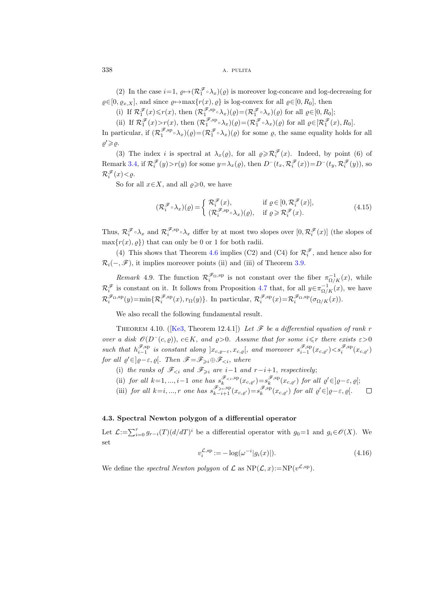(2) In the case  $i=1$ ,  $\varrho \mapsto (\mathcal{R}_1^{\mathscr{F} \circ} \lambda_x)(\varrho)$  is moreover log-concave and log-decreasing for  $\varrho \in [0, \varrho_{x,X}],$  and since  $\varrho \mapsto \max\{r(x), \varrho\}$  is log-convex for all  $\varrho \in [0, R_0],$  then

(i) If  $\mathcal{R}_1^{\mathscr{F}}(x) \le r(x)$ , then  $(\mathcal{R}_1^{\mathscr{F},sp} \circ \lambda_x)(\varrho) = (\mathcal{R}_1^{\mathscr{F}} \circ \lambda_x)(\varrho)$  for all  $\varrho \in [0, R_0]$ ;

(ii) If  $\mathcal{R}_1^{\mathscr{F}}(x) > r(x)$ , then  $(\mathcal{R}_1^{\mathscr{F},sp} \circ \lambda_x)(\varrho) = (\mathcal{R}_1^{\mathscr{F}} \circ \lambda_x)(\varrho)$  for all  $\varrho \in [\mathcal{R}_1^{\mathscr{F}}(x), R_0].$ 

In particular, if  $(\mathcal{R}_1^{\mathscr{F},sp} \circ \lambda_x)(\varrho) = (\mathcal{R}_1^{\mathscr{F}} \circ \lambda_x)(\varrho)$  for some  $\varrho$ , the same equality holds for all  $\rho' \geqslant \rho$ .

(3) The index *i* is spectral at  $\lambda_x(\varrho)$ , for all  $\varrho \geqslant \mathcal{R}_i^{\mathscr{F}}(x)$ . Indeed, by point (6) of Remark [3.4,](#page-22-4) if  $\mathcal{R}_i^{\mathscr{F}}(y) > r(y)$  for some  $y = \lambda_x(\varrho)$ , then  $D^-(t_x, \mathcal{R}_i^{\mathscr{F}}(x)) = D^-(t_y, \mathcal{R}_i^{\mathscr{F}}(y))$ , so  $\mathcal{R}_i^{\mathscr{F}}(x) < \varrho.$ 

So for all  $x \in X$ , and all  $\rho \geq 0$ , we have

<span id="page-31-2"></span>
$$
(\mathcal{R}_{i}^{\mathscr{F}} \circ \lambda_{x})(\varrho) = \begin{cases} \mathcal{R}_{i}^{\mathscr{F}}(x), & \text{if } \varrho \in [0, \mathcal{R}_{i}^{\mathscr{F}}(x)], \\ (\mathcal{R}_{i}^{\mathscr{F},\text{sp}} \circ \lambda_{x})(\varrho), & \text{if } \varrho \geqslant \mathcal{R}_{i}^{\mathscr{F}}(x). \end{cases}
$$
\n
$$
(4.15)
$$

Thus,  $\mathcal{R}_i^{\mathscr{F} \circ \lambda_x}$  and  $\mathcal{R}_i^{\mathscr{F},sp} \circ \lambda_x$  differ by at most two slopes over  $[0,\mathcal{R}_i^{\mathscr{F}}(x)]$  (the slopes of  $\max\{r(x), \rho\}$  that can only be 0 or 1 for both radii.

(4) This shows that Theorem [4.6](#page-29-0) implies (C2) and (C4) for  $\mathcal{R}^{\mathcal{F}}_i$ , and hence also for  $\mathcal{R}_i(-, \mathscr{F})$ , it implies moreover points (ii) and (iii) of Theorem [3.9.](#page-23-0)

<span id="page-31-0"></span>Remark 4.9. The function  $\mathcal{R}_i^{\mathscr{F}_{\Omega,\text{sp}}}$  is not constant over the fiber  $\pi_{\Omega/K}^{-1}(x)$ , while  $\mathcal{R}_i^{\mathscr{F}}$  is constant on it. It follows from Proposition [4.7](#page-30-2) that, for all  $y \in \pi_{\Omega/K}^{-1}(x)$ , we have  $\mathcal{R}_i^{\mathscr{F}_{\Omega},\text{sp}}(y) = \min \{ \mathcal{R}_i^{\mathscr{F},\text{sp}}(x), r_{\Omega}(y) \}.$  In particular,  $\mathcal{R}_i^{\mathscr{F},\text{sp}}(x) = \mathcal{R}_i^{\mathscr{F}_{\Omega},\text{sp}}(\sigma_{\Omega/K}(x)).$ 

We also recall the following fundamental result.

<span id="page-31-1"></span>THEOREM4.10. ([\[Ke3,](#page-47-8) Theorem 12.4.1]) Let  $\mathscr F$  be a differential equation of rank r over a disk  $\mathcal{O}(D^-(c, \rho))$ ,  $c \in K$ , and  $\rho > 0$ . Assume that for some  $i \leq r$  there exists  $\varepsilon > 0$ such that  $h_{i-1}^{\mathscr{F},sp}$  is constant along  $|x_{c,\varrho-\varepsilon},x_{c,\varrho}|$ , and moreover  $s_{i-1}^{\mathscr{F},sp}(x_{c,\varrho'})\lt s_i^{\mathscr{F},sp}(x_{c,\varrho'})$ for all  $\varrho' \in ]\varrho-\varepsilon, \varrho[$ . Then  $\mathscr{F} = \mathscr{F}_{\geq i} \oplus \mathscr{F}_{\leq i}$ , where

- (i) the ranks of  $\mathscr{F}_{\leq i}$  and  $\mathscr{F}_{\geq i}$  are  $i-1$  and  $r-i+1$ , respectively;
- (ii) for all  $k=1, ..., i-1$  one has  $s_k^{\mathscr{F}_{\leq i},sp}(x_{c,g'})=s_k^{\mathscr{F}_{\leq i},sp}(x_{c,g'})$  for all  $\varrho'\in]\varrho-\varepsilon,\varrho[$ ;
- (iii) for all  $k=i, ..., r$  one has  $s_{k-i+1}^{\mathscr{F}_{\geq i, \text{sp}}}(x_{c,g'})=s_k^{\mathscr{F},\text{sp}}(x_{c,g'})$  for all  $\varrho' \in ]\varrho-\varepsilon, \varrho[$ .  $\Box$

#### 4.3. Spectral Newton polygon of a differential operator

Let  $\mathcal{L}:=\sum_{i=0}^r g_{r-i}(T)(d/dT)^i$  be a differential operator with  $g_0=1$  and  $g_i\in\mathcal{O}(X)$ . We set

$$
v_i^{\mathcal{L},\text{sp}} := -\log(\omega^{-i}|g_i(x)|). \tag{4.16}
$$

We define the *spectral Newton polygon* of  $\mathcal L$  as  $NP(\mathcal L, x) := NP(v^{\mathcal L, sp})$ .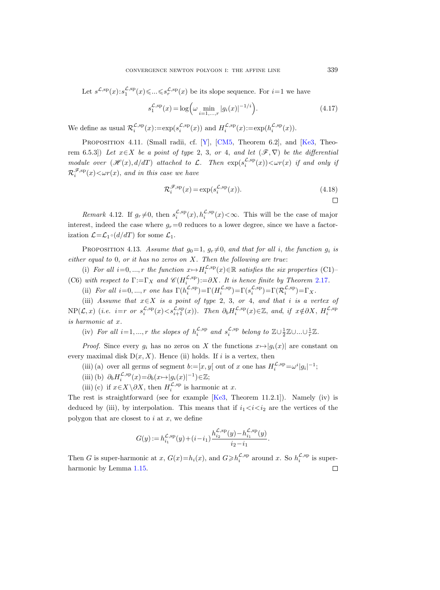Let  $s^{\mathcal{L},sp}(x): s_1^{\mathcal{L},sp}(x) \leq \ldots \leq s_r^{\mathcal{L},sp}(x)$  be its slope sequence. For  $i=1$  we have

$$
s_1^{\mathcal{L},\text{sp}}(x) = \log\left(\omega \min_{i=1,\dots,r} |g_i(x)|^{-1/i}\right). \tag{4.17}
$$

We define as usual  $\mathcal{R}_i^{\mathcal{L},sp}(x) := \exp(s_i^{\mathcal{L},sp}(x))$  and  $H_i^{\mathcal{L},sp}(x) := \exp(h_i^{\mathcal{L},sp}(x))$ .

<span id="page-32-1"></span>PROPOSITION 4.11. (Small radii, cf. [\[Y\]](#page-48-7), [\[CM5,](#page-47-19) Theorem 6.2], and [\[Ke3,](#page-47-8) Theorem 6.5.3]) Let  $x \in X$  be a point of type 2, 3, or 4, and let  $(\mathscr{F}, \nabla)$  be the differential module over  $(\mathscr{H}(x), d/dT)$  attached to L. Then  $\exp(s_i^{\mathcal{L},sp}(x)) < \omega r(x)$  if and only if  $\mathcal{R}_i^{\mathscr{F},\mathsf{sp}}(x) \lt \omega r(x)$ , and in this case we have

$$
\mathcal{R}_i^{\mathcal{F},\text{sp}}(x) = \exp(s_i^{\mathcal{L},\text{sp}}(x)).\tag{4.18}
$$

Remark 4.12. If  $g_r \neq 0$ , then  $s_i^{\mathcal{L},sp}(x), h_i^{\mathcal{L},sp}(x) < \infty$ . This will be the case of major interest, indeed the case where  $g_r=0$  reduces to a lower degree, since we have a factorization  $\mathcal{L} = \mathcal{L}_1 \circ (d/dT)$  for some  $\mathcal{L}_1$ .

<span id="page-32-0"></span>PROPOSITION 4.13. Assume that  $g_0=1, g_r\neq 0$ , and that for all i, the function  $g_i$  is either equal to 0, or it has no zeros on  $X$ . Then the following are true:

(i) For all  $i=0,\ldots,r$  the function  $x \mapsto H^{\mathcal{L},sp}_{i}(x) \in \mathbb{R}$  satisfies the six properties (C1)– i (C6) with respect to  $\Gamma := \Gamma_X$  and  $\mathscr{C}(H_i^{\mathcal{L},sp}) := \partial X$ . It is hence finite by Theorem [2.17](#page-18-0).

(ii) For all  $i=0, ..., r$  one has  $\Gamma(h_i^{\mathcal{L},sp}) = \Gamma(H_i^{\mathcal{L},sp}) = \Gamma(s_i^{\mathcal{L},sp}) = \Gamma(\mathcal{R}_i^{\mathcal{L},sp}) = \Gamma_{X}.$ 

(iii) Assume that  $x \in X$  is a point of type 2, 3, or 4, and that i is a vertex of  $NP(\mathcal{L}, x)$  (i.e. i=r or  $s_i^{\mathcal{L},sp}(x) < s_{i+1}^{\mathcal{L},sp}(x)$ ). Then  $\partial_b H_i^{\mathcal{L},sp}(x) \in \mathbb{Z}$ , and, if  $x \notin \partial X$ ,  $H_i^{\mathcal{L},sp}$ is harmonic at x.

(iv) For all  $i=1,\dots,r$  the slopes of  $h_i^{\mathcal{L},sp}$  and  $s_i^{\mathcal{L},sp}$  belong to  $\mathbb{Z}\cup\frac{1}{2}\mathbb{Z}\cup...\cup\frac{1}{r}\mathbb{Z}$ .

*Proof.* Since every  $g_i$  has no zeros on X the functions  $x \mapsto |g_i(x)|$  are constant on every maximal disk  $D(x, X)$ . Hence (ii) holds. If i is a vertex, then

(iii) (a) over all germs of segment  $b := [x, y]$  out of x one has  $H_i^{\mathcal{L},sp} = \omega^i |g_i|^{-1}$ ;

- (iii) (b)  $\partial_b H_i^{\mathcal{L},sp}(x) = \partial_b(x \mapsto |g_i(x)|^{-1}) \in \mathbb{Z};$
- (iii) (c) if  $x \in X \setminus \partial X$ , then  $H_i^{\mathcal{L},sp}$  is harmonic at x.

The rest is straightforward (see for example [\[Ke3,](#page-47-8) Theorem 11.2.1]). Namely (iv) is deduced by (iii), by interpolation. This means that if  $i_1 < i < i_2$  are the vertices of the polygon that are closest to  $i$  at  $x$ , we define

$$
G(y) := h_{i_1}^{\mathcal{L}, \text{sp}}(y) + (i - i_1) \frac{h_{i_2}^{\mathcal{L}, \text{sp}}(y) - h_{i_1}^{\mathcal{L}, \text{sp}}(y)}{i_2 - i_1}.
$$

Then G is super-harmonic at x,  $G(x) = h_i(x)$ , and  $G \geq h_i^{\mathcal{L},sp}$  around x. So  $h_i^{\mathcal{L},sp}$  is superharmonic by Lemma [1.15.](#page-11-4) $\Box$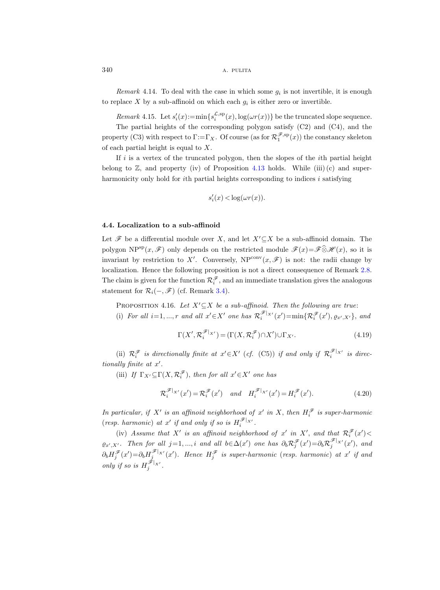*Remark* 4.14. To deal with the case in which some  $g_i$  is not invertible, it is enough to replace X by a sub-affinoid on which each  $g_i$  is either zero or invertible.

Remark 4.15. Let  $s_i'(x) := \min\{s_i^{\mathcal{L},sp}(x), \log(\omega r(x))\}$  be the truncated slope sequence.

<span id="page-33-2"></span>The partial heights of the corresponding polygon satisfy (C2) and (C4), and the property (C3) with respect to  $\Gamma := \Gamma_X$ . Of course (as for  $\mathcal{R}_1^{\mathscr{F},sp}(x)$ ) the constancy skeleton of each partial height is equal to X.

If  $i$  is a vertex of the truncated polygon, then the slopes of the *i*th partial height belong to  $\mathbb{Z}$ , and property (iv) of Proposition [4.13](#page-32-0) holds. While (iii) (c) and superharmonicity only hold for *i*th partial heights corresponding to indices *i* satisfying

$$
s_i'(x) < \log(\omega r(x)).
$$

#### 4.4. Localization to a sub-affinoid

Let  $\mathscr F$  be a differential module over X, and let  $X'\subseteq X$  be a sub-affinoid domain. The polygon NP<sup>sp</sup> $(x, \mathscr{F})$  only depends on the restricted module  $\mathscr{F}(x)=\mathscr{F}\hat{\otimes}H(x)$ , so it is invariant by restriction to X'. Conversely,  $NP^{conv}(x, \mathscr{F})$  is not: the radii change by localization. Hence the following proposition is not a direct consequence of Remark [2.8.](#page-13-3) The claim is given for the function  $\mathcal{R}_i^{\mathscr{F}}$ , and an immediate translation gives the analogous statement for  $\mathcal{R}_i(-, \mathscr{F})$  (cf. Remark [3.4\)](#page-22-4).

<span id="page-33-1"></span>PROPOSITION 4.16. Let  $X'\subseteq X$  be a sub-affinoid. Then the following are true: (i) For all  $i=1,\dots,r$  and all  $x' \in X'$  one has  $\mathcal{R}_i^{\mathscr{F}|_{X'}}(x') = \min{\{ \mathcal{R}_i^{\mathscr{F}}(x'), \varrho_{x',X'} \}}$ , and

<span id="page-33-0"></span>
$$
\Gamma(X', \mathcal{R}_i^{\mathscr{F}|_{X'}}) = (\Gamma(X, \mathcal{R}_i^{\mathscr{F}}) \cap X') \cup \Gamma_{X'}.
$$
\n(4.19)

(ii)  $\mathcal{R}_i^{\mathscr{F}}$  is directionally finite at  $x' \in X'$  (cf. (C5)) if and only if  $\mathcal{R}_i^{\mathscr{F}|_{X'}}$  is directionally finite at  $x'$ .

(iii) If  $\Gamma_{X'} \subseteq \Gamma(X, \mathcal{R}_i^{\mathscr{F}})$ , then for all  $x' \in X'$  one has

$$
\mathcal{R}_i^{\mathcal{F}|_{X'}}(x') = \mathcal{R}_i^{\mathcal{F}}(x') \quad \text{and} \quad H_i^{\mathcal{F}|_{X'}}(x') = H_i^{\mathcal{F}}(x'). \tag{4.20}
$$

In particular, if X' is an affinoid neighborhood of x' in X, then  $H_i^{\mathscr{F}}$  is super-harmonic (resp. harmonic) at x' if and only if so is  $H_i^{\mathscr{F}|_{X'}}$ .

(iv) Assume that X' is an affinoid neighborhood of x' in X', and that  $\mathcal{R}_i^{\mathscr{F}}(x')$  $\varrho_{x',X'}$ . Then for all j=1,..., i and all  $b \in \Delta(x')$  one has  $\partial_b \mathcal{R}_j^{\mathscr{F}}(x') = \partial_b \mathcal{R}_j^{\mathscr{F}|_{X'}}(x')$ , and  $\partial_b H_j^{\mathscr{F}}(x') = \partial_b H_j^{\mathscr{F}|_{X'}}(x')$ . Hence  $H_j^{\mathscr{F}}$  is super-harmonic (resp. harmonic) at  $x'$  if and only if so is  $H_j^{\mathscr{F}|_{X'}}$ .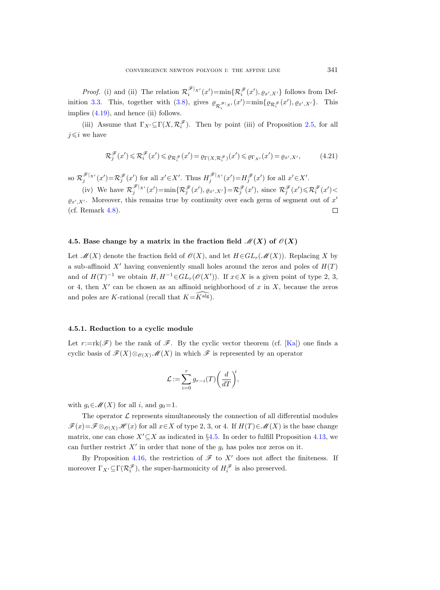*Proof.* (i) and (ii) The relation  $\mathcal{R}_i^{\mathscr{F}|_{X'}}(x') = \min\{\mathcal{R}_i^{\mathscr{F}}(x'), \varrho_{x',X'}\}$  follows from Def-inition [3.3.](#page-21-1) This, together with [\(3.8\)](#page-22-3), gives  $\varrho_{\mathcal{R}_i^{\mathscr{F}}|X'}(x') = \min\{\varrho_{\mathcal{R}_i^{\mathscr{F}}}(x'), \varrho_{x',X'}\}.$  This implies  $(4.19)$ , and hence (ii) follows.

(iii) Assume that  $\Gamma_{X'} \subseteq \Gamma(X, \mathcal{R}_i^{\mathscr{F}})$ . Then by point (iii) of Proposition [2.5,](#page-13-2) for all  $j \leqslant i$  we have

$$
\mathcal{R}_j^{\mathscr{F}}(x') \leqslant \mathcal{R}_i^{\mathscr{F}}(x') \leqslant \varrho_{\mathcal{R}_i^{\mathscr{F}}}(x') = \varrho_{\Gamma(X,\mathcal{R}_i^{\mathscr{F}})}(x') \leqslant \varrho_{\Gamma_{X'}}(x') = \varrho_{x',X'},\tag{4.21}
$$

so  $\mathcal{R}_j^{\mathscr{F}|_{X'}}(x') = \mathcal{R}_j^{\mathscr{F}}(x')$  for all  $x' \in X'$ . Thus  $H_j^{\mathscr{F}|_{X'}}(x') = H_j^{\mathscr{F}}(x')$  for all  $x' \in X'$ .

(iv) We have  $\mathcal{R}_j^{\mathscr{F}|_{X'}}(x') = \min{\{\mathcal{R}_j^{\mathscr{F}}(x'), \varrho_{x',X'}\}} = \mathcal{R}_j^{\mathscr{F}}(x'),$  since  $\mathcal{R}_j^{\mathscr{F}}(x') \leq \mathcal{R}_i^{\mathscr{F}}(x')$  $\varrho_{x',X'}$ . Moreover, this remains true by continuity over each germ of segment out of  $x'$ (cf. Remark [4.8\)](#page-30-3). П

## <span id="page-34-0"></span>4.5. Base change by a matrix in the fraction field  $\mathcal{M}(X)$  of  $\mathcal{O}(X)$

Let  $\mathcal{M}(X)$  denote the fraction field of  $\mathcal{O}(X)$ , and let  $H \in GL_r(\mathcal{M}(X))$ . Replacing X by a sub-affinoid  $X'$  having conveniently small holes around the zeros and poles of  $H(T)$ and of  $H(T)^{-1}$  we obtain  $H, H^{-1} \in GL_r(\mathcal{O}(X'))$ . If  $x \in X$  is a given point of type 2, 3, or 4, then  $X'$  can be chosen as an affinoid neighborhood of x in X, because the zeros and poles are K-rational (recall that  $K=\widetilde{K}^{\text{alg}}$ ).

#### <span id="page-34-1"></span>4.5.1. Reduction to a cyclic module

Let  $r:=\text{rk}(\mathscr{F})$  be the rank of  $\mathscr{F}$ . By the cyclic vector theorem (cf. [\[Ka\]](#page-47-20)) one finds a cyclic basis of  $\mathscr{F}(X)\otimes_{\mathscr{O}(X)}\mathscr{M}(X)$  in which  $\mathscr{F}$  is represented by an operator

$$
\mathcal{L} := \sum_{i=0}^{r} g_{r-i}(T) \bigg(\frac{d}{dT}\bigg)^i,
$$

with  $g_i \in \mathcal{M}(X)$  for all i, and  $g_0=1$ .

The operator  $\mathcal L$  represents simultaneously the connection of all differential modules  $\mathscr{F}(x)=\mathscr{F}\otimes_{\mathscr{O}(X)}\mathscr{H}(x)$  for all  $x\in X$  of type 2, 3, or 4. If  $H(T)\in\mathscr{M}(X)$  is the base change matrix, one can chose  $X'\subseteq X$  as indicated in §[4.5.](#page-34-0) In order to fulfill Proposition [4.13,](#page-32-0) we can further restrict  $X'$  in order that none of the  $g_i$  has poles nor zeros on it.

By Proposition [4.16,](#page-33-1) the restriction of  $\mathscr F$  to  $X'$  does not affect the finiteness. If moreover  $\Gamma_{X'} \subseteq \Gamma(\mathcal{R}_i^{\mathscr{F}})$ , the super-harmonicity of  $H_i^{\mathscr{F}}$  is also preserved.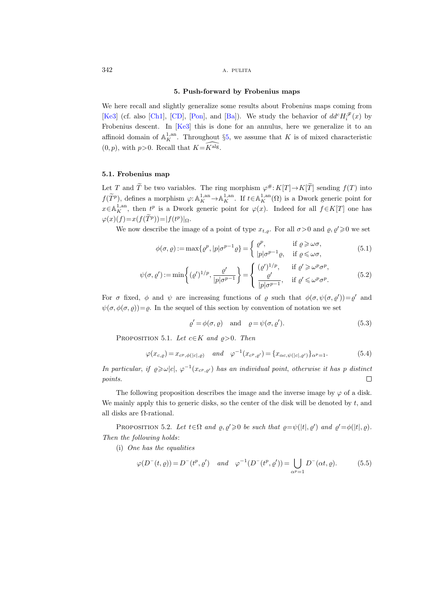#### 5. Push-forward by Frobenius maps

<span id="page-35-0"></span>We here recall and slightly generalize some results about Frobenius maps coming from [\[Ke3\]](#page-47-8) (cf. also [\[Ch1\]](#page-46-8), [\[CD\]](#page-46-1), [\[Pon\]](#page-48-12), and [\[Ba\]](#page-46-3)). We study the behavior of  $dd^cH_i^{\mathscr{F}}(x)$  by Frobenius descent. In [\[Ke3\]](#page-47-8) this is done for an annulus, here we generalize it to an affinoid domain of  $\mathbb{A}_K^{1,\mathrm{an}}$ . Throughout §[5,](#page-35-0) we assume that K is of mixed characteristic  $(0, p)$ , with  $p>0$ . Recall that  $K=K^{alg}$ .

## 5.1. Frobenius map

Let T and T be two variables. The ring morphism  $\varphi^{\#}: K[T] \to K[T]$  sending  $f(T)$  into  $f(\widetilde{T}^p)$ , defines a morphism  $\varphi: \mathbb{A}^{1,an}_K \to \mathbb{A}^{1,an}_K$ . If  $t \in \mathbb{A}^{1,an}_K(\Omega)$  is a Dwork generic point for  $x \in \mathbb{A}^{1,\mathrm{an}}_K$ , then  $t^p$  is a Dwork generic point for  $\varphi(x)$ . Indeed for all  $f \in K[T]$  one has  $\varphi(x)(f) = x(f(T^p)) = |f(t^p)|_{\Omega}.$ 

We now describe the image of a point of type  $x_{t,\rho}$ . For all  $\sigma > 0$  and  $\rho, \rho' \geq 0$  we set

$$
\phi(\sigma, \varrho) := \max\{\varrho^p, |p|\sigma^{p-1}\varrho\} = \begin{cases} \varrho^p, & \text{if } \varrho \geq \omega\sigma, \\ |p|\sigma^{p-1}\varrho, & \text{if } \varrho \leq \omega\sigma, \end{cases}
$$
(5.1)

$$
\psi(\sigma, \varrho') := \min\left\{ (\varrho')^{1/p}, \frac{\varrho'}{|p|\sigma^{p-1}} \right\} = \begin{cases} (\varrho')^{1/p}, & \text{if } \varrho' \geq \omega^p \sigma^p, \\ \frac{\varrho'}{|p|\sigma^{p-1}}, & \text{if } \varrho' \leq \omega^p \sigma^p. \end{cases}
$$
(5.2)

For  $\sigma$  fixed,  $\phi$  and  $\psi$  are increasing functions of  $\rho$  such that  $\phi(\sigma, \psi(\sigma, \rho')) = \rho'$  and  $\psi(\sigma, \phi(\sigma, \varrho)) = \varrho$ . In the sequel of this section by convention of notation we set

$$
\varrho' = \phi(\sigma, \varrho) \quad \text{and} \quad \varrho = \psi(\sigma, \varrho'). \tag{5.3}
$$

PROPOSITION 5.1. Let  $c \in K$  and  $\varrho > 0$ . Then

$$
\varphi(x_{c,\varrho}) = x_{c^p, \phi(|c|,\varrho)} \quad \text{and} \quad \varphi^{-1}(x_{c^p, \varrho'}) = \{x_{\alpha c, \psi(|c|,\varrho')}\}_{\alpha^p = 1}.
$$
 (5.4)

In particular, if  $\varrho \geq \omega |c|$ ,  $\varphi^{-1}(x_{c^p, \varrho'})$  has an individual point, otherwise it has p distinct points.  $\Box$ 

The following proposition describes the image and the inverse image by  $\varphi$  of a disk. We mainly apply this to generic disks, so the center of the disk will be denoted by  $t$ , and all disks are Ω-rational.

<span id="page-35-1"></span>PROPOSITION 5.2. Let  $t \in \Omega$  and  $\varrho, \varrho' \geq 0$  be such that  $\varrho = \psi(|t|, \varrho')$  and  $\varrho' = \varphi(|t|, \varrho)$ . Then the following holds:

(i) One has the equalities

$$
\varphi(D^-(t,\varrho)) = D^-(t^p,\varrho') \quad \text{and} \quad \varphi^{-1}(D^-(t^p,\varrho')) = \bigcup_{\alpha^p=1} D^-(\alpha t,\varrho). \tag{5.5}
$$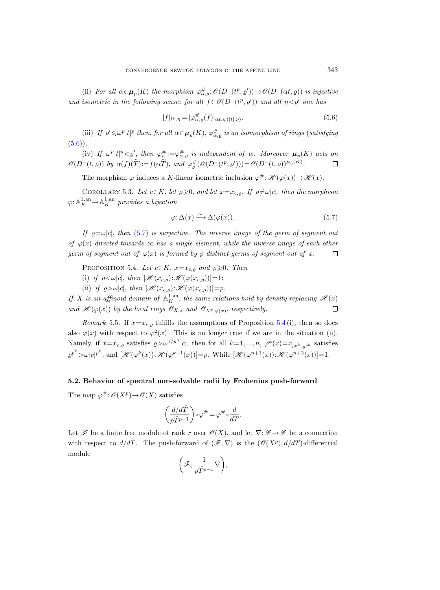(ii) For all  $\alpha \in \mu_p(K)$  the morphism  $\varphi_{\alpha,\varrho}^{\#} : \mathcal{O}(D^-(t^p, \varrho')) \to \mathcal{O}(D^-(\alpha t, \varrho))$  is injective and isometric in the following sense: for all  $f \in \mathcal{O}(D^-(t^p, \varrho'))$  and all  $\eta < \varrho'$  one has

<span id="page-36-0"></span>
$$
|f|_{t^p,\eta} = |\varphi_{\alpha,\varrho}^\#(f)|_{\alpha t,\psi(|t|,\eta)}.\tag{5.6}
$$

(iii) If  $\varrho' \leq \omega^p |t|^p$  then, for all  $\alpha \in \mu_p(K)$ ,  $\varphi_{\alpha,\varrho}^{\#}$  is an isomorphism of rings (satisfying  $(5.6)$ .

(iv) If  $\omega^p |t|^p < \varrho'$ , then  $\varphi_{\varrho}^{\#} := \varphi_{\alpha,\varrho}^{\#}$  is independent of  $\alpha$ . Moreover  $\mu_p(K)$  acts on  $\mathscr{O}(D^-(t,\varrho))$  by  $\alpha(f)(\tilde{T}):=f(\alpha \tilde{T}),$  and  $\varphi^{\#}_{\varrho}(\mathscr{O}(D^-(t^p,\varrho')))=\mathscr{O}(D^-(t,\varrho))^{\mu_p(K)}.$ 

The morphism  $\varphi$  induces a K-linear isometric inclusion  $\varphi^{\#}$ :  $\mathscr{H}(\varphi(x)) \to \mathscr{H}(x)$ .

COROLLARY 5.3. Let  $c \in K$ , let  $\varrho \geq 0$ , and let  $x = x_{c,\rho}$ . If  $\varrho \neq \omega |c|$ , then the morphism  $\varphi: \mathbb{A}^{1, \text{an}}_K \to \mathbb{A}^{1, \text{an}}_K$  provides a bijection

<span id="page-36-1"></span>
$$
\varphi: \Delta(x) \xrightarrow{\sim} \Delta(\varphi(x)). \tag{5.7}
$$

If  $\rho = \omega |c|$ , then [\(5.7\)](#page-36-1) is surjective. The inverse image of the germ of segment out of  $\varphi(x)$  directed towards  $\infty$  has a single element, while the inverse image of each other germ of segment out of  $\varphi(x)$  is formed by p distinct germs of segment out of x.  $\Box$ 

<span id="page-36-2"></span>PROPOSITION 5.4. Let  $c \in K$ ,  $x=x_{c,o}$  and  $\rho \geqslant 0$ . Then

- (i) if  $\varrho < \omega |c|$ , then  $[\mathcal{H}(x_{c,\varrho}): \mathcal{H}(\varphi(x_{c,\varrho}))]=1;$
- (ii) if  $\varrho > \omega |c|$ , then  $[\mathcal{H}(x_{c,\rho}): \mathcal{H}(\varphi(x_{c,\rho}))]=p$ .

If X is an affinoid domain of  $\mathbb{A}_K^{1,an}$ , the same relations hold by density replacing  $\mathscr{H}(x)$ and  $\mathscr{H}(\varphi(x))$  by the local rings  $\mathscr{O}_{X,x}$  and  $\mathscr{O}_{X^p,\varphi(x)}$ , respectively.  $\Box$ 

<span id="page-36-4"></span>Remark 5.5. If  $x=x_{c,\rho}$  fulfills the assumptions of Proposition [5.4](#page-36-2) (i), then so does also  $\varphi(x)$  with respect to  $\varphi^2(x)$ . This is no longer true if we are in the situation (ii). Namely, if  $x=x_{c,\varrho}$  satisfies  $\varrho > \omega^{1/p^n} |c|$ , then for all  $k=1,\dots,n$ ,  $\varphi^k(x)=x_{c^{p^k},\varrho^{p^k}}$  satisfies  $\varrho^{p^k} > \omega |c|^{p^k}$ , and  $[\mathscr{H}(\varphi^k(x)) : \mathscr{H}(\varphi^{k+1}(x))] = p$ . While  $[\mathscr{H}(\varphi^{n+1}(x)) : \mathscr{H}(\varphi^{n+2}(x))] = 1$ .

#### <span id="page-36-3"></span>5.2. Behavior of spectral non-solvable radii by Frobenius push-forward

The map  $\varphi^{\#}: \mathscr{O}(X^p) \to \mathscr{O}(X)$  satisfies

$$
\left(\frac{d/d\widetilde{T}}{p\widetilde{T}^{p-1}}\right)\circ\varphi^{\#}=\varphi^{\#}\circ\frac{d}{dT}.
$$

Let  $\mathscr F$  be a finite free module of rank r over  $\mathscr O(X)$ , and let  $\nabla: \mathscr F \to \mathscr F$  be a connection with respect to  $d/d\tilde{T}$ . The push-forward of  $(\mathscr{F}, \nabla)$  is the  $(\mathscr{O}(X^p), d/dT)$ -differential module

$$
\left(\mathscr{F},\frac{1}{p\widetilde{T}^{p-1}}\nabla\right),\right
$$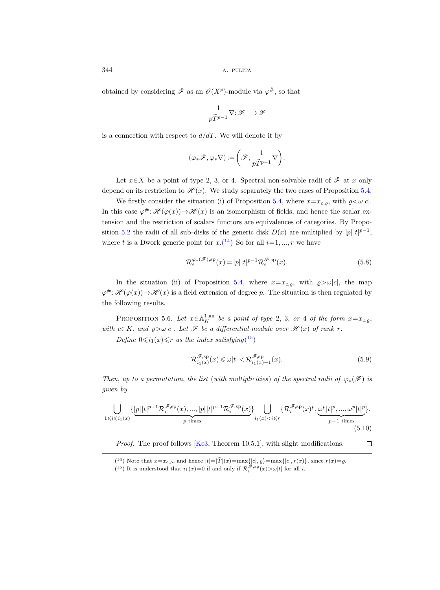obtained by considering  $\mathscr F$  as an  $\mathscr O(X^p)$ -module via  $\varphi^\#$ , so that

$$
\frac{1}{p\widetilde{T}^{p-1}}\nabla\colon \mathscr{F}\longrightarrow \mathscr{F}
$$

is a connection with respect to  $d/dT$ . We will denote it by

$$
(\varphi_*\mathscr{F},\varphi_*\nabla):=\bigg(\mathscr{F},\frac{1}{p\widetilde{T}^{p-1}}\nabla\bigg).
$$

Let  $x \in X$  be a point of type 2, 3, or 4. Spectral non-solvable radii of  $\mathscr F$  at x only depend on its restriction to  $\mathcal{H}(x)$ . We study separately the two cases of Proposition [5.4.](#page-36-2)

We firstly consider the situation (i) of Proposition [5.4,](#page-36-2) where  $x=x_{c,\varrho}$ , with  $\varrho<\omega|c|$ . In this case  $\varphi^{\#}$ :  $\mathscr{H}(\varphi(x)) \to \mathscr{H}(x)$  is an isomorphism of fields, and hence the scalar extension and the restriction of scalars functors are equivalences of categories. By Propo-sition [5.2](#page-35-1) the radii of all sub-disks of the generic disk  $D(x)$  are multiplied by  $|p||t|^{p-1}$ , where t is a Dwork generic point for  $x.(14)$  $x.(14)$  $x.(14)$  So for all  $i=1,\dots,r$  we have

$$
\mathcal{R}_i^{\varphi_*(\mathscr{F}),\mathrm{sp}}(x) = |p| |t|^{p-1} \mathcal{R}_i^{\mathscr{F},\mathrm{sp}}(x). \tag{5.8}
$$

In the situation (ii) of Proposition [5.4,](#page-36-2) where  $x=x_{c,\rho}$ , with  $\rho > \omega |c|$ , the map  $\varphi$ <sup>#</sup>:  $\mathscr{H}(\varphi(x)) \to \mathscr{H}(x)$  is a field extension of degree p. The situation is then regulated by the following results.

<span id="page-37-2"></span>PROPOSITION 5.6. Let  $x \in \mathbb{A}^{1,\text{an}}_K$  be a point of type 2, 3, or 4 of the form  $x=x_{c,\varrho}$ , with  $c \in K$ , and  $\varrho > \omega |c|$ . Let  $\mathscr F$  be a differential module over  $\mathscr H(x)$  of rank r.

Define  $0 \leq i_1(x) \leq r$  as the index satisfying  $(15)$  $(15)$  $(15)$ 

<span id="page-37-3"></span>
$$
\mathcal{R}_{i_1(x)}^{\mathcal{F},sp}(x) \leq \omega |t| < \mathcal{R}_{i_1(x)+1}^{\mathcal{F},sp}(x). \tag{5.9}
$$

 $\Box$ 

Then, up to a permutation, the list (with multiplicities) of the spectral radii of  $\varphi_*(\mathscr{F})$  is given by

$$
\bigcup_{1 \leqslant i \leqslant i_1(x)} \{\underbrace{|p||t|^{p-1} \mathcal{R}_i^{\mathscr{F}, \mathrm{sp}}(x), ..., |p||t|^{p-1} \mathcal{R}_i^{\mathscr{F}, \mathrm{sp}}(x)}_{p \text{ times}}\} \bigcup_{i_1(x) < i \leqslant r} \{\mathcal{R}_i^{\mathscr{F}, \mathrm{sp}}(x)^p, \underbrace{\omega^p |t|^p, ..., \omega^p |t|^p}_{p-1 \text{ times}}\}.
$$
\n
$$
(5.10)
$$

Proof. The proof follows [\[Ke3,](#page-47-8) Theorem 10.5.1], with slight modifications.

<span id="page-37-0"></span><sup>(&</sup>lt;sup>14</sup>) Note that  $x=x_{c,\varrho}$ , and hence  $|t|=|\overline{T}|(x)=\max\{|c|, \varrho\}=\max\{|c|, r(x)\}$ , since  $r(x)=\varrho$ .<br>(<sup>15</sup>) It is understood that  $i_1(x)=0$  if and only if  $\mathcal{R}_i^{\mathscr{F},sp}(x) > \omega |t|$  for all *i*.

<span id="page-37-1"></span>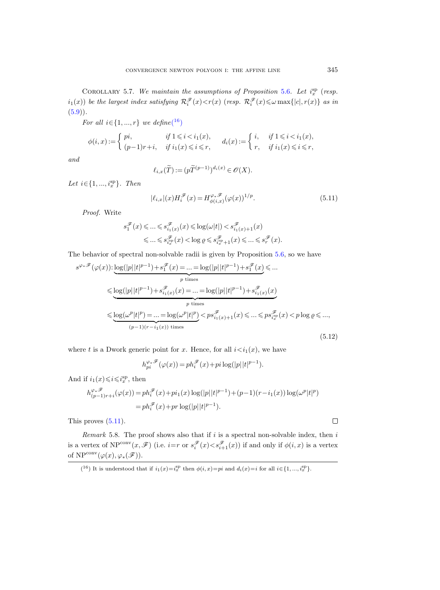COROLLARY 5.7. We maintain the assumptions of Proposition [5.6](#page-37-2). Let  $i_x^{sp}$  (resp.  $i_1(x)$ ) be the largest index satisfying  $\mathcal{R}_i^{\mathscr{F}}(x) < r(x)$  (resp.  $\mathcal{R}_i^{\mathscr{F}}(x) \leq \omega \max\{|c|, r(x)\}$  as in  $(5.9)$ .

For all  $i \in \{1, ..., r\}$  we define(<sup>[16](#page-38-0)</sup>)

$$
\phi(i,x) := \begin{cases} \pi i, & \text{if } 1 \leq i < i_1(x), \\ (p-1)r+i, & \text{if } i_1(x) \leq i \leq r, \end{cases} \quad d_i(x) := \begin{cases} \n i, & \text{if } 1 \leq i < i_1(x), \\ \nr, & \text{if } i_1(x) \leq i \leq r, \n\end{cases}
$$

and

$$
\ell_{i,x}(\widetilde{T}):= (p\widetilde{T}^{(p-1)})^{d_i(x)}\in \mathscr{O}(X).
$$

Let  $i \in \{1, ..., i_x^{\text{sp}}\}$ . Then

<span id="page-38-1"></span>
$$
|\ell_{i,x}|(x)H_i^{\mathscr{F}}(x) = H_{\phi(i,x)}^{\varphi_*\mathscr{F}}(\varphi(x))^{1/p}.
$$
\n(5.11)

Proof. Write

$$
\begin{aligned} s_1^{\mathscr F}(x)\leqslant&\ldots\leqslant s_{i_1(x)}^{\mathscr F}(x)\leqslant \log(\omega|t|)
$$

The behavior of spectral non-solvable radii is given by Proposition [5.6,](#page-37-2) so we have

<span id="page-38-2"></span>
$$
s^{\varphi_*\mathscr{F}}(\varphi(x)) : \underbrace{\log(|p||t|^{p-1})}_{p \text{ times}} + s_1^{\mathscr{F}}(x) = \dots = \log(|p||t|^{p-1}) + s_1^{\mathscr{F}}(x) \leq \dots
$$
\n
$$
\leq \underbrace{\log(|p||t|^{p-1}) + s_{i_1(x)}^{\mathscr{F}}(x)}_{p \text{ times}} = \log(|p||t|^{p-1}) + s_{i_1(x)}^{\mathscr{F}}(x)
$$
\n
$$
\leq \underbrace{\log(\omega^p|t|^p) = \dots = \log(\omega^p|t|^p)}_{(p-1)(r-i_1(x)) \text{ times}} < ps_{i_1(x)+1}^{\mathscr{F}}(x) \leq r s_{i_2(x)}^{\mathscr{F}}(x) < p \log \varrho \leq \dots,
$$
\n
$$
(5.12)
$$

where t is a Dwork generic point for x. Hence, for all  $i \lt i_1(x)$ , we have

$$
h_{pi}^{\varphi_*\mathscr{F}}(\varphi(x)) = p h_i^{\mathscr{F}}(x) + p i \log(|p| |t|^{p-1}).
$$

And if  $i_1(x) \leqslant i \leqslant i_x^{\text{sp}}$ , then

$$
\begin{split} h^{\varphi_*\mathscr{F}}_{(p-1)r+i}(\varphi(x))&=ph^{\mathscr{F}}_i(x)+pi_1(x)\log(|p||t|^{p-1})+(p-1)(r-i_1(x))\log(\omega^p|t|^p)\\&=ph^{\mathscr{F}}_i(x)+pr\log(|p||t|^{p-1}). \end{split}
$$

This proves [\(5.11\)](#page-38-1).

Remark 5.8. The proof shows also that if  $i$  is a spectral non-solvable index, then  $i$ is a vertex of  $NP^{conv}(x, \mathscr{F})$  (i.e.  $i=r$  or  $s_i^{\mathscr{F}}(x) < s_{i+1}^{\mathscr{F}}(x)$ ) if and only if  $\phi(i, x)$  is a vertex of  $\text{NP}^{\text{conv}}(\varphi(x), \varphi_*(\mathscr{F})).$ 

 $\Box$ 

<span id="page-38-0"></span><sup>(&</sup>lt;sup>16</sup>) It is understood that if  $i_1(x) = i_x^{\text{sp}}$  then  $\phi(i, x) = pi$  and  $d_i(x) = i$  for all  $i \in \{1, ..., i_x^{\text{sp}}\}$ .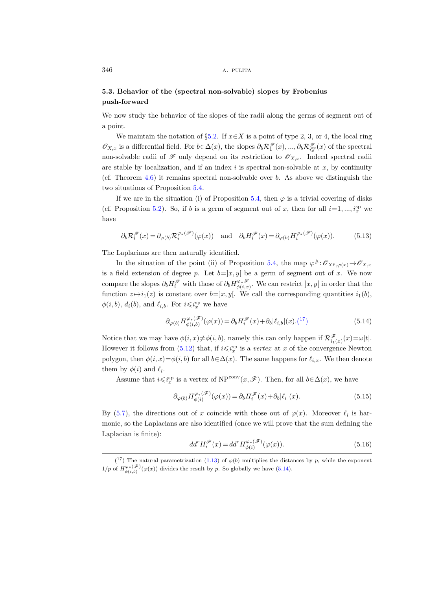## 5.3. Behavior of the (spectral non-solvable) slopes by Frobenius push-forward

We now study the behavior of the slopes of the radii along the germs of segment out of a point.

We maintain the notation of §[5.2.](#page-36-3) If  $x \in X$  is a point of type 2, 3, or 4, the local ring  $\mathscr{O}_{X,x}$  is a differential field. For  $b \in \Delta(x)$ , the slopes  $\partial_b \mathcal{R}_1^{\mathscr{F}}(x), ..., \partial_b \mathcal{R}_{i_x}^{\mathscr{F}}(x)$  of the spectral non-solvable radii of  $\mathscr F$  only depend on its restriction to  $\mathscr O_{X,x}$ . Indeed spectral radii are stable by localization, and if an index  $i$  is spectral non-solvable at  $x$ , by continuity (cf. Theorem  $4.6$ ) it remains spectral non-solvable over b. As above we distinguish the two situations of Proposition [5.4.](#page-36-2)

If we are in the situation (i) of Proposition [5.4,](#page-36-2) then  $\varphi$  is a trivial covering of disks (cf. Proposition [5.2\)](#page-35-1). So, if b is a germ of segment out of x, then for all  $i=1, ..., i_x^{\text{sp}}$  we have

$$
\partial_b \mathcal{R}_i^{\mathscr{F}}(x) = \partial_{\varphi(b)} \mathcal{R}_i^{\varphi_*(\mathscr{F})}(\varphi(x)) \quad \text{and} \quad \partial_b H_i^{\mathscr{F}}(x) = \partial_{\varphi(b)} H_i^{\varphi_*(\mathscr{F})}(\varphi(x)). \tag{5.13}
$$

The Laplacians are then naturally identified.

In the situation of the point (ii) of Proposition [5.4,](#page-36-2) the map  $\varphi^{\#}: \mathscr{O}_{X^p, \varphi(x)} \to \mathscr{O}_{X, x}$ is a field extension of degree p. Let  $b=]x, y[$  be a germ of segment out of x. We now compare the slopes  $\partial_b H_i^{\mathscr{F}}$  with those of  $\partial_b H_{\phi(i,x)}^{\varphi_*\mathscr{F}}$ . We can restrict  $]x, y[$  in order that the function  $z \mapsto i_1(z)$  is constant over  $b=]x, y[$ . We call the corresponding quantities  $i_1(b)$ ,  $\phi(i, b), d_i(b)$ , and  $\ell_{i,b}$ . For  $i \leqslant i_x^{\text{sp}}$  we have

<span id="page-39-1"></span>
$$
\partial_{\varphi(b)} H^{\varphi_*(\mathscr{F})}_{\phi(i,b)}(\varphi(x)) = \partial_b H^{\mathscr{F}}_i(x) + \partial_b |\ell_{i,b}|(x) \cdot \binom{17}{1} \tag{5.14}
$$

Notice that we may have  $\phi(i, x) \neq \phi(i, b)$ , namely this can only happen if  $\mathcal{R}^{\mathscr{F}}_{i_1(x)}(x) = \omega |t|$ . However it follows from  $(5.12)$  that, if  $i \leqslant i_x^{\text{sp}}$  is a *vertex* at x of the convergence Newton polygon, then  $\phi(i, x) = \phi(i, b)$  for all  $b \in \Delta(x)$ . The same happens for  $\ell_{i,x}$ . We then denote them by  $\phi(i)$  and  $\ell_i$ .

Assume that  $i\leqslant i^{\text{sp}}_x$  is a vertex of NP<sup>conv</sup> $(x,\mathscr{F})$ . Then, for all  $b\in\Delta(x)$ , we have

$$
\partial_{\varphi(b)} H_{\phi(i)}^{\varphi_*(\mathscr{F})}(\varphi(x)) = \partial_b H_i^{\mathscr{F}}(x) + \partial_b |\ell_i|(x). \tag{5.15}
$$

By [\(5.7\)](#page-36-1), the directions out of x coincide with those out of  $\varphi(x)$ . Moreover  $\ell_i$  is harmonic, so the Laplacians are also identified (once we will prove that the sum defining the Laplacian is finite):

<span id="page-39-2"></span>
$$
dd^{c}H_{i}^{\mathscr{F}}(x) = dd^{c}H_{\phi(i)}^{\varphi_{*}(\mathscr{F})}(\varphi(x)).
$$
\n(5.16)

<span id="page-39-0"></span> $(1^7)$  The natural parametrization [\(1.13\)](#page-11-5) of  $\varphi(b)$  multiplies the distances by p, while the exponent  $1/p$  of  $H^{\varphi_*(\mathscr{F})}_{\phi(i,b)}(\varphi(x))$  divides the result by p. So globally we have  $(5.14)$ .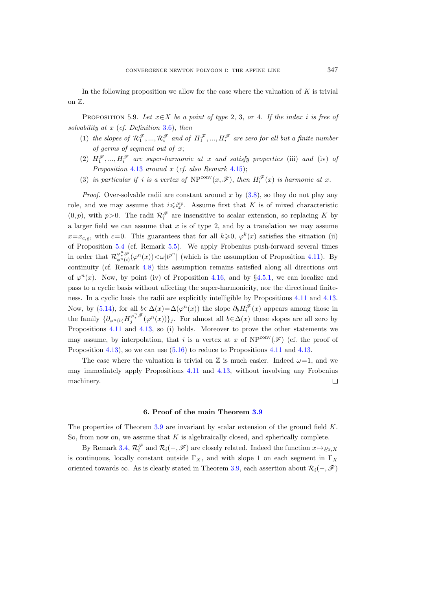In the following proposition we allow for the case where the valuation of  $K$  is trivial on Z.

<span id="page-40-0"></span>PROPOSITION 5.9. Let  $x \in X$  be a point of type 2, 3, or 4. If the index i is free of solvability at  $x$  (cf. Definition [3.6\)](#page-23-4), then

- (1) the slopes of  $\mathcal{R}_1^{\mathscr{F}},...,\mathcal{R}_i^{\mathscr{F}}$  and of  $H_1^{\mathscr{F}},...,H_i^{\mathscr{F}}$  are zero for all but a finite number of germs of segment out of x;
- (2)  $H_1^{\mathscr{F}},..., H_i^{\mathscr{F}}$  are super-harmonic at x and satisfy properties (iii) and (iv) of Proposition  $4.13$  around x (cf. also Remark  $4.15$ );
- (3) in particular if i is a vertex of  $NP^{conv}(x, \mathscr{F})$ , then  $H_i^{\mathscr{F}}(x)$  is harmonic at x.

*Proof.* Over-solvable radii are constant around x by  $(3.8)$ , so they do not play any role, and we may assume that  $i \leq i_x^{\text{sp}}$ . Assume first that K is of mixed characteristic  $(0, p)$ , with  $p > 0$ . The radii  $\mathcal{R}_i^{\mathcal{F}}$  are insensitive to scalar extension, so replacing K by a larger field we can assume that  $x$  is of type 2, and by a translation we may assume  $x=x_{c,\varrho}$ , with  $c=0$ . This guarantees that for all  $k\geqslant 0$ ,  $\varphi^k(x)$  satisfies the situation (ii) of Proposition [5.4](#page-36-2) (cf. Remark [5.5\)](#page-36-4). We apply Frobenius push-forward several times in order that  $\mathcal{R}_{\phi^n(i)}^{\varphi^n,\mathscr{F}}(\varphi^n(x))<\omega|t^{p^n}|$  (which is the assumption of Proposition [4.11\)](#page-32-1). By continuity (cf. Remark [4.8\)](#page-30-3) this assumption remains satisfied along all directions out of  $\varphi^{n}(x)$ . Now, by point (iv) of Proposition [4.16,](#page-33-1) and by §[4.5.1,](#page-34-1) we can localize and pass to a cyclic basis without affecting the super-harmonicity, nor the directional finiteness. In a cyclic basis the radii are explicitly intelligible by Propositions [4.11](#page-32-1) and [4.13.](#page-32-0) Now, by [\(5.14\)](#page-39-1), for all  $b \in \Delta(x) = \Delta(\varphi^n(x))$  the slope  $\partial_b H_i^{\mathscr{F}}(x)$  appears among those in the family  $\{\partial_{\varphi^n(b)} H_j^{\varphi^n,\mathscr{F}}(\varphi^n(x))\}_j$ . For almost all  $b \in \Delta(x)$  these slopes are all zero by Propositions [4.11](#page-32-1) and [4.13,](#page-32-0) so (i) holds. Moreover to prove the other statements we may assume, by interpolation, that i is a vertex at x of  $NP^{conv}(\mathscr{F})$  (cf. the proof of Proposition [4.13\)](#page-32-0), so we can use  $(5.16)$  to reduce to Propositions [4.11](#page-32-1) and [4.13.](#page-32-0)

The case where the valuation is trivial on  $\mathbb Z$  is much easier. Indeed  $\omega=1$ , and we may immediately apply Propositions [4.11](#page-32-1) and [4.13,](#page-32-0) without involving any Frobenius machinery. П

#### 6. Proof of the main Theorem [3.9](#page-23-0)

<span id="page-40-1"></span>The properties of Theorem [3.9](#page-23-0) are invariant by scalar extension of the ground field  $K$ . So, from now on, we assume that  $K$  is algebraically closed, and spherically complete.

By Remark [3.4,](#page-22-4)  $\mathcal{R}_i^{\mathscr{F}}$  and  $\mathcal{R}_i(-, \mathscr{F})$  are closely related. Indeed the function  $x \mapsto \varrho_{x,X}$ is continuous, locally constant outside  $\Gamma_X$ , and with slope 1 on each segment in  $\Gamma_X$ oriented towards ∞. As is clearly stated in Theorem [3.9,](#page-23-0) each assertion about  $\mathcal{R}_i(-, \mathscr{F})$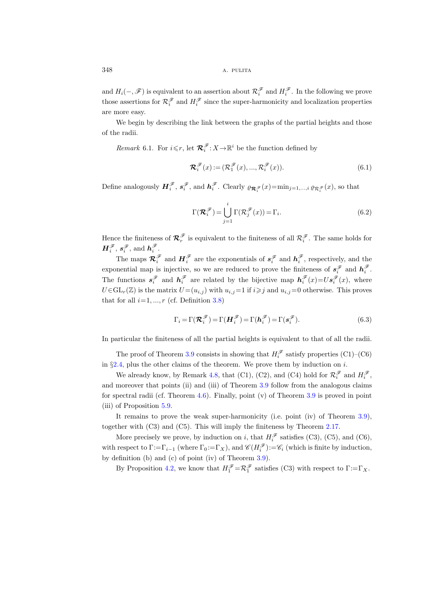and  $H_i(-, \mathscr{F})$  is equivalent to an assertion about  $\mathcal{R}_i^{\mathscr{F}}$  and  $H_i^{\mathscr{F}}$ . In the following we prove those assertions for  $\mathcal{R}_i^{\mathscr{F}}$  and  $H_i^{\mathscr{F}}$  since the super-harmonicity and localization properties are more easy.

We begin by describing the link between the graphs of the partial heights and those of the radii.

<span id="page-41-0"></span>*Remark* 6.1. For  $i \leq r$ , let  $\mathcal{R}_i^{\mathscr{F}}$ :  $X \rightarrow \mathbb{R}^i$  be the function defined by

$$
\mathcal{R}_i^{\mathscr{F}}(x) := (\mathcal{R}_1^{\mathscr{F}}(x), ..., \mathcal{R}_i^{\mathscr{F}}(x)).
$$
\n(6.1)

Define analogously  $\mathbf{H}_{i}^{\mathscr{F}}, s_{i}^{\mathscr{F}},$  and  $\mathbf{h}_{i}^{\mathscr{F}}$ . Clearly  $\varrho_{\mathcal{R}_{i}^{\mathscr{F}}}(x)$ =min<sub>j=1,...,i</sub>  $\varrho_{\mathcal{R}_{i}^{\mathscr{F}}}(x)$ , so that

$$
\Gamma(\mathcal{R}_i^{\mathscr{F}}) = \bigcup_{j=1}^i \Gamma(\mathcal{R}_j^{\mathscr{F}}(x)) = \Gamma_i.
$$
\n(6.2)

Hence the finiteness of  $\mathcal{R}_r^{\mathscr{F}}$  is equivalent to the finiteness of all  $\mathcal{R}_i^{\mathscr{F}}$ . The same holds for  $\boldsymbol{H}^{\mathscr{F}}_i$ ,  $\boldsymbol{s}^{\mathscr{F}}_i$ , and  $\boldsymbol{h}^{\mathscr{F}}_i$ .

The maps  $\mathcal{R}_i^{\mathscr{F}}$  and  $H_i^{\mathscr{F}}$  are the exponentials of  $s_i^{\mathscr{F}}$  and  $h_i^{\mathscr{F}}$ , respectively, and the exponential map is injective, so we are reduced to prove the finiteness of  $s_i^{\mathscr{F}}$  and  $h_i^{\mathscr{F}}$ . The functions  $s_i^{\mathscr{F}}$  and  $h_i^{\mathscr{F}}$  are related by the bijective map  $h_i^{\mathscr{F}}(x) = U s_i^{\mathscr{F}}(x)$ , where  $U \in GL_r(\mathbb{Z})$  is the matrix  $U = (u_{i,j})$  with  $u_{i,j} = 1$  if  $i \geq j$  and  $u_{i,j} = 0$  otherwise. This proves that for all  $i=1, ..., r$  (cf. Definition [3.8\)](#page-23-5)

$$
\Gamma_i = \Gamma(\mathcal{R}_i^{\mathcal{F}}) = \Gamma(\mathcal{H}_i^{\mathcal{F}}) = \Gamma(\mathcal{h}_i^{\mathcal{F}}) = \Gamma(s_i^{\mathcal{F}}).
$$
\n(6.3)

In particular the finiteness of all the partial heights is equivalent to that of all the radii.

The proof of Theorem [3.9](#page-23-0) consists in showing that  $H_i^{\mathscr{F}}$  satisfy properties (C1)–(C6) in  $\S 2.4$ , plus the other claims of the theorem. We prove them by induction on i.

We already know, by Remark [4.8,](#page-30-3) that (C1), (C2), and (C4) hold for  $\mathcal{R}^{\mathscr{F}}_i$  and  $H^{\mathscr{F}}_i$ , and moreover that points (ii) and (iii) of Theorem [3.9](#page-23-0) follow from the analogous claims for spectral radii (cf. Theorem [4.6\)](#page-29-0). Finally, point (v) of Theorem [3.9](#page-23-0) is proved in point (iii) of Proposition [5.9.](#page-40-0)

It remains to prove the weak super-harmonicity (i.e. point (iv) of Theorem [3.9\)](#page-23-0), together with (C3) and (C5). This will imply the finiteness by Theorem [2.17.](#page-18-0)

More precisely we prove, by induction on i, that  $H_i^{\mathscr{F}}$  satisfies (C3), (C5), and (C6), with respect to  $\Gamma := \Gamma_{i-1}$  (where  $\Gamma_0 := \Gamma_X$ ), and  $\mathscr{C}(H_i^{\mathscr{F}}) := \mathscr{C}_i$  (which is finite by induction, by definition (b) and (c) of point (iv) of Theorem [3.9\)](#page-23-0).

By Proposition [4.2,](#page-27-3) we know that  $H_1^{\mathscr{F}} = \mathcal{R}_1^{\mathscr{F}}$  satisfies (C3) with respect to  $\Gamma := \Gamma_X$ .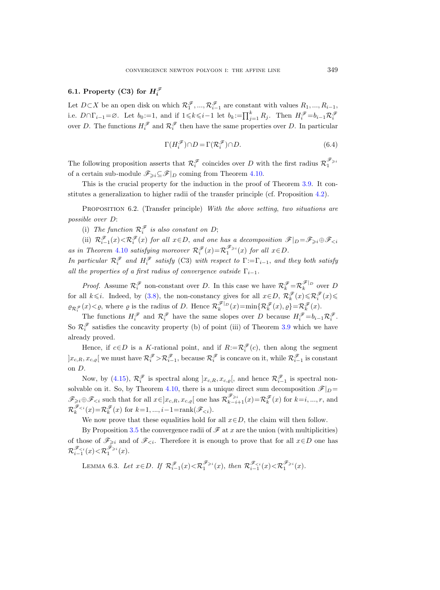# 6.1. Property (C3) for  $H_i^{\mathscr{F}}$

Let  $D \subset X$  be an open disk on which  $\mathcal{R}_1^{\mathscr{F}}, ..., \mathcal{R}_{i-1}^{\mathscr{F}}$  are constant with values  $R_1, ..., R_{i-1}$ , i.e.  $D \cap \Gamma_{i-1} = \emptyset$ . Let  $b_0 := 1$ , and if  $1 \leq k \leq i-1$  let  $b_k := \prod_{j=1}^k R_j$ . Then  $H_i^{\mathscr{F}} = b_{i-1} \mathcal{R}_i^{\mathscr{F}}$ over D. The functions  $H_i^{\mathscr{F}}$  and  $\mathcal{R}_i^{\mathscr{F}}$  then have the same properties over D. In particular

<span id="page-42-1"></span>
$$
\Gamma(H_i^{\mathscr{F}}) \cap D = \Gamma(\mathcal{R}_i^{\mathscr{F}}) \cap D. \tag{6.4}
$$

The following proposition asserts that  $\mathcal{R}_i^{\mathscr{F}}$  coincides over D with the first radius  $\mathcal{R}_1^{\mathscr{F}_{\geq i}}$ of a certain sub-module  $\mathscr{F}_{\geq i} \subseteq \mathscr{F}|_D$  coming from Theorem [4.10.](#page-31-1)

This is the crucial property for the induction in the proof of Theorem [3.9.](#page-23-0) It constitutes a generalization to higher radii of the transfer principle (cf. Proposition [4.2\)](#page-27-3).

<span id="page-42-0"></span>PROPOSITION 6.2. (Transfer principle) With the above setting, two situations are possible over D:

(i) The function  $\mathcal{R}_i^{\mathscr{F}}$  is also constant on D;

(ii)  $\mathcal{R}_{i-1}^{\mathscr{F}}(x) < \mathcal{R}_{i}^{\mathscr{F}}(x)$  for all  $x \in D$ , and one has a decomposition  $\mathscr{F}|_{D} = \mathscr{F}_{\geq i} \oplus \mathscr{F}_{\leq i}$ as in Theorem [4.10](#page-31-1) satisfying moreover  $\mathcal{R}_i^{\mathscr{F}}(x) = \mathcal{R}_1^{\mathscr{F}_{\geq i}}(x)$  for all  $x \in D$ .

In particular  $\mathcal{R}_i^{\mathscr{F}}$  and  $H_i^{\mathscr{F}}$  satisfy (C3) with respect to  $\Gamma := \Gamma_{i-1}$ , and they both satisfy all the properties of a first radius of convergence outside  $\Gamma_{i-1}$ .

*Proof.* Assume  $\mathcal{R}_i^{\mathscr{F}}$  non-constant over D. In this case we have  $\mathcal{R}_k^{\mathscr{F}} = \mathcal{R}_k^{\mathscr{F}|_D}$  over D for all  $k \leq i$ . Indeed, by [\(3.8\)](#page-22-3), the non-constancy gives for all  $x \in D$ ,  $\mathcal{R}_k^{\mathscr{F}}(x) \leq \mathcal{R}_i^{\mathscr{F}}(x) \leq$  $\varrho_{\mathcal{R}_{i}^{\mathscr{F}}}(x) < \varrho$ , where  $\varrho$  is the radius of D. Hence  $\mathcal{R}_{k}^{\mathscr{F}|_{D}}(x) = \min\{\mathcal{R}_{k}^{\mathscr{F}}(x), \varrho\} = \mathcal{R}_{k}^{\mathscr{F}}(x)$ .

The functions  $H_i^{\mathscr{F}}$  and  $\mathcal{R}_i^{\mathscr{F}}$  have the same slopes over D because  $H_i^{\mathscr{F}}=b_{i-1}\mathcal{R}_i^{\mathscr{F}}$ . So  $\mathcal{R}_i^{\mathscr{F}}$  satisfies the concavity property (b) of point (iii) of Theorem [3.9](#page-23-0) which we have already proved.

Hence, if  $c \in D$  is a K-rational point, and if  $R := \mathcal{R}^{\mathscr{F}}_i(c)$ , then along the segment  $]x_{c,R}, x_{c,\varrho}[$  we must have  $\mathcal{R}^{\mathscr{F}}_i > \mathcal{R}^{\mathscr{F}}_{i-1}$ , because  $\mathcal{R}^{\mathscr{F}}_i$  is concave on it, while  $\mathcal{R}^{\mathscr{F}}_{i-1}$  is constant on D.

Now, by [\(4.15\)](#page-31-2),  $\mathcal{R}_i^{\mathscr{F}}$  is spectral along  $[x_{c,R}, x_{c,\varrho}]$ , and hence  $\mathcal{R}_{i-1}^{\mathscr{F}}$  is spectral non-solvable on it. So, by Theorem [4.10,](#page-31-1) there is a unique direct sum decomposition  $\mathscr{F}|_D =$  $\mathscr{F}_{\geq i}\oplus\mathscr{F}_{\leq i}$  such that for all  $x \in ]x_{c,R}, x_{c,\varrho}[$  one has  $\mathcal{R}_{k-i+1}^{\mathscr{F}_{\geq i}}(x) = \mathcal{R}_{k}^{\mathscr{F}}(x)$  for  $k=i, ..., r$ , and  $\mathcal{R}_k^{\mathscr{F}_{< i}}(x) = \mathcal{R}_k^{\mathscr{F}}(x)$  for  $k=1, ..., i-1 = \operatorname{rank}(\mathscr{F}_{< i}).$ 

We now prove that these equalities hold for all  $x \in D$ , the claim will then follow.

By Proposition [3.5](#page-22-5) the convergence radii of  $\mathscr F$  at x are the union (with multiplicities) of those of  $\mathscr{F}_{\geq i}$  and of  $\mathscr{F}_{\leq i}$ . Therefore it is enough to prove that for all  $x \in D$  one has  $\mathcal{R}_{i-1}^{\mathscr{F}_{\leq i}}(x) \!<\! \mathcal{R}_1^{\mathscr{F}_{\geq i}}(x).$ 

LEMMA 6.3. Let  $x \in D$ . If  $\mathcal{R}_{i-1}^{\mathscr{F}}(x) < \mathcal{R}_1^{\mathscr{F}_{\geq i}}(x)$ , then  $\mathcal{R}_{i-1}^{\mathscr{F}_{\leq i}}(x) < \mathcal{R}_1^{\mathscr{F}_{\geq i}}(x)$ .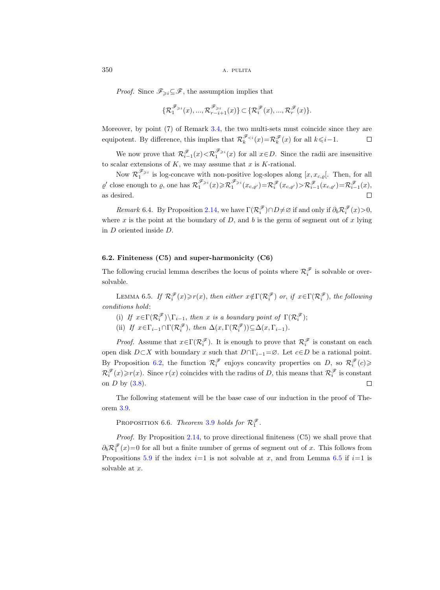*Proof.* Since  $\mathscr{F}_{\geq i} \subseteq \mathscr{F}$ , the assumption implies that

$$
\{\mathcal{R}^{\mathscr{F}_{\geqslant i}}_1(x),...,\mathcal{R}^{\mathscr{F}_{\geqslant i}}_{r-i+1}(x)\}\subset \{\mathcal{R}^{\mathscr{F}}_i(x),...,\mathcal{R}^{\mathscr{F}}_r(x)\}.
$$

Moreover, by point (7) of Remark [3.4,](#page-22-4) the two multi-sets must coincide since they are equipotent. By difference, this implies that  $\mathcal{R}_k^{\mathscr{F}_{< i}}(x) = \mathcal{R}_k^{\mathscr{F}}(x)$  for all  $k \leq i-1$ .  $\Box$ 

We now prove that  $\mathcal{R}_{i-1}^{\mathscr{F}_{i}}(x) < \mathcal{R}_{1}^{\mathscr{F}_{i}}(x)$  for all  $x \in D$ . Since the radii are insensitive to scalar extensions of  $K$ , we may assume that  $x$  is  $K$ -rational.

Now  $\mathcal{R}_1^{\mathscr{F}_{\geq 1}}$  is log-concave with non-positive log-slopes along  $[x, x_{c,\varrho}].$  Then, for all  $\varrho'$  close enough to  $\varrho$ , one has  $\mathcal{R}_1^{\mathscr{F}_{\geqslant i}}(x) \geqslant \mathcal{R}_1^{\mathscr{F}_{\geqslant i}}(x_{c,\varrho'}) = \mathcal{R}_i^{\mathscr{F}}(x_{c,\varrho'}) \geqslant \mathcal{R}_{i-1}^{\mathscr{F}}(x_{c,\varrho'}) = \mathcal{R}_{i-1}^{\mathscr{F}}(x)$ , as desired.  $\Box$ 

Remark 6.4. By Proposition [2.14,](#page-17-1) we have  $\Gamma(\mathcal{R}^{\mathscr{F}}_i)\cap D\neq\emptyset$  if and only if  $\partial_b \mathcal{R}^{\mathscr{F}}_i(x)>0$ , where x is the point at the boundary of D, and b is the germ of segment out of x lying in D oriented inside D.

#### 6.2. Finiteness (C5) and super-harmonicity (C6)

The following crucial lemma describes the locus of points where  $\mathcal{R}^{\mathscr{F}}_i$  is solvable or oversolvable.

<span id="page-43-0"></span>LEMMA 6.5. If  $\mathcal{R}_i^{\mathscr{F}}(x) \geq r(x)$ , then either  $x \notin \Gamma(\mathcal{R}_i^{\mathscr{F}})$  or, if  $x \in \Gamma(\mathcal{R}_i^{\mathscr{F}})$ , the following conditions hold:

(i) If  $x \in \Gamma(\mathcal{R}_i^{\mathscr{F}})\backslash \Gamma_{i-1}$ , then x is a boundary point of  $\Gamma(\mathcal{R}_i^{\mathscr{F}})$ ;

(ii) If  $x \in \Gamma_{i-1} \cap \Gamma(\mathcal{R}_i^{\mathscr{F}})$ , then  $\Delta(x, \Gamma(\mathcal{R}_i^{\mathscr{F}})) \subseteq \Delta(x, \Gamma_{i-1})$ .

*Proof.* Assume that  $x \in \Gamma(\mathcal{R}_i^{\mathscr{F}})$ . It is enough to prove that  $\mathcal{R}_i^{\mathscr{F}}$  is constant on each open disk  $D\subset X$  with boundary x such that  $D\cap \Gamma_{i-1}=\emptyset$ . Let  $c\in D$  be a rational point. By Proposition [6.2,](#page-42-0) the function  $\mathcal{R}_i^{\mathscr{F}}$  enjoys concavity properties on D, so  $\mathcal{R}_i^{\mathscr{F}}(c)$  $\mathcal{R}_i^{\mathscr{F}}(x) \geq r(x)$ . Since  $r(x)$  coincides with the radius of D, this means that  $\mathcal{R}_i^{\mathscr{F}}$  is constant on  $D$  by  $(3.8)$ .  $\Box$ 

The following statement will be the base case of our induction in the proof of Theorem [3.9.](#page-23-0)

<span id="page-43-1"></span>PROPOSITION 6.6. Theorem [3.9](#page-23-0) holds for  $\mathcal{R}_1^{\mathscr{F}}$ .

Proof. By Proposition [2.14,](#page-17-1) to prove directional finiteness (C5) we shall prove that  $\partial_b \mathcal{R}_1^{\mathcal{F}}(x) = 0$  for all but a finite number of germs of segment out of x. This follows from Propositions [5.9](#page-40-0) if the index  $i=1$  is not solvable at x, and from Lemma [6.5](#page-43-0) if  $i=1$  is solvable at x.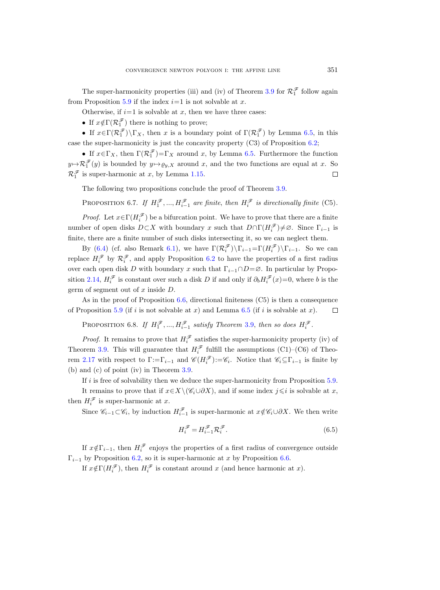The super-harmonicity properties (iii) and (iv) of Theorem [3.9](#page-23-0) for  $\mathcal{R}_1^{\mathcal{F}}$  follow again from Proposition [5.9](#page-40-0) if the index  $i=1$  is not solvable at x.

Otherwise, if  $i=1$  is solvable at x, then we have three cases:

• If  $x \notin \Gamma(\mathcal{R}_1^{\mathscr{F}})$  there is nothing to prove;

• If  $x \in \Gamma(\mathcal{R}_1^{\mathscr{F}})\backslash \Gamma_X$ , then x is a boundary point of  $\Gamma(\mathcal{R}_1^{\mathscr{F}})$  by Lemma [6.5,](#page-43-0) in this case the super-harmonicity is just the concavity property (C3) of Proposition [6.2;](#page-42-0)

• If  $x \in \Gamma_X$ , then  $\Gamma(\mathcal{R}_1^{\mathscr{F}}) = \Gamma_X$  around x, by Lemma [6.5.](#page-43-0) Furthermore the function  $y \mapsto \mathcal{R}_1^{\mathscr{F}}(y)$  is bounded by  $y \mapsto \varrho_{y,X}$  around x, and the two functions are equal at x. So  $\Box$  $\mathcal{R}_1^{\mathcal{F}}$  is super-harmonic at x, by Lemma [1.15.](#page-11-4)

The following two propositions conclude the proof of Theorem [3.9.](#page-23-0)

PROPOSITION 6.7. If  $H_1^{\mathscr{F}},..., H_{i-1}^{\mathscr{F}}$  are finite, then  $H_i^{\mathscr{F}}$  is directionally finite (C5).

*Proof.* Let  $x \in \Gamma(H_i^{\mathscr{F}})$  be a bifurcation point. We have to prove that there are a finite number of open disks  $D\subset X$  with boundary x such that  $D\cap \Gamma(H_i^{\mathscr{F}})\neq\emptyset$ . Since  $\Gamma_{i-1}$  is finite, there are a finite number of such disks intersecting it, so we can neglect them.

By [\(6.4\)](#page-42-1) (cf. also Remark [6.1\)](#page-41-0), we have  $\Gamma(\mathcal{R}_i^{\mathscr{F}})\backslash\Gamma_{i-1}=\Gamma(H_i^{\mathscr{F}})\backslash\Gamma_{i-1}$ . So we can replace  $H_i^{\mathscr{F}}$  by  $\mathcal{R}_i^{\mathscr{F}}$ , and apply Proposition [6.2](#page-42-0) to have the properties of a first radius over each open disk D with boundary x such that  $\Gamma_{i-1} \cap D = \emptyset$ . In particular by Propo-sition [2.14,](#page-17-1)  $H_i^{\mathscr{F}}$  is constant over such a disk D if and only if  $\partial_b H_i^{\mathscr{F}}(x) = 0$ , where b is the germ of segment out of  $x$  inside  $D$ .

As in the proof of Proposition [6.6,](#page-43-1) directional finiteness (C5) is then a consequence of Proposition [5.9](#page-40-0) (if i is not solvable at x) and Lemma [6.5](#page-43-0) (if i is solvable at x).  $\Box$ 

PROPOSITION 6.8. If  $H_1^{\mathscr{F}},..., H_{i-1}^{\mathscr{F}}$  satisfy Theorem [3.9,](#page-23-0) then so does  $H_i^{\mathscr{F}}$ .

*Proof.* It remains to prove that  $H_i^{\mathscr{F}}$  satisfies the super-harmonicity property (iv) of Theorem [3.9.](#page-23-0) This will guarantee that  $H_i^{\mathscr{F}}$  fulfill the assumptions (C1)–(C6) of Theo-rem [2.17](#page-18-0) with respect to  $\Gamma := \Gamma_{i-1}$  and  $\mathscr{C}(H_i^{\mathscr{F}}) := \mathscr{C}_i$ . Notice that  $\mathscr{C}_i \subseteq \Gamma_{i-1}$  is finite by (b) and (c) of point (iv) in Theorem [3.9.](#page-23-0)

If  $i$  is free of solvability then we deduce the super-harmonicity from Proposition  $5.9$ . It remains to prove that if  $x \in X \setminus (\mathscr{C}_i \cup \partial X)$ , and if some index  $j \leq i$  is solvable at x, then  $H_i^{\mathscr{F}}$  is super-harmonic at x.

Since  $\mathscr{C}_{i-1} \subset \mathscr{C}_i$ , by induction  $H_{i-1}^{\mathscr{F}}$  is super-harmonic at  $x \notin \mathscr{C}_i \cup \partial X$ . We then write

<span id="page-44-0"></span>
$$
H_i^{\mathscr{F}} = H_{i-1}^{\mathscr{F}} \mathcal{R}_i^{\mathscr{F}}.
$$
\n
$$
(6.5)
$$

If  $x \notin \Gamma_{i-1}$ , then  $H_i^{\mathscr{F}}$  enjoys the properties of a first radius of convergence outside  $\Gamma_{i-1}$  by Proposition [6.2,](#page-42-0) so it is super-harmonic at x by Proposition [6.6.](#page-43-1)

If  $x \notin \Gamma(H_i^{\mathscr{F}})$ , then  $H_i^{\mathscr{F}}$  is constant around x (and hence harmonic at x).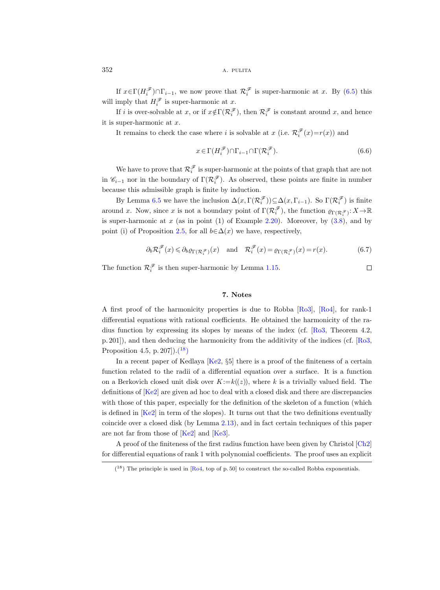If  $x \in \Gamma(H_i^{\mathscr{F}}) \cap \Gamma_{i-1}$ , we now prove that  $\mathcal{R}_i^{\mathscr{F}}$  is super-harmonic at x. By  $(6.5)$  this will imply that  $H_i^{\mathscr{F}}$  is super-harmonic at x.

If i is over-solvable at x, or if  $x \notin \Gamma(\mathcal{R}_i^{\mathscr{F}})$ , then  $\mathcal{R}_i^{\mathscr{F}}$  is constant around x, and hence it is super-harmonic at x.

It remains to check the case where *i* is solvable at x (i.e.  $\mathcal{R}_i^{\mathscr{F}}(x) = r(x)$ ) and

$$
x \in \Gamma(H_i^{\mathscr{F}}) \cap \Gamma_{i-1} \cap \Gamma(\mathcal{R}_i^{\mathscr{F}}). \tag{6.6}
$$

We have to prove that  $\mathcal{R}_i^{\mathscr{F}}$  is super-harmonic at the points of that graph that are not in  $\mathscr{C}_{i-1}$  nor in the boundary of  $\Gamma(\mathcal{R}_i^{\mathscr{F}})$ . As observed, these points are finite in number because this admissible graph is finite by induction.

By Lemma [6.5](#page-43-0) we have the inclusion  $\Delta(x, \Gamma(\mathcal{R}_i^{\mathscr{F}})) \subseteq \Delta(x, \Gamma_{i-1})$ . So  $\Gamma(\mathcal{R}_i^{\mathscr{F}})$  is finite around x. Now, since x is not a boundary point of  $\Gamma(\mathcal{R}^{\mathscr{F}}_i)$ , the function  $\varrho_{\Gamma(\mathcal{R}^{\mathscr{F}}_i)}: X \to \mathbb{R}$ is super-harmonic at  $x$  (as in point (1) of Example [2.20\)](#page-19-0). Moreover, by  $(3.8)$ , and by point (i) of Proposition [2.5,](#page-13-2) for all  $b \in \Delta(x)$  we have, respectively,

$$
\partial_b \mathcal{R}_i^{\mathscr{F}}(x) \leq \partial_b \varrho_{\Gamma(\mathcal{R}_i^{\mathscr{F}})}(x) \quad \text{and} \quad \mathcal{R}_i^{\mathscr{F}}(x) = \varrho_{\Gamma(\mathcal{R}_i^{\mathscr{F}})}(x) = r(x). \tag{6.7}
$$

The function  $\mathcal{R}_i^{\mathcal{F}}$  is then super-harmonic by Lemma [1.15.](#page-11-4)

 $\Box$ 

## 7. Notes

<span id="page-45-0"></span>A first proof of the harmonicity properties is due to Robba [\[Ro3\]](#page-48-13), [\[Ro4\]](#page-48-14), for rank-1 differential equations with rational coefficients. He obtained the harmonicity of the radius function by expressing its slopes by means of the index (cf. [\[Ro3,](#page-48-13) Theorem 4.2, p. 201]), and then deducing the harmonicity from the additivity of the indices (cf. [\[Ro3,](#page-48-13) Proposition 4.5, p. 207]). $(^{18})$ 

In a recent paper of Kedlaya [\[Ke2,](#page-47-21) §5] there is a proof of the finiteness of a certain function related to the radii of a differential equation over a surface. It is a function on a Berkovich closed unit disk over  $K:=k((z))$ , where k is a trivially valued field. The definitions of [\[Ke2\]](#page-47-21) are given ad hoc to deal with a closed disk and there are discrepancies with those of this paper, especially for the definition of the skeleton of a function (which is defined in [\[Ke2\]](#page-47-21) in term of the slopes). It turns out that the two definitions eventually coincide over a closed disk (by Lemma [2.13\)](#page-16-1), and in fact certain techniques of this paper are not far from those of [\[Ke2\]](#page-47-21) and [\[Ke3\]](#page-47-8).

A proof of the finiteness of the first radius function have been given by Christol [\[Ch2\]](#page-46-5) for differential equations of rank 1 with polynomial coefficients. The proof uses an explicit

<span id="page-45-1"></span> $(18)$  The principle is used in [\[Ro4,](#page-48-14) top of p. 50] to construct the so-called Robba exponentials.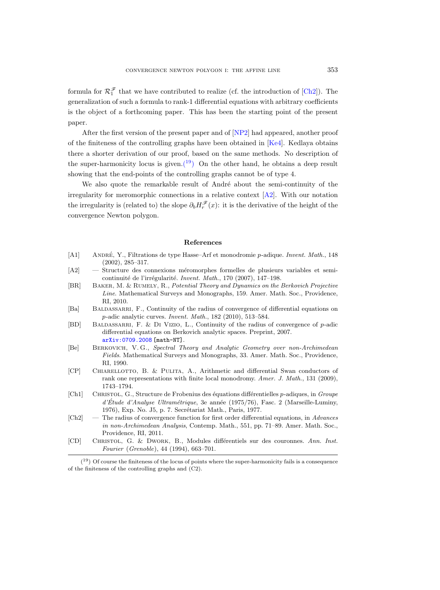formula for  $\mathcal{R}_1^{\mathcal{F}}$  that we have contributed to realize (cf. the introduction of [\[Ch2\]](#page-46-5)). The generalization of such a formula to rank-1 differential equations with arbitrary coefficients is the object of a forthcoming paper. This has been the starting point of the present paper.

After the first version of the present paper and of [\[NP2\]](#page-48-3) had appeared, another proof of the finiteness of the controlling graphs have been obtained in [\[Ke4\]](#page-47-10). Kedlaya obtains there a shorter derivation of our proof, based on the same methods. No description of the super-harmonicity locus is given.<sup>(19</sup>) On the other hand, he obtains a deep result showing that the end-points of the controlling graphs cannot be of type 4.

We also quote the remarkable result of André about the semi-continuity of the irregularity for meromorphic connections in a relative context  $[A2]$ . With our notation the irregularity is (related to) the slope  $\partial_b H_r^{\mathscr{F}}(x)$ : it is the derivative of the height of the convergence Newton polygon.

#### References

- <span id="page-46-0"></span>[A1] ANDRÉ, Y., Filtrations de type Hasse–Arf et monodromie p-adique. Invent. Math., 148 (2002), 285–317.
- <span id="page-46-10"></span>[A2] — Structure des connexions méromorphes formelles de plusieurs variables et semicontinuité de l'irrégularité. Invent. Math., 170 (2007), 147–198.
- <span id="page-46-7"></span>[BR] Baker, M. & Rumely, R., Potential Theory and Dynamics on the Berkovich Projective Line. Mathematical Surveys and Monographs, 159. Amer. Math. Soc., Providence, RI, 2010.
- <span id="page-46-3"></span>[Ba] BALDASSARRI, F., Continuity of the radius of convergence of differential equations on p-adic analytic curves. Invent. Math., 182 (2010), 513–584.
- <span id="page-46-4"></span>[BD] BALDASSARRI, F. & DI VIZIO, L., Continuity of the radius of convergence of  $p$ -adic differential equations on Berkovich analytic spaces. Preprint, 2007. [arXiv:0709.2008](http://arxiv.org/abs/0709.2008) [math-NT].
- <span id="page-46-6"></span>[Be] Berkovich, V. G., Spectral Theory and Analytic Geometry over non-Archimedean Fields. Mathematical Surveys and Monographs, 33. Amer. Math. Soc., Providence, RI, 1990.
- <span id="page-46-2"></span>[CP] Chiarellotto, B. & Pulita, A., Arithmetic and differential Swan conductors of rank one representations with finite local monodromy. Amer. J. Math., 131 (2009), 1743–1794.
- <span id="page-46-8"></span>[Ch1] CHRISTOL, G., Structure de Frobenius des équations différentielles p-adiques, in Groupe  $d'Etude d'Analyse *Uttramétrique*, 3e année (1975/76), Fasc. 2 (Marseille-Luminy, )$ 1976), Exp. No. J5, p. 7. Secrétariat Math., Paris, 1977.
- <span id="page-46-5"></span> $[Ch2]$  — The radius of convergence function for first order differential equations, in Advances in non-Archimedean Analysis, Contemp. Math., 551, pp. 71–89. Amer. Math. Soc., Providence, RI, 2011.
- <span id="page-46-1"></span>[CD] Christol, G. & Dwork, B., Modules diff´erentiels sur des couronnes. Ann. Inst. Fourier (Grenoble), 44 (1994), 663–701.

<span id="page-46-9"></span> $(19)$  Of course the finiteness of the locus of points where the super-harmonicity fails is a consequence of the finiteness of the controlling graphs and (C2).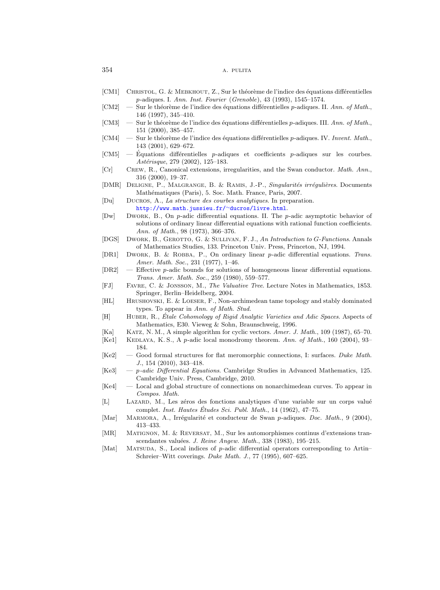- <span id="page-47-0"></span>[CM1] CHRISTOL, G. & MEBKHOUT, Z., Sur le théorème de l'indice des équations différentielles p-adiques. I. Ann. Inst. Fourier (Grenoble), 43 (1993), 1545–1574.
- $\text{[CM2]} \quad \text{Sur le théorème de l'indice des équations différentes p-adiques. II. Ann. of Math.,}$ 146 (1997), 345–410.
- [CM3] Sur le théorème de l'indice des équations différentielles p-adiques. III. Ann. of Math., 151 (2000), 385–457.
- <span id="page-47-1"></span> $[CM4]$  — Sur le théorème de l'indice des équations différentielles p-adiques. IV. Invent. Math., 143 (2001), 629–672.
- <span id="page-47-19"></span> $\text{[CM5]}$  — Équations différentielles p-adiques et coefficients p-adiques sur les courbes. Astérisque, 279 (2002), 125-183.
- <span id="page-47-6"></span>[Cr] Crew, R., Canonical extensions, irregularities, and the Swan conductor. Math. Ann., 316 (2000), 19–37.
- <span id="page-47-17"></span>[DMR] DELIGNE, P., MALGRANGE, B. & RAMIS, J.-P., Singularités irrégulières. Documents Mathématiques (Paris), 5. Soc. Math. France, Paris, 2007.

<span id="page-47-11"></span>[Du] Ducros, A., La structure des courbes analytiques. In preparation. [http://www.math.jussieu.fr/](http://www.math.jussieu.fr/~ducros/livre.html)<sup>∼</sup>ducros/livre.html.

- <span id="page-47-3"></span>[Dw] Dwork, B., On p-adic differential equations. II. The p-adic asymptotic behavior of solutions of ordinary linear differential equations with rational function coefficients. Ann. of Math., 98 (1973), 366–376.
- <span id="page-47-16"></span>[DGS] Dwork, B., Gerotto, G. & Sullivan, F. J., An Introduction to G-Functions. Annals of Mathematics Studies, 133. Princeton Univ. Press, Princeton, NJ, 1994.
- <span id="page-47-4"></span>[DR1] DWORK, B. & ROBBA, P., On ordinary linear p-adic differential equations. Trans. Amer. Math. Soc., 231 (1977), 1–46.
- <span id="page-47-9"></span>[DR2] — Effective p-adic bounds for solutions of homogeneous linear differential equations. Trans. Amer. Math. Soc., 259 (1980), 559–577.
- <span id="page-47-13"></span>[FJ] Favre, C. & Jonsson, M., The Valuative Tree. Lecture Notes in Mathematics, 1853. Springer, Berlin–Heidelberg, 2004.
- <span id="page-47-18"></span>[HL] Hrushovski, E. & Loeser, F., Non-archimedean tame topology and stably dominated types. To appear in Ann. of Math. Stud.
- <span id="page-47-14"></span>[H] HUBER, R., Étale Cohomology of Rigid Analytic Varieties and Adic Spaces. Aspects of Mathematics, E30. Vieweg & Sohn, Braunschweig, 1996.
- <span id="page-47-20"></span>[Ka] Katz, N. M., A simple algorithm for cyclic vectors. Amer. J. Math., 109 (1987), 65–70.
- <span id="page-47-2"></span>[Ke1] KEDLAYA, K. S., A p-adic local monodromy theorem. Ann. of Math., 160 (2004), 93-184.
- <span id="page-47-21"></span>[Ke2] — Good formal structures for flat meromorphic connections, I: surfaces. Duke Math. J., 154 (2010), 343–418.
- <span id="page-47-8"></span>[Ke3] — p-adic Differential Equations. Cambridge Studies in Advanced Mathematics, 125. Cambridge Univ. Press, Cambridge, 2010.
- <span id="page-47-10"></span>[Ke4] — Local and global structure of connections on nonarchimedean curves. To appear in Compos. Math.
- <span id="page-47-15"></span>[L] LAZARD, M., Les zéros des fonctions analytiques d'une variable sur un corps valué complet. Inst. Hautes Etudes Sci. Publ. Math.,  $14$  (1962),  $47-75$ .
- <span id="page-47-7"></span>[Mar] MARMORA, A., Irrégularité et conducteur de Swan p-adiques. Doc. Math., 9 (2004), 413–433.
- <span id="page-47-12"></span>[MR] Matignon, M. & Reversat, M., Sur les automorphismes continus d'extensions transcendantes valuées. J. Reine Angew. Math., 338 (1983), 195-215.
- <span id="page-47-5"></span>[Mat] MATSUDA, S., Local indices of p-adic differential operators corresponding to Artin– Schreier–Witt coverings. Duke Math. J., 77 (1995), 607–625.